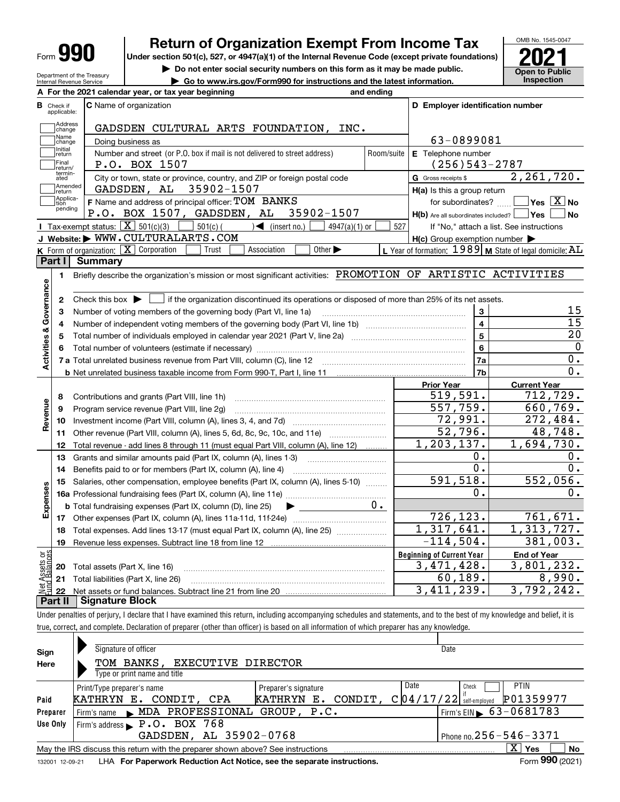Department of the Treasury Internal Revenue Service

# **Return of Organization Exempt From Income Tax**

Under section 501(c), 527, or 4947(a)(1) of the Internal Revenue Code (except private foundations) **2021** 

**| Do not enter social security numbers on this form as it may be made public.**

**| Go to www.irs.gov/Form990 for instructions and the latest information. Inspection**



| A For the 2021 calendar year, or tax year beginning<br>and ending                                                                                                                   |                                                                       |                                                |  |  |  |  |
|-------------------------------------------------------------------------------------------------------------------------------------------------------------------------------------|-----------------------------------------------------------------------|------------------------------------------------|--|--|--|--|
| C Name of organization<br>В<br>Check if<br>applicable:                                                                                                                              | D Employer identification number                                      |                                                |  |  |  |  |
| Address<br>GADSDEN CULTURAL ARTS FOUNDATION, INC.<br>change                                                                                                                         |                                                                       |                                                |  |  |  |  |
| Name<br>Doing business as<br>change                                                                                                                                                 |                                                                       | 63-0899081                                     |  |  |  |  |
| Initial<br>Number and street (or P.O. box if mail is not delivered to street address)<br>return                                                                                     | E Telephone number<br>Room/suite                                      |                                                |  |  |  |  |
| Final<br>P.O. BOX 1507<br>return/                                                                                                                                                   | $(256)543 - 2787$                                                     |                                                |  |  |  |  |
| termin-<br>City or town, state or province, country, and ZIP or foreign postal code<br>ated                                                                                         | G Gross receipts \$                                                   | 2, 261, 720.                                   |  |  |  |  |
| Amended<br>GADSDEN, AL 35902-1507<br>return                                                                                                                                         | H(a) Is this a group return                                           |                                                |  |  |  |  |
| Applica-<br>F Name and address of principal officer: TOM BANKS<br>tion<br>pending<br>P.O. BOX 1507, GADSDEN, AL 35902-1507                                                          | for subordinates?<br>$H(b)$ Are all subordinates included? $\Box$ Yes | $\sqrt{}$ Yes $\sqrt{}$ X $\sqrt{}$ No<br>l No |  |  |  |  |
| Tax-exempt status: $\boxed{\mathbf{X}}$ 501(c)(3) $\boxed{\phantom{0}}$ 501(c)(<br>$\sqrt{ }$ (insert no.)<br>$4947(a)(1)$ or                                                       | 527                                                                   | If "No," attach a list. See instructions       |  |  |  |  |
| J Website: WWW.CULTURALARTS.COM                                                                                                                                                     | $H(c)$ Group exemption number $\blacktriangleright$                   |                                                |  |  |  |  |
| K Form of organization: X Corporation<br>Trust<br>Association<br>Other $\blacktriangleright$                                                                                        | L Year of formation: $1989$ M State of legal domicile: AL             |                                                |  |  |  |  |
| Part I<br><b>Summary</b>                                                                                                                                                            |                                                                       |                                                |  |  |  |  |
| Briefly describe the organization's mission or most significant activities: PROMOTION OF ARTISTIC ACTIVITIES<br>1.                                                                  |                                                                       |                                                |  |  |  |  |
|                                                                                                                                                                                     |                                                                       |                                                |  |  |  |  |
| Activities & Governance<br>Check this box $\blacktriangleright$ $\blacksquare$ if the organization discontinued its operations or disposed of more than 25% of its net assets.<br>2 |                                                                       |                                                |  |  |  |  |
| З                                                                                                                                                                                   | 3                                                                     | 15                                             |  |  |  |  |
| 4                                                                                                                                                                                   | $\overline{\mathbf{4}}$                                               | $\overline{15}$                                |  |  |  |  |
| 5                                                                                                                                                                                   | $\overline{5}$                                                        | $\overline{20}$                                |  |  |  |  |
|                                                                                                                                                                                     | 6                                                                     | $\mathbf 0$                                    |  |  |  |  |
|                                                                                                                                                                                     | 7a                                                                    | 0.                                             |  |  |  |  |
|                                                                                                                                                                                     | 7 <sub>b</sub>                                                        | 0.                                             |  |  |  |  |
|                                                                                                                                                                                     | <b>Prior Year</b>                                                     | <b>Current Year</b>                            |  |  |  |  |
| Contributions and grants (Part VIII, line 1h)<br>8                                                                                                                                  | 519,591.                                                              | 712,729.                                       |  |  |  |  |
| Revenue<br>Program service revenue (Part VIII, line 2g)<br>9                                                                                                                        | 557,759.                                                              | 660,769.                                       |  |  |  |  |
| 10                                                                                                                                                                                  | 72,991.                                                               | 272,484.                                       |  |  |  |  |
| Other revenue (Part VIII, column (A), lines 5, 6d, 8c, 9c, 10c, and 11e)<br>11                                                                                                      | 52,796.                                                               | 48,748.                                        |  |  |  |  |
| Total revenue - add lines 8 through 11 (must equal Part VIII, column (A), line 12)<br>12                                                                                            | 1,203,137.                                                            | $\overline{1,694,730}$ .                       |  |  |  |  |
| Grants and similar amounts paid (Part IX, column (A), lines 1-3)<br>13                                                                                                              | 0.                                                                    | 0.                                             |  |  |  |  |
| Benefits paid to or for members (Part IX, column (A), line 4)<br>14                                                                                                                 | $\overline{0}$ .                                                      | 0.                                             |  |  |  |  |
| Salaries, other compensation, employee benefits (Part IX, column (A), lines 5-10)<br>15                                                                                             | 591,518.                                                              | 552,056.                                       |  |  |  |  |
| Expenses                                                                                                                                                                            | 0.                                                                    | 0.                                             |  |  |  |  |
| $0 \cdot$<br><b>b</b> Total fundraising expenses (Part IX, column (D), line 25)<br>$\blacktriangleright$ and $\blacktriangleright$                                                  |                                                                       |                                                |  |  |  |  |
|                                                                                                                                                                                     | 726, 123.                                                             | 761,671.                                       |  |  |  |  |
| Total expenses. Add lines 13-17 (must equal Part IX, column (A), line 25) [<br>18                                                                                                   | 1,317,641.                                                            | 1,313,727.                                     |  |  |  |  |
| 19                                                                                                                                                                                  | $-114,504.$                                                           | 381,003.                                       |  |  |  |  |
| <b>Assets or<br/>Balances</b>                                                                                                                                                       | <b>Beginning of Current Year</b>                                      | <b>End of Year</b>                             |  |  |  |  |
| Total assets (Part X, line 16)<br>20                                                                                                                                                | 3,471,428.                                                            | 3,801,232.                                     |  |  |  |  |
| 21 Total liabilities (Part X, line 26)                                                                                                                                              | 60, 189.                                                              | 8,990.                                         |  |  |  |  |
|                                                                                                                                                                                     | 3,411,239.                                                            | 3,792,242.                                     |  |  |  |  |

**Part II Signature Block**

Under penalties of perjury, I declare that I have examined this return, including accompanying schedules and statements, and to the best of my knowledge and belief, it is true, correct, and complete. Declaration of preparer (other than officer) is based on all information of which preparer has any knowledge.

| Sign     | Signature of officer                                                                                         | Date                                       |  |  |  |  |  |  |  |  |
|----------|--------------------------------------------------------------------------------------------------------------|--------------------------------------------|--|--|--|--|--|--|--|--|
| Here     | TOM BANKS, EXECUTIVE DIRECTOR                                                                                |                                            |  |  |  |  |  |  |  |  |
|          | Type or print name and title                                                                                 |                                            |  |  |  |  |  |  |  |  |
|          | Print/Type preparer's name<br>Preparer's signature                                                           | Date<br><b>PTIN</b><br>Check               |  |  |  |  |  |  |  |  |
| Paid     | CONDIT,<br>CONDIT, CPA<br>KATHRYN<br>KATHRYN E.<br>Е.                                                        | P01359977<br>$C$ 04/17/22 self-employed    |  |  |  |  |  |  |  |  |
| Preparer | Firm's name MDA PROFESSIONAL GROUP, P.C.                                                                     | $1$ Firm's EIN $\triangleright$ 63-0681783 |  |  |  |  |  |  |  |  |
| Use Only | Firm's address P.O. BOX 768                                                                                  |                                            |  |  |  |  |  |  |  |  |
|          | GADSDEN, AL 35902-0768<br>Phone no. $256 - 546 - 3371$                                                       |                                            |  |  |  |  |  |  |  |  |
|          | $X \vert Y$ es<br>No<br>May the IRS discuss this return with the preparer shown above? See instructions      |                                            |  |  |  |  |  |  |  |  |
|          | Form 990 (2021)<br>LHA For Paperwork Reduction Act Notice, see the separate instructions.<br>132001 12-09-21 |                                            |  |  |  |  |  |  |  |  |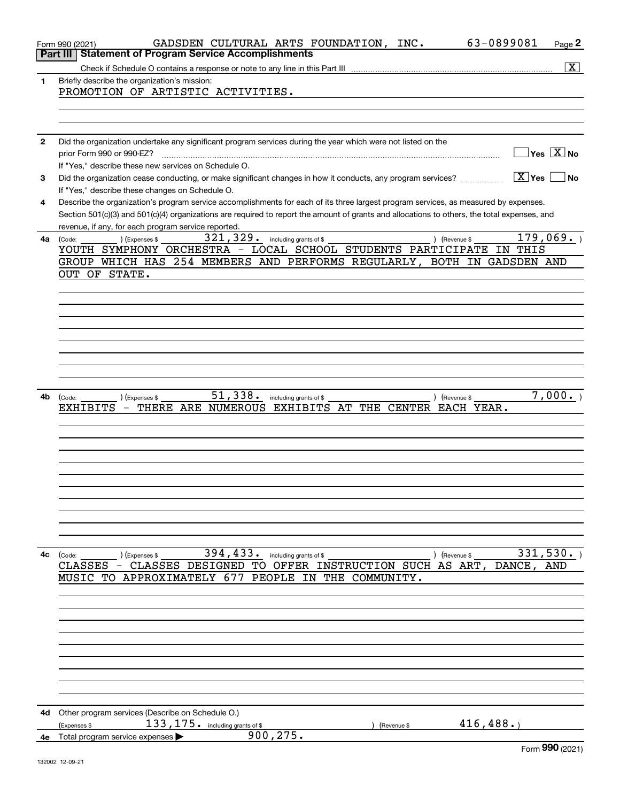|    | 63-0899081<br>GADSDEN CULTURAL ARTS FOUNDATION, INC.<br>Page 2<br>Form 990 (2021)                                                            |
|----|----------------------------------------------------------------------------------------------------------------------------------------------|
|    | <b>Statement of Program Service Accomplishments</b><br>Part III                                                                              |
|    | $\overline{\textbf{X}}$                                                                                                                      |
| 1  | Briefly describe the organization's mission:                                                                                                 |
|    | PROMOTION OF ARTISTIC ACTIVITIES.                                                                                                            |
|    |                                                                                                                                              |
|    |                                                                                                                                              |
|    |                                                                                                                                              |
| 2  | Did the organization undertake any significant program services during the year which were not listed on the                                 |
|    | $\sqrt{}$ Yes $\sqrt{}$ X $\sqrt{}$ No<br>prior Form 990 or 990-EZ?                                                                          |
|    | If "Yes," describe these new services on Schedule O.                                                                                         |
| 3  | $\sqrt{X}$ Yes<br><b>No</b><br>Did the organization cease conducting, or make significant changes in how it conducts, any program services?  |
|    | If "Yes," describe these changes on Schedule O.                                                                                              |
| 4  | Describe the organization's program service accomplishments for each of its three largest program services, as measured by expenses.         |
|    | Section 501(c)(3) and 501(c)(4) organizations are required to report the amount of grants and allocations to others, the total expenses, and |
|    | revenue, if any, for each program service reported.                                                                                          |
| 4a | 179,069.<br>321,329.<br>including grants of \$<br>(Expenses \$<br>) (Revenue \$<br>(Code:                                                    |
|    | YOUTH SYMPHONY ORCHESTRA - LOCAL SCHOOL STUDENTS PARTICIPATE<br>IN THIS                                                                      |
|    | GROUP WHICH HAS 254 MEMBERS AND PERFORMS REGULARLY, BOTH IN GADSDEN AND                                                                      |
|    | OUT OF STATE.                                                                                                                                |
|    |                                                                                                                                              |
|    |                                                                                                                                              |
|    |                                                                                                                                              |
|    |                                                                                                                                              |
|    |                                                                                                                                              |
|    |                                                                                                                                              |
|    |                                                                                                                                              |
|    |                                                                                                                                              |
|    |                                                                                                                                              |
| 4b | 51,338.<br>7,000.<br>) (Revenue \$<br>) (Expenses \$<br>including grants of \$<br>(Code:                                                     |
|    | ARE NUMEROUS EXHIBITS<br>AT THE CENTER EACH YEAR.<br>EXHIBITS<br>THERE                                                                       |
|    |                                                                                                                                              |
|    |                                                                                                                                              |
|    |                                                                                                                                              |
|    |                                                                                                                                              |
|    |                                                                                                                                              |
|    |                                                                                                                                              |
|    |                                                                                                                                              |
|    |                                                                                                                                              |
|    |                                                                                                                                              |
|    |                                                                                                                                              |
|    |                                                                                                                                              |
|    | 394, 433. including grants of \$<br>331,530.<br>) (Revenue \$<br>4c (Code:<br>) (Expenses \$                                                 |
|    | CLASSES - CLASSES DESIGNED TO OFFER INSTRUCTION SUCH AS ART,<br>DANCE, AND                                                                   |
|    | MUSIC TO APPROXIMATELY 677 PEOPLE IN THE COMMUNITY.                                                                                          |
|    |                                                                                                                                              |
|    |                                                                                                                                              |
|    |                                                                                                                                              |
|    |                                                                                                                                              |
|    |                                                                                                                                              |
|    |                                                                                                                                              |
|    |                                                                                                                                              |
|    |                                                                                                                                              |
|    |                                                                                                                                              |
|    |                                                                                                                                              |
|    | 4d Other program services (Describe on Schedule O.)                                                                                          |
|    | 416, 488.<br>$133, 175$ . including grants of \$<br>(Expenses \$<br>(Revenue \$                                                              |
|    | 900, 275.<br>4e Total program service expenses                                                                                               |
|    | QQQ                                                                                                                                          |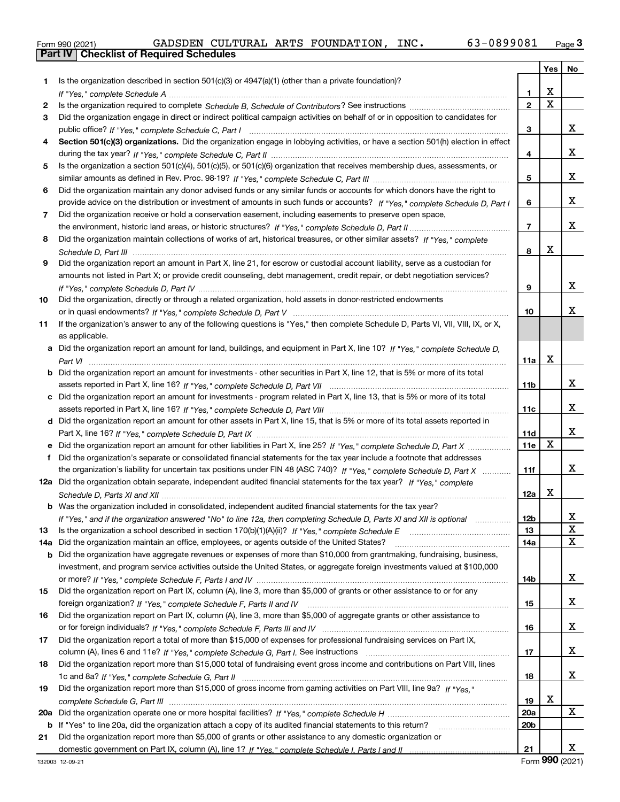|  | Form 990 (2021) |
|--|-----------------|

|     |                                                                                                                                   |                         | Yes                     | No           |
|-----|-----------------------------------------------------------------------------------------------------------------------------------|-------------------------|-------------------------|--------------|
| 1.  | Is the organization described in section $501(c)(3)$ or $4947(a)(1)$ (other than a private foundation)?                           |                         |                         |              |
|     |                                                                                                                                   | 1                       | х                       |              |
| 2   |                                                                                                                                   | $\overline{\mathbf{2}}$ | $\overline{\mathbf{x}}$ |              |
| 3   | Did the organization engage in direct or indirect political campaign activities on behalf of or in opposition to candidates for   |                         |                         |              |
|     |                                                                                                                                   | 3                       |                         | x            |
| 4   | Section 501(c)(3) organizations. Did the organization engage in lobbying activities, or have a section 501(h) election in effect  |                         |                         |              |
|     |                                                                                                                                   | 4                       |                         | x            |
| 5   | Is the organization a section 501(c)(4), 501(c)(5), or 501(c)(6) organization that receives membership dues, assessments, or      |                         |                         |              |
|     |                                                                                                                                   | 5                       |                         | x            |
| 6   | Did the organization maintain any donor advised funds or any similar funds or accounts for which donors have the right to         |                         |                         |              |
|     | provide advice on the distribution or investment of amounts in such funds or accounts? If "Yes," complete Schedule D, Part I      | 6                       |                         | x            |
| 7   | Did the organization receive or hold a conservation easement, including easements to preserve open space,                         |                         |                         |              |
|     |                                                                                                                                   | $\overline{7}$          |                         | x            |
| 8   | Did the organization maintain collections of works of art, historical treasures, or other similar assets? If "Yes," complete      |                         |                         |              |
|     |                                                                                                                                   | 8                       | x                       |              |
| 9   | Did the organization report an amount in Part X, line 21, for escrow or custodial account liability, serve as a custodian for     |                         |                         |              |
|     | amounts not listed in Part X; or provide credit counseling, debt management, credit repair, or debt negotiation services?         |                         |                         |              |
|     |                                                                                                                                   | 9                       |                         | x            |
| 10  | Did the organization, directly or through a related organization, hold assets in donor-restricted endowments                      |                         |                         |              |
|     |                                                                                                                                   | 10                      |                         | x            |
| 11  | If the organization's answer to any of the following questions is "Yes," then complete Schedule D, Parts VI, VII, VIII, IX, or X, |                         |                         |              |
|     | as applicable.                                                                                                                    |                         |                         |              |
|     | Did the organization report an amount for land, buildings, and equipment in Part X, line 10? If "Yes," complete Schedule D.       |                         |                         |              |
|     |                                                                                                                                   | 11a                     | Χ                       |              |
| b   | Did the organization report an amount for investments - other securities in Part X, line 12, that is 5% or more of its total      |                         |                         |              |
|     |                                                                                                                                   | 11b                     |                         | x            |
| c   | Did the organization report an amount for investments - program related in Part X, line 13, that is 5% or more of its total       |                         |                         | x            |
|     | d Did the organization report an amount for other assets in Part X, line 15, that is 5% or more of its total assets reported in   | 11c                     |                         |              |
|     |                                                                                                                                   | 11d                     |                         | X            |
|     |                                                                                                                                   | 11e                     | X                       |              |
| f   | Did the organization's separate or consolidated financial statements for the tax year include a footnote that addresses           |                         |                         |              |
|     | the organization's liability for uncertain tax positions under FIN 48 (ASC 740)? If "Yes," complete Schedule D, Part X            | 11f                     |                         | x            |
|     | 12a Did the organization obtain separate, independent audited financial statements for the tax year? If "Yes," complete           |                         |                         |              |
|     |                                                                                                                                   | 12a                     | x                       |              |
|     | <b>b</b> Was the organization included in consolidated, independent audited financial statements for the tax year?                |                         |                         |              |
|     | If "Yes," and if the organization answered "No" to line 12a, then completing Schedule D, Parts XI and XII is optional             | 12 <sub>b</sub>         |                         | 47           |
| 13  |                                                                                                                                   | 13                      |                         | X            |
| 14a | Did the organization maintain an office, employees, or agents outside of the United States?                                       | 14a                     |                         | $\mathbf{x}$ |
| b   | Did the organization have aggregate revenues or expenses of more than \$10,000 from grantmaking, fundraising, business,           |                         |                         |              |
|     | investment, and program service activities outside the United States, or aggregate foreign investments valued at \$100,000        |                         |                         |              |
|     |                                                                                                                                   | 14b                     |                         | X            |
| 15  | Did the organization report on Part IX, column (A), line 3, more than \$5,000 of grants or other assistance to or for any         |                         |                         |              |
|     |                                                                                                                                   | 15                      |                         | X            |
| 16  | Did the organization report on Part IX, column (A), line 3, more than \$5,000 of aggregate grants or other assistance to          |                         |                         |              |
|     |                                                                                                                                   | 16                      |                         | X            |
| 17  | Did the organization report a total of more than \$15,000 of expenses for professional fundraising services on Part IX,           |                         |                         |              |
|     |                                                                                                                                   | 17                      |                         | X            |
| 18  | Did the organization report more than \$15,000 total of fundraising event gross income and contributions on Part VIII, lines      |                         |                         |              |
|     |                                                                                                                                   | 18                      |                         | X            |
| 19  | Did the organization report more than \$15,000 of gross income from gaming activities on Part VIII, line 9a? If "Yes."            |                         |                         |              |
|     |                                                                                                                                   | 19                      | x                       |              |
| 20a |                                                                                                                                   | <b>20a</b>              |                         | X            |
|     | <b>b</b> If "Yes" to line 20a, did the organization attach a copy of its audited financial statements to this return?             | 20 <sub>b</sub>         |                         |              |
| 21  | Did the organization report more than \$5,000 of grants or other assistance to any domestic organization or                       |                         |                         |              |
|     |                                                                                                                                   | 21                      |                         | x            |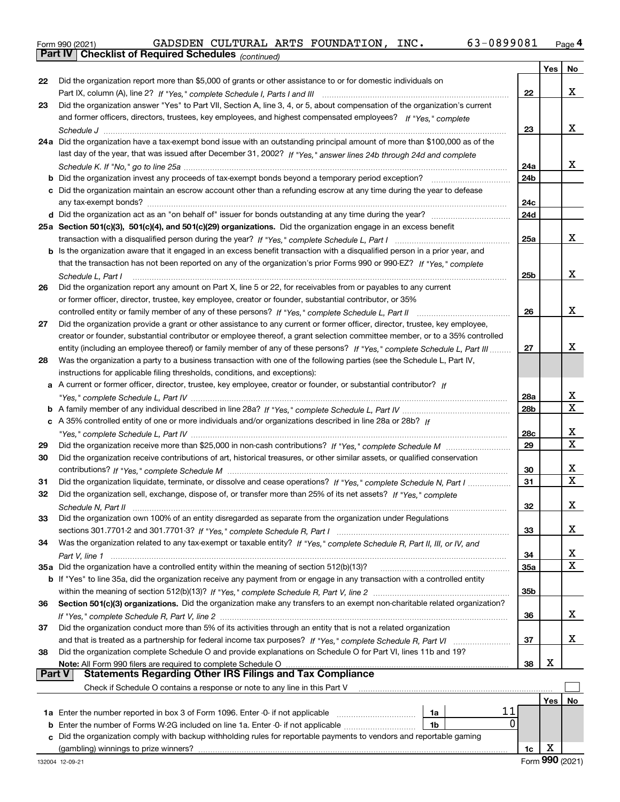|  | Form 990 (2021) |
|--|-----------------|
|  |                 |

*(continued)*

|               |                                                                                                                                     |                 | Yes | No          |
|---------------|-------------------------------------------------------------------------------------------------------------------------------------|-----------------|-----|-------------|
| 22            | Did the organization report more than \$5,000 of grants or other assistance to or for domestic individuals on                       |                 |     |             |
|               |                                                                                                                                     | 22              |     | х           |
| 23            | Did the organization answer "Yes" to Part VII, Section A, line 3, 4, or 5, about compensation of the organization's current         |                 |     |             |
|               | and former officers, directors, trustees, key employees, and highest compensated employees? If "Yes." complete                      |                 |     |             |
|               |                                                                                                                                     | 23              |     | x           |
|               | 24a Did the organization have a tax-exempt bond issue with an outstanding principal amount of more than \$100,000 as of the         |                 |     |             |
|               | last day of the year, that was issued after December 31, 2002? If "Yes," answer lines 24b through 24d and complete                  |                 |     |             |
|               |                                                                                                                                     | 24a             |     | х           |
|               | b Did the organization invest any proceeds of tax-exempt bonds beyond a temporary period exception?                                 | 24 <sub>b</sub> |     |             |
|               | c Did the organization maintain an escrow account other than a refunding escrow at any time during the year to defease              |                 |     |             |
|               |                                                                                                                                     | 24c             |     |             |
|               |                                                                                                                                     | 24d             |     |             |
|               | 25a Section 501(c)(3), 501(c)(4), and 501(c)(29) organizations. Did the organization engage in an excess benefit                    |                 |     |             |
|               |                                                                                                                                     | 25a             |     | x           |
|               | <b>b</b> Is the organization aware that it engaged in an excess benefit transaction with a disqualified person in a prior year, and |                 |     |             |
|               | that the transaction has not been reported on any of the organization's prior Forms 990 or 990-EZ? If "Yes," complete               |                 |     |             |
|               | Schedule L, Part I                                                                                                                  | 25 <sub>b</sub> |     | х           |
| 26            | Did the organization report any amount on Part X, line 5 or 22, for receivables from or payables to any current                     |                 |     |             |
|               | or former officer, director, trustee, key employee, creator or founder, substantial contributor, or 35%                             |                 |     |             |
|               | controlled entity or family member of any of these persons? If "Yes," complete Schedule L, Part II                                  | 26              |     | х           |
| 27            | Did the organization provide a grant or other assistance to any current or former officer, director, trustee, key employee,         |                 |     |             |
|               | creator or founder, substantial contributor or employee thereof, a grant selection committee member, or to a 35% controlled         |                 |     |             |
|               | entity (including an employee thereof) or family member of any of these persons? If "Yes," complete Schedule L, Part III            | 27              |     | x           |
| 28            | Was the organization a party to a business transaction with one of the following parties (see the Schedule L, Part IV,              |                 |     |             |
|               | instructions for applicable filing thresholds, conditions, and exceptions):                                                         |                 |     |             |
|               | a A current or former officer, director, trustee, key employee, creator or founder, or substantial contributor? If                  |                 |     |             |
|               |                                                                                                                                     | 28a             |     | X           |
|               |                                                                                                                                     | 28b             |     | $\mathbf X$ |
|               | c A 35% controlled entity of one or more individuals and/or organizations described in line 28a or 28b? If                          |                 |     |             |
|               |                                                                                                                                     | 28c             |     | х           |
| 29            |                                                                                                                                     | 29              |     | $\mathbf x$ |
| 30            | Did the organization receive contributions of art, historical treasures, or other similar assets, or qualified conservation         |                 |     |             |
|               |                                                                                                                                     | 30              |     | x           |
| 31            | Did the organization liquidate, terminate, or dissolve and cease operations? If "Yes," complete Schedule N, Part I                  | 31              |     | $\mathbf x$ |
| 32            | Did the organization sell, exchange, dispose of, or transfer more than 25% of its net assets? If "Yes," complete                    |                 |     |             |
|               |                                                                                                                                     | 32              |     | х           |
| 33            | Did the organization own 100% of an entity disregarded as separate from the organization under Regulations                          |                 |     |             |
|               |                                                                                                                                     | 33              |     | х           |
| 34            | Was the organization related to any tax-exempt or taxable entity? If "Yes," complete Schedule R, Part II, III, or IV, and           |                 |     |             |
|               |                                                                                                                                     | 34              |     | x           |
|               | 35a Did the organization have a controlled entity within the meaning of section 512(b)(13)?                                         | 35a             |     | $\mathbf X$ |
|               | b If "Yes" to line 35a, did the organization receive any payment from or engage in any transaction with a controlled entity         |                 |     |             |
|               |                                                                                                                                     | 35 <sub>b</sub> |     |             |
| 36            | Section 501(c)(3) organizations. Did the organization make any transfers to an exempt non-charitable related organization?          |                 |     |             |
|               |                                                                                                                                     | 36              |     | х           |
| 37            | Did the organization conduct more than 5% of its activities through an entity that is not a related organization                    |                 |     |             |
|               |                                                                                                                                     | 37              |     | х           |
| 38            | Did the organization complete Schedule O and provide explanations on Schedule O for Part VI, lines 11b and 19?                      |                 |     |             |
|               | Note: All Form 990 filers are required to complete Schedule O                                                                       | 38              | х   |             |
| <b>Part V</b> |                                                                                                                                     |                 |     |             |
|               | Check if Schedule O contains a response or note to any line in this Part V                                                          |                 |     |             |
|               |                                                                                                                                     |                 | Yes | No          |
|               | 11<br>1a Enter the number reported in box 3 of Form 1096. Enter -0- if not applicable<br>1a                                         |                 |     |             |
| b             | 0<br>Enter the number of Forms W-2G included on line 1a. Enter -0- if not applicable<br>1b                                          |                 |     |             |
|               | c Did the organization comply with backup withholding rules for reportable payments to vendors and reportable gaming                |                 |     |             |
|               |                                                                                                                                     | 1c              | х   |             |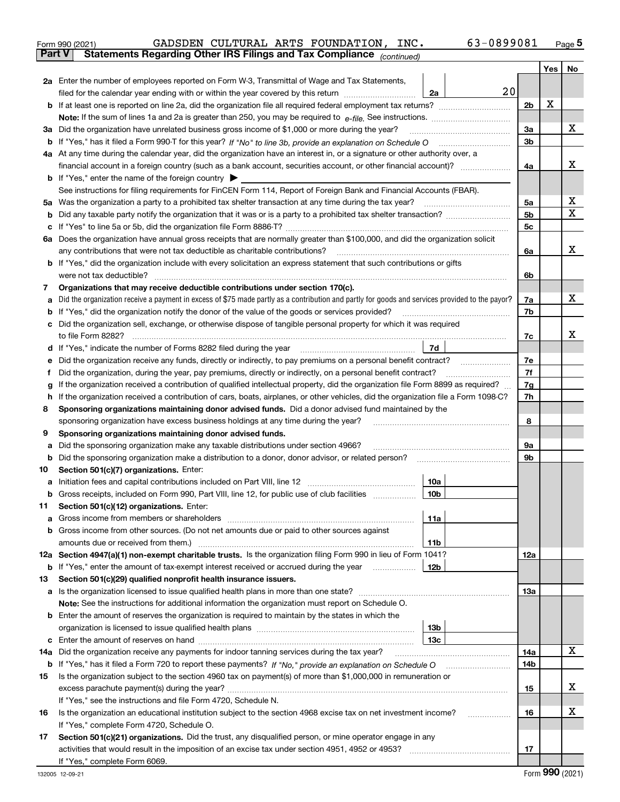|               | 63-0899081<br>GADSDEN CULTURAL ARTS FOUNDATION, INC.<br>Form 990 (2021)                                                                                                                                                                         |                |     | $_{\text{Page}}$ 5 |  |  |
|---------------|-------------------------------------------------------------------------------------------------------------------------------------------------------------------------------------------------------------------------------------------------|----------------|-----|--------------------|--|--|
| <b>Part V</b> | Statements Regarding Other IRS Filings and Tax Compliance (continued)                                                                                                                                                                           |                |     |                    |  |  |
|               |                                                                                                                                                                                                                                                 |                | Yes | No                 |  |  |
|               | 2a Enter the number of employees reported on Form W-3, Transmittal of Wage and Tax Statements,                                                                                                                                                  |                |     |                    |  |  |
|               | filed for the calendar year ending with or within the year covered by this return<br>2a                                                                                                                                                         | 20             |     |                    |  |  |
|               |                                                                                                                                                                                                                                                 | 2b             | х   |                    |  |  |
|               |                                                                                                                                                                                                                                                 |                |     |                    |  |  |
|               | 3a Did the organization have unrelated business gross income of \$1,000 or more during the year?                                                                                                                                                | 3a             |     | х                  |  |  |
|               |                                                                                                                                                                                                                                                 | 3b             |     |                    |  |  |
|               | 4a At any time during the calendar year, did the organization have an interest in, or a signature or other authority over, a                                                                                                                    |                |     |                    |  |  |
|               |                                                                                                                                                                                                                                                 | 4a             |     | х                  |  |  |
|               | <b>b</b> If "Yes," enter the name of the foreign country $\triangleright$                                                                                                                                                                       |                |     |                    |  |  |
|               | See instructions for filing requirements for FinCEN Form 114, Report of Foreign Bank and Financial Accounts (FBAR).                                                                                                                             |                |     |                    |  |  |
| 5a            | Was the organization a party to a prohibited tax shelter transaction at any time during the tax year?                                                                                                                                           | 5a             |     | х                  |  |  |
| b             |                                                                                                                                                                                                                                                 | 5 <sub>b</sub> |     | X                  |  |  |
|               |                                                                                                                                                                                                                                                 | 5c             |     |                    |  |  |
| c             |                                                                                                                                                                                                                                                 |                |     |                    |  |  |
|               | 6a Does the organization have annual gross receipts that are normally greater than \$100,000, and did the organization solicit                                                                                                                  |                |     | х                  |  |  |
|               | any contributions that were not tax deductible as charitable contributions? [[[[[[[[[[[[[[[[[[[[[[[]]]]]]]]]]]<br><b>b</b> If "Yes," did the organization include with every solicitation an express statement that such contributions or gifts | 6a             |     |                    |  |  |
|               |                                                                                                                                                                                                                                                 |                |     |                    |  |  |
|               |                                                                                                                                                                                                                                                 | 6b             |     |                    |  |  |
| 7             | Organizations that may receive deductible contributions under section 170(c).                                                                                                                                                                   |                |     | x                  |  |  |
| а             | Did the organization receive a payment in excess of \$75 made partly as a contribution and partly for goods and services provided to the payor?                                                                                                 | 7a             |     |                    |  |  |
| b             | If "Yes," did the organization notify the donor of the value of the goods or services provided?                                                                                                                                                 | 7b             |     |                    |  |  |
| с             | Did the organization sell, exchange, or otherwise dispose of tangible personal property for which it was required                                                                                                                               |                |     |                    |  |  |
|               |                                                                                                                                                                                                                                                 | 7c             |     | x                  |  |  |
| d             | <b>7d</b>                                                                                                                                                                                                                                       |                |     |                    |  |  |
| е             |                                                                                                                                                                                                                                                 | 7e             |     |                    |  |  |
| f             | Did the organization, during the year, pay premiums, directly or indirectly, on a personal benefit contract?                                                                                                                                    | 7f             |     |                    |  |  |
| g             | If the organization received a contribution of qualified intellectual property, did the organization file Form 8899 as required?                                                                                                                | 7g             |     |                    |  |  |
| h             | If the organization received a contribution of cars, boats, airplanes, or other vehicles, did the organization file a Form 1098-C?                                                                                                              |                |     |                    |  |  |
| 8             | Sponsoring organizations maintaining donor advised funds. Did a donor advised fund maintained by the                                                                                                                                            |                |     |                    |  |  |
|               | sponsoring organization have excess business holdings at any time during the year?                                                                                                                                                              | 8              |     |                    |  |  |
| 9             | Sponsoring organizations maintaining donor advised funds.                                                                                                                                                                                       |                |     |                    |  |  |
| а             | Did the sponsoring organization make any taxable distributions under section 4966?                                                                                                                                                              | 9а             |     |                    |  |  |
| b             | Did the sponsoring organization make a distribution to a donor, donor advisor, or related person?                                                                                                                                               | 9b             |     |                    |  |  |
| 10            | Section 501(c)(7) organizations. Enter:                                                                                                                                                                                                         |                |     |                    |  |  |
|               | 10a                                                                                                                                                                                                                                             |                |     |                    |  |  |
|               | 10b <br>Gross receipts, included on Form 990, Part VIII, line 12, for public use of club facilities                                                                                                                                             |                |     |                    |  |  |
| 11            | Section 501(c)(12) organizations. Enter:                                                                                                                                                                                                        |                |     |                    |  |  |
| а             | 11a                                                                                                                                                                                                                                             |                |     |                    |  |  |
| b             | Gross income from other sources. (Do not net amounts due or paid to other sources against                                                                                                                                                       |                |     |                    |  |  |
|               | 11b                                                                                                                                                                                                                                             |                |     |                    |  |  |
|               | 12a Section 4947(a)(1) non-exempt charitable trusts. Is the organization filing Form 990 in lieu of Form 1041?                                                                                                                                  | 12a            |     |                    |  |  |
|               | 12b<br><b>b</b> If "Yes," enter the amount of tax-exempt interest received or accrued during the year <i>manument</i>                                                                                                                           |                |     |                    |  |  |
| 13            | Section 501(c)(29) qualified nonprofit health insurance issuers.                                                                                                                                                                                |                |     |                    |  |  |
| а             | Is the organization licensed to issue qualified health plans in more than one state?                                                                                                                                                            | 13a            |     |                    |  |  |
|               | Note: See the instructions for additional information the organization must report on Schedule O.                                                                                                                                               |                |     |                    |  |  |
| b             | Enter the amount of reserves the organization is required to maintain by the states in which the                                                                                                                                                |                |     |                    |  |  |
|               | 13 <sub>b</sub>                                                                                                                                                                                                                                 |                |     |                    |  |  |
| c             | 13с                                                                                                                                                                                                                                             |                |     |                    |  |  |
| 14a           | Did the organization receive any payments for indoor tanning services during the tax year?                                                                                                                                                      | 14a            |     | х                  |  |  |
|               | <b>b</b> If "Yes," has it filed a Form 720 to report these payments? If "No," provide an explanation on Schedule O                                                                                                                              | 14b            |     |                    |  |  |
| 15            | Is the organization subject to the section 4960 tax on payment(s) of more than \$1,000,000 in remuneration or                                                                                                                                   |                |     |                    |  |  |
|               |                                                                                                                                                                                                                                                 | 15             |     | х                  |  |  |
|               | If "Yes," see the instructions and file Form 4720, Schedule N.                                                                                                                                                                                  |                |     |                    |  |  |
| 16            | Is the organization an educational institution subject to the section 4968 excise tax on net investment income?                                                                                                                                 | 16             |     | х                  |  |  |
|               | If "Yes," complete Form 4720, Schedule O.                                                                                                                                                                                                       |                |     |                    |  |  |
| 17            | Section 501(c)(21) organizations. Did the trust, any disqualified person, or mine operator engage in any                                                                                                                                        |                |     |                    |  |  |
|               | activities that would result in the imposition of an excise tax under section 4951, 4952 or 4953?                                                                                                                                               | 17             |     |                    |  |  |
|               | If "Yes," complete Form 6069.                                                                                                                                                                                                                   |                |     |                    |  |  |
|               |                                                                                                                                                                                                                                                 |                |     |                    |  |  |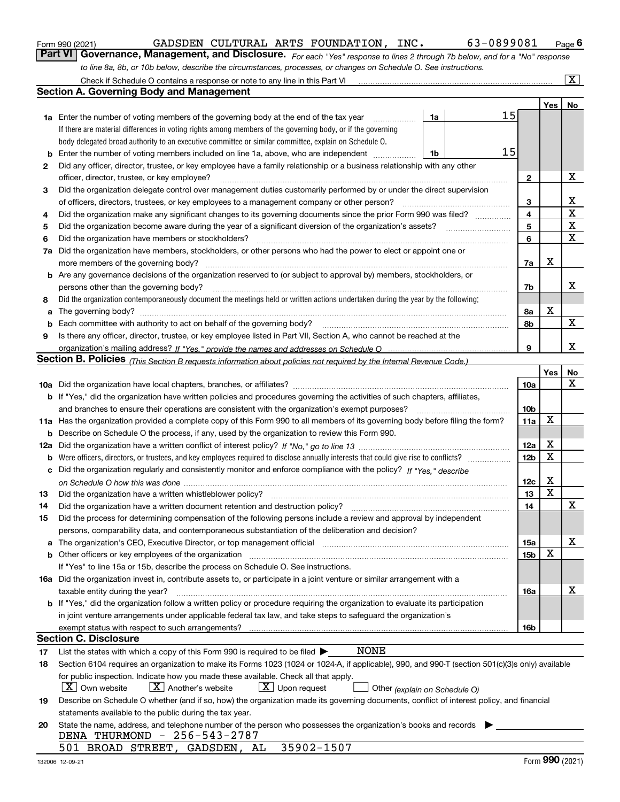|  | Form 990 (2021) |
|--|-----------------|
|  |                 |

| Form 990 (2021) |  |  | GADSDEN CULTURAL ARTS FOUNDATION,                                                                                | INC. | 63-0899081                                                                                                                     | $P$ <sub>age</sub> 6 |
|-----------------|--|--|------------------------------------------------------------------------------------------------------------------|------|--------------------------------------------------------------------------------------------------------------------------------|----------------------|
|                 |  |  |                                                                                                                  |      | Part VI   Governance, Management, and Disclosure. For each "Yes" response to lines 2 through 7b below, and for a "No" response |                      |
|                 |  |  | to line 8a, 8b, or 10b below, describe the circumstances, processes, or changes on Schedule O. See instructions. |      |                                                                                                                                |                      |

|     | Check if Schedule O contains a response or note to any line in this Part VI                                                                                           |    |  |    |                 |                     | $\boxed{\text{X}}$ |  |  |
|-----|-----------------------------------------------------------------------------------------------------------------------------------------------------------------------|----|--|----|-----------------|---------------------|--------------------|--|--|
|     | <b>Section A. Governing Body and Management</b>                                                                                                                       |    |  |    |                 |                     |                    |  |  |
|     |                                                                                                                                                                       |    |  |    |                 | Yes                 | No                 |  |  |
|     | <b>1a</b> Enter the number of voting members of the governing body at the end of the tax year                                                                         | 1a |  | 15 |                 |                     |                    |  |  |
|     | If there are material differences in voting rights among members of the governing body, or if the governing                                                           |    |  |    |                 |                     |                    |  |  |
|     | body delegated broad authority to an executive committee or similar committee, explain on Schedule O.                                                                 |    |  |    |                 |                     |                    |  |  |
| b   | Enter the number of voting members included on line 1a, above, who are independent                                                                                    | 1b |  | 15 |                 |                     |                    |  |  |
| 2   | Did any officer, director, trustee, or key employee have a family relationship or a business relationship with any other                                              |    |  |    |                 |                     |                    |  |  |
|     | officer, director, trustee, or key employee?                                                                                                                          |    |  |    | $\mathbf{2}$    |                     | х                  |  |  |
| 3   | Did the organization delegate control over management duties customarily performed by or under the direct supervision                                                 |    |  |    |                 |                     |                    |  |  |
|     | of officers, directors, trustees, or key employees to a management company or other person?                                                                           |    |  |    |                 |                     |                    |  |  |
| 4   | Did the organization make any significant changes to its governing documents since the prior Form 990 was filed?                                                      |    |  |    |                 |                     |                    |  |  |
| 5   |                                                                                                                                                                       |    |  |    | 5               |                     | $\mathbf X$        |  |  |
| 6   | Did the organization have members or stockholders?                                                                                                                    |    |  |    | 6               |                     | X                  |  |  |
| 7a  | Did the organization have members, stockholders, or other persons who had the power to elect or appoint one or                                                        |    |  |    |                 |                     |                    |  |  |
|     | more members of the governing body?                                                                                                                                   |    |  |    | 7a              | X                   |                    |  |  |
|     | <b>b</b> Are any governance decisions of the organization reserved to (or subject to approval by) members, stockholders, or                                           |    |  |    |                 |                     |                    |  |  |
|     | persons other than the governing body?                                                                                                                                |    |  |    | 7b              |                     | x                  |  |  |
| 8   | Did the organization contemporaneously document the meetings held or written actions undertaken during the year by the following:                                     |    |  |    |                 |                     |                    |  |  |
| a   |                                                                                                                                                                       |    |  |    | 8а              | X                   |                    |  |  |
| b   | Each committee with authority to act on behalf of the governing body?                                                                                                 |    |  |    | 8b              |                     | $\mathbf X$        |  |  |
| 9   | Is there any officer, director, trustee, or key employee listed in Part VII, Section A, who cannot be reached at the                                                  |    |  |    |                 |                     |                    |  |  |
|     |                                                                                                                                                                       |    |  |    | 9               |                     | х                  |  |  |
|     | Section B. Policies <sub>(This Section B requests information about policies not required by the Internal Revenue Code.)</sub>                                        |    |  |    |                 |                     |                    |  |  |
|     |                                                                                                                                                                       |    |  |    |                 | Yes                 | No                 |  |  |
|     |                                                                                                                                                                       |    |  |    | 10a             |                     | $\mathbf X$        |  |  |
|     | <b>b</b> If "Yes," did the organization have written policies and procedures governing the activities of such chapters, affiliates,                                   |    |  |    |                 |                     |                    |  |  |
|     | and branches to ensure their operations are consistent with the organization's exempt purposes?                                                                       |    |  |    | 10 <sub>b</sub> |                     |                    |  |  |
|     | 11a Has the organization provided a complete copy of this Form 990 to all members of its governing body before filing the form?                                       |    |  |    | 11a             | $\mathbf X$         |                    |  |  |
| b   | Describe on Schedule O the process, if any, used by the organization to review this Form 990.                                                                         |    |  |    |                 |                     |                    |  |  |
| 12a |                                                                                                                                                                       |    |  |    | 12a             | X                   |                    |  |  |
| b   | Were officers, directors, or trustees, and key employees required to disclose annually interests that could give rise to conflicts?                                   |    |  |    | 12 <sub>b</sub> | $\mathbf X$         |                    |  |  |
| с   | Did the organization regularly and consistently monitor and enforce compliance with the policy? If "Yes." describe                                                    |    |  |    |                 |                     |                    |  |  |
|     |                                                                                                                                                                       |    |  |    | 12c             | X                   |                    |  |  |
| 13  | Did the organization have a written whistleblower policy?                                                                                                             |    |  |    | 13              | $\mathbf X$         |                    |  |  |
| 14  | Did the organization have a written document retention and destruction policy?                                                                                        |    |  |    | 14              |                     | X                  |  |  |
| 15  | Did the process for determining compensation of the following persons include a review and approval by independent                                                    |    |  |    |                 |                     |                    |  |  |
|     | persons, comparability data, and contemporaneous substantiation of the deliberation and decision?                                                                     |    |  |    |                 |                     |                    |  |  |
| a   | The organization's CEO, Executive Director, or top management official manufactured content of the organization's CEO, Executive Director, or top management official |    |  |    | 15a             |                     | х                  |  |  |
|     | <b>b</b> Other officers or key employees of the organization                                                                                                          |    |  |    | 15 <sub>b</sub> | X                   |                    |  |  |
|     | If "Yes" to line 15a or 15b, describe the process on Schedule O. See instructions.                                                                                    |    |  |    |                 |                     |                    |  |  |
|     | 16a Did the organization invest in, contribute assets to, or participate in a joint venture or similar arrangement with a                                             |    |  |    |                 |                     |                    |  |  |
|     | taxable entity during the year?                                                                                                                                       |    |  |    | 16a             |                     | x                  |  |  |
|     | b If "Yes," did the organization follow a written policy or procedure requiring the organization to evaluate its participation                                        |    |  |    |                 |                     |                    |  |  |
|     | in joint venture arrangements under applicable federal tax law, and take steps to safeguard the organization's                                                        |    |  |    |                 |                     |                    |  |  |
|     | exempt status with respect to such arrangements?                                                                                                                      |    |  |    | 16b             |                     |                    |  |  |
|     | <b>Section C. Disclosure</b>                                                                                                                                          |    |  |    |                 |                     |                    |  |  |
| 17  | NONE<br>List the states with which a copy of this Form 990 is required to be filed $\blacktriangleright$                                                              |    |  |    |                 |                     |                    |  |  |
| 18  | Section 6104 requires an organization to make its Forms 1023 (1024 or 1024-A, if applicable), 990, and 990-T (section 501(c)(3)s only) available                      |    |  |    |                 |                     |                    |  |  |
|     | for public inspection. Indicate how you made these available. Check all that apply.                                                                                   |    |  |    |                 |                     |                    |  |  |
|     | $X$ Own website<br>$X$ Another's website<br>$X$ Upon request<br>Other (explain on Schedule O)                                                                         |    |  |    |                 |                     |                    |  |  |
| 19  | Describe on Schedule O whether (and if so, how) the organization made its governing documents, conflict of interest policy, and financial                             |    |  |    |                 |                     |                    |  |  |
|     | statements available to the public during the tax year.                                                                                                               |    |  |    |                 |                     |                    |  |  |
| 20  | State the name, address, and telephone number of the person who possesses the organization's books and records                                                        |    |  |    |                 |                     |                    |  |  |
|     | DENA THURMOND - 256-543-2787                                                                                                                                          |    |  |    |                 |                     |                    |  |  |
|     | 35902-1507<br>501 BROAD STREET, GADSDEN, AL                                                                                                                           |    |  |    |                 | nnn <sub>1996</sub> |                    |  |  |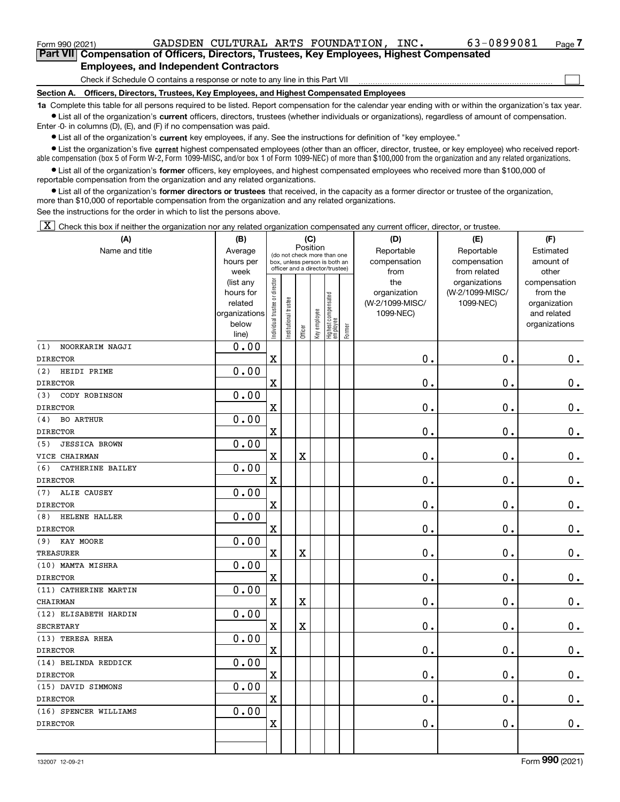| Form 990 (2021)                                                                            |  |  |  | GADSDEN CULTURAL ARTS FOUNDATION, INC.                                          |  | 63-0899081 | Page / |  |  |  |
|--------------------------------------------------------------------------------------------|--|--|--|---------------------------------------------------------------------------------|--|------------|--------|--|--|--|
| Part VII Compensation of Officers, Directors, Trustees, Key Employees, Highest Compensated |  |  |  |                                                                                 |  |            |        |  |  |  |
| <b>Employees, and Independent Contractors</b>                                              |  |  |  |                                                                                 |  |            |        |  |  |  |
| Check if Schedule O contains a response or note to any line in this Part VII               |  |  |  |                                                                                 |  |            |        |  |  |  |
| Section A.                                                                                 |  |  |  | Officers, Directors, Trustees, Key Employees, and Highest Compensated Employees |  |            |        |  |  |  |

**1a**  Complete this table for all persons required to be listed. Report compensation for the calendar year ending with or within the organization's tax year. **•** List all of the organization's current officers, directors, trustees (whether individuals or organizations), regardless of amount of compensation.

Enter -0- in columns (D), (E), and (F) if no compensation was paid.

 $\bullet$  List all of the organization's  $\sf current$  key employees, if any. See the instructions for definition of "key employee."

**•** List the organization's five current highest compensated employees (other than an officer, director, trustee, or key employee) who received reportable compensation (box 5 of Form W-2, Form 1099-MISC, and/or box 1 of Form 1099-NEC) of more than \$100,000 from the organization and any related organizations.

**•** List all of the organization's former officers, key employees, and highest compensated employees who received more than \$100,000 of reportable compensation from the organization and any related organizations.

**former directors or trustees**  ¥ List all of the organization's that received, in the capacity as a former director or trustee of the organization, more than \$10,000 of reportable compensation from the organization and any related organizations.

See the instructions for the order in which to list the persons above.

 $\boxed{\textbf{X}}$  Check this box if neither the organization nor any related organization compensated any current officer, director, or trustee.

| (A)                         | (B)                    |                               |                                 |             | (C)          |                                 |        | (D)             | (E)             | (F)           |
|-----------------------------|------------------------|-------------------------------|---------------------------------|-------------|--------------|---------------------------------|--------|-----------------|-----------------|---------------|
| Name and title              | Average                |                               | (do not check more than one     | Position    |              |                                 |        | Reportable      | Reportable      | Estimated     |
|                             | hours per              |                               | box, unless person is both an   |             |              |                                 |        | compensation    | compensation    | amount of     |
|                             | week                   |                               | officer and a director/trustee) |             |              |                                 |        | from            | from related    | other         |
|                             | (list any              |                               |                                 |             |              |                                 |        | the             | organizations   | compensation  |
|                             | hours for              |                               |                                 |             |              |                                 |        | organization    | (W-2/1099-MISC/ | from the      |
|                             | related                |                               |                                 |             |              |                                 |        | (W-2/1099-MISC/ | 1099-NEC)       | organization  |
|                             | organizations<br>below |                               |                                 |             |              |                                 |        | 1099-NEC)       |                 | and related   |
|                             | line)                  | ndividual trustee or director | nstitutional trustee            | Officer     | key employee | Highest compensated<br>employee | Former |                 |                 | organizations |
| NOORKARIM NAGJI<br>(1)      | 0.00                   |                               |                                 |             |              |                                 |        |                 |                 |               |
| <b>DIRECTOR</b>             |                        | $\mathbf X$                   |                                 |             |              |                                 |        | 0.              | 0.              | 0.            |
| (2)<br>HEIDI PRIME          | 0.00                   |                               |                                 |             |              |                                 |        |                 |                 |               |
| <b>DIRECTOR</b>             |                        | $\mathbf X$                   |                                 |             |              |                                 |        | 0.              | $\mathbf 0$ .   | $0$ .         |
| CODY ROBINSON<br>(3)        | 0.00                   |                               |                                 |             |              |                                 |        |                 |                 |               |
| <b>DIRECTOR</b>             |                        | $\mathbf X$                   |                                 |             |              |                                 |        | 0.              | $\mathbf 0$ .   | $0$ .         |
| <b>BO ARTHUR</b><br>(4)     | 0.00                   |                               |                                 |             |              |                                 |        |                 |                 |               |
| <b>DIRECTOR</b>             |                        | $\mathbf X$                   |                                 |             |              |                                 |        | 0.              | 0.              | $\mathbf 0$ . |
| <b>JESSICA BROWN</b><br>(5) | 0.00                   |                               |                                 |             |              |                                 |        |                 |                 |               |
| VICE CHAIRMAN               |                        | $\mathbf X$                   |                                 | $\mathbf X$ |              |                                 |        | 0.              | $\mathbf 0$ .   | $0$ .         |
| CATHERINE BAILEY<br>(6)     | 0.00                   |                               |                                 |             |              |                                 |        |                 |                 |               |
| <b>DIRECTOR</b>             |                        | $\mathbf X$                   |                                 |             |              |                                 |        | 0.              | $\mathbf 0$ .   | $\mathbf 0$ . |
| ALIE CAUSEY<br>(7)          | 0.00                   |                               |                                 |             |              |                                 |        |                 |                 |               |
| <b>DIRECTOR</b>             |                        | $\mathbf X$                   |                                 |             |              |                                 |        | 0.              | $\mathbf 0$ .   | $\mathbf 0$ . |
| HELENE HALLER<br>(8)        | 0.00                   |                               |                                 |             |              |                                 |        |                 |                 |               |
| <b>DIRECTOR</b>             |                        | $\mathbf X$                   |                                 |             |              |                                 |        | 0.              | $\mathbf 0$ .   | $0$ .         |
| KAY MOORE<br>(9)            | 0.00                   |                               |                                 |             |              |                                 |        |                 |                 |               |
| <b>TREASURER</b>            |                        | $\mathbf X$                   |                                 | $\mathbf X$ |              |                                 |        | 0.              | $\mathbf 0$ .   | $\mathbf 0$ . |
| (10) MAMTA MISHRA           | 0.00                   |                               |                                 |             |              |                                 |        |                 |                 |               |
| <b>DIRECTOR</b>             |                        | $\mathbf X$                   |                                 |             |              |                                 |        | 0.              | Ο.              | 0.            |
| (11) CATHERINE MARTIN       | 0.00                   |                               |                                 |             |              |                                 |        |                 |                 |               |
| <b>CHAIRMAN</b>             |                        | $\mathbf X$                   |                                 | $\mathbf X$ |              |                                 |        | 0.              | $\mathbf 0$ .   | 0.            |
| (12) ELISABETH HARDIN       | 0.00                   |                               |                                 |             |              |                                 |        |                 |                 |               |
| <b>SECRETARY</b>            |                        | $\mathbf X$                   |                                 | $\mathbf X$ |              |                                 |        | 0.              | 0.              | $\mathbf 0$ . |
| (13) TERESA RHEA            | 0.00                   |                               |                                 |             |              |                                 |        |                 |                 |               |
| <b>DIRECTOR</b>             |                        | $\mathbf x$                   |                                 |             |              |                                 |        | 0.              | 0.              | $\mathbf 0$ . |
| (14) BELINDA REDDICK        | 0.00                   |                               |                                 |             |              |                                 |        |                 |                 |               |
| <b>DIRECTOR</b>             |                        | $\mathbf X$                   |                                 |             |              |                                 |        | 0.              | $\mathbf 0$ .   | 0.            |
| (15) DAVID SIMMONS          | 0.00                   |                               |                                 |             |              |                                 |        |                 |                 |               |
| <b>DIRECTOR</b>             |                        | $\mathbf x$                   |                                 |             |              |                                 |        | 0.              | $\mathbf 0$ .   | $0$ .         |
| (16) SPENCER WILLIAMS       | 0.00                   |                               |                                 |             |              |                                 |        |                 |                 |               |
| <b>DIRECTOR</b>             |                        | $\mathbf X$                   |                                 |             |              |                                 |        | 0.              | 0.              | 0.            |
|                             |                        |                               |                                 |             |              |                                 |        |                 |                 |               |
|                             |                        |                               |                                 |             |              |                                 |        |                 |                 |               |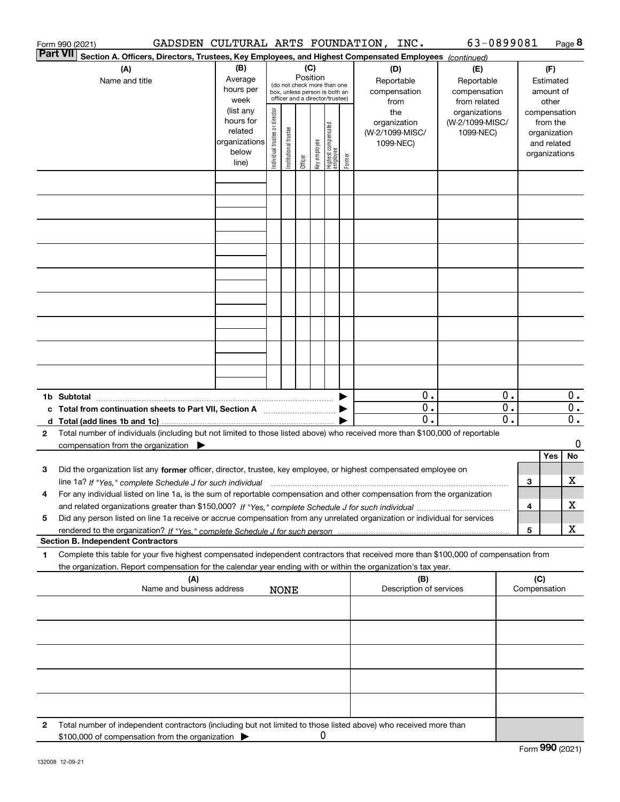|              | Form 990 (2021)                                                                                                                                                                                                                                              | GADSDEN CULTURAL ARTS FOUNDATION, INC.           |                                |                       |                 |              |                                                                                                 |                                                  | 63-0899081                                                         |                              |                     |                                                          | Page 8                                     |
|--------------|--------------------------------------------------------------------------------------------------------------------------------------------------------------------------------------------------------------------------------------------------------------|--------------------------------------------------|--------------------------------|-----------------------|-----------------|--------------|-------------------------------------------------------------------------------------------------|--------------------------------------------------|--------------------------------------------------------------------|------------------------------|---------------------|----------------------------------------------------------|--------------------------------------------|
|              | <b>Part VII</b><br>Section A. Officers, Directors, Trustees, Key Employees, and Highest Compensated Employees (continued)                                                                                                                                    |                                                  |                                |                       |                 |              |                                                                                                 |                                                  |                                                                    |                              |                     |                                                          |                                            |
|              | (A)<br>Name and title                                                                                                                                                                                                                                        | (B)<br>Average<br>hours per<br>week<br>(list any |                                |                       | (C)<br>Position |              | (do not check more than one<br>box, unless person is both an<br>officer and a director/trustee) | (D)<br>Reportable<br>compensation<br>from<br>the | (E)<br>Reportable<br>compensation<br>from related<br>organizations |                              |                     | (F)<br>Estimated<br>amount of<br>other<br>compensation   |                                            |
|              |                                                                                                                                                                                                                                                              | hours for<br>related<br>organizations<br>below   | Individual trustee or director | Institutional trustee |                 | key employee | Highest compensated<br> employee<br>Former                                                      | organization<br>(W-2/1099-MISC/<br>1099-NEC)     | (W-2/1099-MISC/<br>1099-NEC)                                       |                              |                     | from the<br>organization<br>and related<br>organizations |                                            |
|              |                                                                                                                                                                                                                                                              | line)                                            |                                |                       | Officer         |              |                                                                                                 |                                                  |                                                                    |                              |                     |                                                          |                                            |
|              |                                                                                                                                                                                                                                                              |                                                  |                                |                       |                 |              |                                                                                                 |                                                  |                                                                    |                              |                     |                                                          |                                            |
|              |                                                                                                                                                                                                                                                              |                                                  |                                |                       |                 |              |                                                                                                 |                                                  |                                                                    |                              |                     |                                                          |                                            |
|              |                                                                                                                                                                                                                                                              |                                                  |                                |                       |                 |              |                                                                                                 |                                                  |                                                                    |                              |                     |                                                          |                                            |
|              |                                                                                                                                                                                                                                                              |                                                  |                                |                       |                 |              |                                                                                                 |                                                  |                                                                    |                              |                     |                                                          |                                            |
|              |                                                                                                                                                                                                                                                              |                                                  |                                |                       |                 |              |                                                                                                 |                                                  |                                                                    |                              |                     |                                                          |                                            |
|              |                                                                                                                                                                                                                                                              |                                                  |                                |                       |                 |              |                                                                                                 |                                                  |                                                                    |                              |                     |                                                          |                                            |
|              |                                                                                                                                                                                                                                                              |                                                  |                                |                       |                 |              |                                                                                                 |                                                  |                                                                    |                              |                     |                                                          |                                            |
|              | 1b Subtotal<br>c Total from continuation sheets to Part VII, Section A [11] [12] [20] [20]                                                                                                                                                                   |                                                  |                                |                       |                 |              |                                                                                                 | $\overline{0}$ .<br>$0$ .<br>$\mathbf 0$ .       |                                                                    | 0.<br>0.<br>$\overline{0}$ . |                     |                                                          | 0.<br>$\overline{0}$ .<br>$\overline{0}$ . |
| $\mathbf{2}$ | Total number of individuals (including but not limited to those listed above) who received more than \$100,000 of reportable<br>compensation from the organization $\blacktriangleright$                                                                     |                                                  |                                |                       |                 |              |                                                                                                 |                                                  |                                                                    |                              |                     |                                                          | 0                                          |
|              |                                                                                                                                                                                                                                                              |                                                  |                                |                       |                 |              |                                                                                                 |                                                  |                                                                    |                              |                     | Yes                                                      | No                                         |
| 3            | Did the organization list any former officer, director, trustee, key employee, or highest compensated employee on<br>line 1a? If "Yes," complete Schedule J for such individual manufactured contained and the Ves," complete Schedule J for such individual |                                                  |                                |                       |                 |              |                                                                                                 |                                                  |                                                                    |                              | З                   |                                                          | х                                          |
| 4            | For any individual listed on line 1a, is the sum of reportable compensation and other compensation from the organization                                                                                                                                     |                                                  |                                |                       |                 |              |                                                                                                 |                                                  |                                                                    |                              | 4                   |                                                          | х                                          |
| 5            | Did any person listed on line 1a receive or accrue compensation from any unrelated organization or individual for services                                                                                                                                   |                                                  |                                |                       |                 |              |                                                                                                 |                                                  |                                                                    |                              | 5                   |                                                          | X                                          |
|              | <b>Section B. Independent Contractors</b>                                                                                                                                                                                                                    |                                                  |                                |                       |                 |              |                                                                                                 |                                                  |                                                                    |                              |                     |                                                          |                                            |
| 1.           | Complete this table for your five highest compensated independent contractors that received more than \$100,000 of compensation from<br>the organization. Report compensation for the calendar year ending with or within the organization's tax year.       |                                                  |                                |                       |                 |              |                                                                                                 |                                                  |                                                                    |                              |                     |                                                          |                                            |
|              |                                                                                                                                                                                                                                                              | (A)<br>Name and business address                 |                                | <b>NONE</b>           |                 |              |                                                                                                 | (B)<br>Description of services                   |                                                                    |                              | (C)<br>Compensation |                                                          |                                            |
|              |                                                                                                                                                                                                                                                              |                                                  |                                |                       |                 |              |                                                                                                 |                                                  |                                                                    |                              |                     |                                                          |                                            |
|              |                                                                                                                                                                                                                                                              |                                                  |                                |                       |                 |              |                                                                                                 |                                                  |                                                                    |                              |                     |                                                          |                                            |
|              |                                                                                                                                                                                                                                                              |                                                  |                                |                       |                 |              |                                                                                                 |                                                  |                                                                    |                              |                     |                                                          |                                            |
|              |                                                                                                                                                                                                                                                              |                                                  |                                |                       |                 |              |                                                                                                 |                                                  |                                                                    |                              |                     |                                                          |                                            |
| 2            | Total number of independent contractors (including but not limited to those listed above) who received more than<br>\$100,000 of compensation from the organization                                                                                          |                                                  |                                |                       |                 | U            |                                                                                                 |                                                  |                                                                    |                              |                     |                                                          |                                            |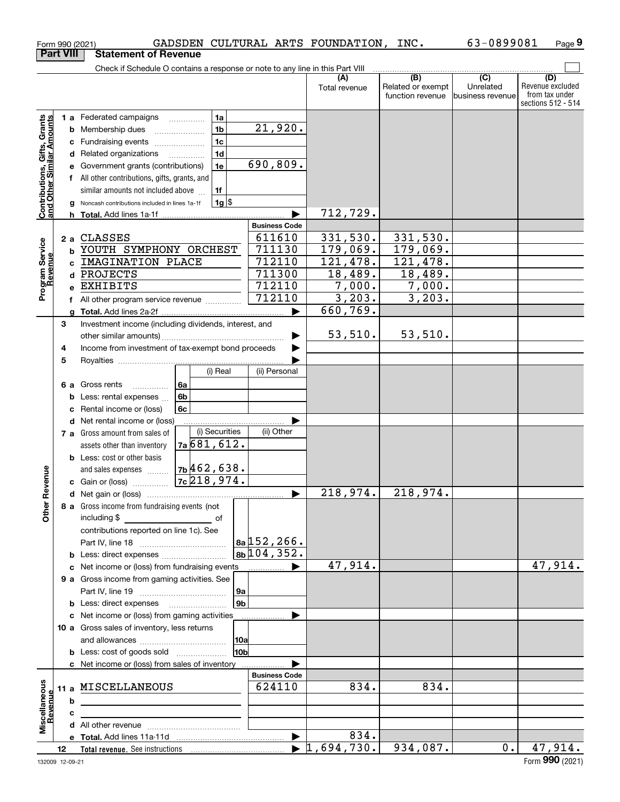|                                                           | Form 990 (2021)  |                                                                               |                 |                       | GADSDEN CULTURAL ARTS FOUNDATION, | INC.                                         | 63-0899081                                        | Page 9                                                          |
|-----------------------------------------------------------|------------------|-------------------------------------------------------------------------------|-----------------|-----------------------|-----------------------------------|----------------------------------------------|---------------------------------------------------|-----------------------------------------------------------------|
|                                                           | <b>Part VIII</b> | <b>Statement of Revenue</b>                                                   |                 |                       |                                   |                                              |                                                   |                                                                 |
|                                                           |                  | Check if Schedule O contains a response or note to any line in this Part VIII |                 |                       |                                   |                                              |                                                   |                                                                 |
|                                                           |                  |                                                                               |                 |                       | (A)<br>Total revenue              | (B)<br>Related or exempt<br>function revenue | $\overline{(C)}$<br>Unrelated<br>business revenue | (D)<br>Revenue excluded<br>from tax under<br>sections 512 - 514 |
|                                                           |                  | <b>1 a</b> Federated campaigns                                                | 1a              |                       |                                   |                                              |                                                   |                                                                 |
|                                                           |                  | <b>b</b> Membership dues                                                      | 1 <sub>b</sub>  | 21,920.               |                                   |                                              |                                                   |                                                                 |
|                                                           |                  | c Fundraising events                                                          | 1 <sub>c</sub>  |                       |                                   |                                              |                                                   |                                                                 |
|                                                           |                  | d Related organizations                                                       | 1 <sub>d</sub>  |                       |                                   |                                              |                                                   |                                                                 |
|                                                           | е                | Government grants (contributions)                                             | 1e              | 690,809.              |                                   |                                              |                                                   |                                                                 |
|                                                           |                  | All other contributions, gifts, grants, and                                   |                 |                       |                                   |                                              |                                                   |                                                                 |
| Contributions, Gifts, Grants<br>and Other Similar Amounts |                  | similar amounts not included above                                            | 1f              |                       |                                   |                                              |                                                   |                                                                 |
|                                                           |                  | Noncash contributions included in lines 1a-1f                                 | $1g$ \$         |                       |                                   |                                              |                                                   |                                                                 |
|                                                           | g                | <b>h</b> Total. Add lines 1a-1f                                               |                 |                       | 712,729.                          |                                              |                                                   |                                                                 |
|                                                           |                  |                                                                               |                 | <b>Business Code</b>  |                                   |                                              |                                                   |                                                                 |
|                                                           | 2a               | <b>CLASSES</b>                                                                |                 | 611610                | 331,530.                          | 331,530.                                     |                                                   |                                                                 |
|                                                           | b                | YOUTH SYMPHONY ORCHEST                                                        |                 | 711130                | 179,069.                          | 179,069.                                     |                                                   |                                                                 |
|                                                           | C                | IMAGINATION PLACE                                                             |                 | 712110                | 121,478.                          | 121,478.                                     |                                                   |                                                                 |
|                                                           |                  | d PROJECTS                                                                    |                 | 711300                | 18,489.                           | 18,489.                                      |                                                   |                                                                 |
| Program Service<br>Revenue                                | e                | EXHIBITS                                                                      |                 | 712110                | 7,000.                            | 7,000.                                       |                                                   |                                                                 |
|                                                           |                  |                                                                               |                 | 712110                | 3,203.                            | 3,203.                                       |                                                   |                                                                 |
|                                                           |                  | f All other program service revenue                                           |                 |                       | 660, 769.                         |                                              |                                                   |                                                                 |
|                                                           | 3                |                                                                               |                 |                       |                                   |                                              |                                                   |                                                                 |
|                                                           |                  | Investment income (including dividends, interest, and                         |                 |                       | 53,510.                           | 53,510.                                      |                                                   |                                                                 |
|                                                           |                  | Income from investment of tax-exempt bond proceeds                            |                 |                       |                                   |                                              |                                                   |                                                                 |
|                                                           | 4                |                                                                               |                 |                       |                                   |                                              |                                                   |                                                                 |
|                                                           | 5                |                                                                               | (i) Real        | (ii) Personal         |                                   |                                              |                                                   |                                                                 |
|                                                           |                  |                                                                               |                 |                       |                                   |                                              |                                                   |                                                                 |
|                                                           | 6а               | Gross rents<br>.                                                              | 6a              |                       |                                   |                                              |                                                   |                                                                 |
|                                                           | b                | Less: rental expenses                                                         | 6 <sub>b</sub>  |                       |                                   |                                              |                                                   |                                                                 |
|                                                           | с                | Rental income or (loss)                                                       | 6c              |                       |                                   |                                              |                                                   |                                                                 |
|                                                           |                  | d Net rental income or (loss)                                                 | (i) Securities  | (ii) Other            |                                   |                                              |                                                   |                                                                 |
|                                                           |                  | 7 a Gross amount from sales of                                                | 7a681,612.      |                       |                                   |                                              |                                                   |                                                                 |
|                                                           |                  | assets other than inventory                                                   |                 |                       |                                   |                                              |                                                   |                                                                 |
|                                                           |                  | <b>b</b> Less: cost or other basis                                            | $7b$ 462,638.   |                       |                                   |                                              |                                                   |                                                                 |
| evenue                                                    |                  | and sales expenses                                                            | $7c$ 218, 974.  |                       |                                   |                                              |                                                   |                                                                 |
|                                                           |                  | c Gain or (loss)                                                              |                 |                       | 218,974.                          | 218,974.                                     |                                                   |                                                                 |
|                                                           |                  |                                                                               |                 |                       |                                   |                                              |                                                   |                                                                 |
| Other R                                                   |                  | 8 a Gross income from fundraising events (not                                 |                 |                       |                                   |                                              |                                                   |                                                                 |
|                                                           |                  |                                                                               |                 |                       |                                   |                                              |                                                   |                                                                 |
|                                                           |                  | contributions reported on line 1c). See                                       |                 | 8a 152, 266.          |                                   |                                              |                                                   |                                                                 |
|                                                           |                  |                                                                               |                 | 8b/104, 352.          |                                   |                                              |                                                   |                                                                 |
|                                                           |                  | <b>b</b> Less: direct expenses                                                |                 |                       | 47,914.                           |                                              |                                                   | $\overline{47,914}$ .                                           |
|                                                           |                  | c Net income or (loss) from fundraising events                                |                 |                       |                                   |                                              |                                                   |                                                                 |
|                                                           |                  | 9 a Gross income from gaming activities. See                                  |                 |                       |                                   |                                              |                                                   |                                                                 |
|                                                           |                  |                                                                               | 9a              |                       |                                   |                                              |                                                   |                                                                 |
|                                                           |                  | <b>b</b> Less: direct expenses <b>manually</b>                                |                 | 9 <sub>b</sub>        |                                   |                                              |                                                   |                                                                 |
|                                                           |                  | c Net income or (loss) from gaming activities                                 |                 | .                     |                                   |                                              |                                                   |                                                                 |
|                                                           |                  | 10 a Gross sales of inventory, less returns                                   |                 |                       |                                   |                                              |                                                   |                                                                 |
|                                                           |                  |                                                                               |                 |                       |                                   |                                              |                                                   |                                                                 |
|                                                           |                  |                                                                               | 10 <sub>b</sub> |                       |                                   |                                              |                                                   |                                                                 |
|                                                           |                  | c Net income or (loss) from sales of inventory                                |                 | <b>Business Code</b>  |                                   |                                              |                                                   |                                                                 |
|                                                           |                  |                                                                               |                 |                       | 834.                              | 834.                                         |                                                   |                                                                 |
| Miscellaneous                                             |                  | 11 a MISCELLANEOUS                                                            |                 | 624110                |                                   |                                              |                                                   |                                                                 |
| Revenue                                                   | b                |                                                                               |                 |                       |                                   |                                              |                                                   |                                                                 |
|                                                           | c                |                                                                               |                 |                       |                                   |                                              |                                                   |                                                                 |
|                                                           |                  |                                                                               |                 |                       | 834.                              |                                              |                                                   |                                                                 |
|                                                           |                  |                                                                               |                 | $\blacktriangleright$ | $\blacktriangleright$ 1,694,730.  | 934,087.                                     | 0.1                                               |                                                                 |
|                                                           | 12               |                                                                               |                 |                       |                                   |                                              |                                                   | 47,914.                                                         |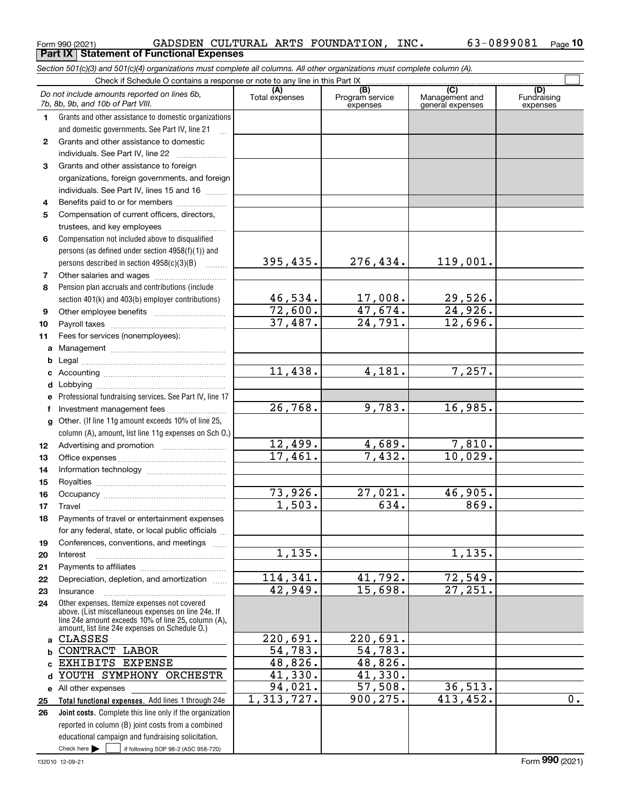|              | Do not include amounts reported on lines 6b,<br>7b, 8b, 9b, and 10b of Part VIII.                                                                                                                            | (A)<br>Total expenses | $\overline{(B)}$<br>Program service<br>expenses | $\overline{C}$<br>Management and<br>general expenses | (D)<br>Fundraising<br>expenses |
|--------------|--------------------------------------------------------------------------------------------------------------------------------------------------------------------------------------------------------------|-----------------------|-------------------------------------------------|------------------------------------------------------|--------------------------------|
| 1.           | Grants and other assistance to domestic organizations                                                                                                                                                        |                       |                                                 |                                                      |                                |
|              | and domestic governments. See Part IV, line 21                                                                                                                                                               |                       |                                                 |                                                      |                                |
| $\mathbf{2}$ | Grants and other assistance to domestic                                                                                                                                                                      |                       |                                                 |                                                      |                                |
|              | individuals. See Part IV, line 22                                                                                                                                                                            |                       |                                                 |                                                      |                                |
| 3            | Grants and other assistance to foreign                                                                                                                                                                       |                       |                                                 |                                                      |                                |
|              | organizations, foreign governments, and foreign                                                                                                                                                              |                       |                                                 |                                                      |                                |
|              | individuals. See Part IV, lines 15 and 16                                                                                                                                                                    |                       |                                                 |                                                      |                                |
| 4            | Benefits paid to or for members                                                                                                                                                                              |                       |                                                 |                                                      |                                |
| 5            | Compensation of current officers, directors,                                                                                                                                                                 |                       |                                                 |                                                      |                                |
|              | trustees, and key employees                                                                                                                                                                                  |                       |                                                 |                                                      |                                |
| 6            | Compensation not included above to disqualified                                                                                                                                                              |                       |                                                 |                                                      |                                |
|              | persons (as defined under section 4958(f)(1)) and                                                                                                                                                            |                       |                                                 |                                                      |                                |
|              | persons described in section 4958(c)(3)(B)                                                                                                                                                                   | 395,435.              | 276,434.                                        | 119,001.                                             |                                |
| 7            |                                                                                                                                                                                                              |                       |                                                 |                                                      |                                |
| 8            | Pension plan accruals and contributions (include                                                                                                                                                             |                       |                                                 |                                                      |                                |
|              | section 401(k) and 403(b) employer contributions)                                                                                                                                                            | 46,534.               | 17,008.                                         | 29,526.                                              |                                |
| 9            |                                                                                                                                                                                                              | 72,600.               | 47,674.                                         | 24,926.                                              |                                |
| 10           |                                                                                                                                                                                                              | 37,487.               | $\overline{24,791}$ .                           | 12,696.                                              |                                |
| 11           | Fees for services (nonemployees):                                                                                                                                                                            |                       |                                                 |                                                      |                                |
| a            |                                                                                                                                                                                                              |                       |                                                 |                                                      |                                |
| b            |                                                                                                                                                                                                              |                       |                                                 |                                                      |                                |
| c            |                                                                                                                                                                                                              | 11,438.               | $\overline{4,181}$ .                            | 7,257.                                               |                                |
| d            |                                                                                                                                                                                                              |                       |                                                 |                                                      |                                |
| е            | Professional fundraising services. See Part IV, line 17                                                                                                                                                      |                       |                                                 |                                                      |                                |
| f            | Investment management fees                                                                                                                                                                                   | 26,768.               | 9,783.                                          | 16,985.                                              |                                |
| g            | Other. (If line 11g amount exceeds 10% of line 25,                                                                                                                                                           |                       |                                                 |                                                      |                                |
|              | column (A), amount, list line 11g expenses on Sch O.)                                                                                                                                                        |                       |                                                 |                                                      |                                |
| 12           |                                                                                                                                                                                                              | 12,499.               | $\frac{4,689.}{7,432.}$                         | 7,810.                                               |                                |
| 13           |                                                                                                                                                                                                              | 17,461.               |                                                 | 10,029.                                              |                                |
| 14           |                                                                                                                                                                                                              |                       |                                                 |                                                      |                                |
| 15           |                                                                                                                                                                                                              |                       |                                                 |                                                      |                                |
| 16           |                                                                                                                                                                                                              | 73,926.               | 27,021.                                         | 46,905.                                              |                                |
| 17           | Travel                                                                                                                                                                                                       | 1,503.                | 634.                                            | 869.                                                 |                                |
| 18           | Payments of travel or entertainment expenses                                                                                                                                                                 |                       |                                                 |                                                      |                                |
|              | for any federal, state, or local public officials                                                                                                                                                            |                       |                                                 |                                                      |                                |
| 19           | Conferences, conventions, and meetings                                                                                                                                                                       |                       |                                                 |                                                      |                                |
| 20           | Interest                                                                                                                                                                                                     | 1,135.                |                                                 | 1,135.                                               |                                |
| 21           |                                                                                                                                                                                                              |                       |                                                 |                                                      |                                |
| 22           | Depreciation, depletion, and amortization                                                                                                                                                                    | 114,341.<br>42,949.   | 41,792.<br>15,698.                              | $\overline{72,549}$ .<br>$\overline{27,251}$ .       |                                |
| 23           | Insurance                                                                                                                                                                                                    |                       |                                                 |                                                      |                                |
| 24           | Other expenses. Itemize expenses not covered<br>above. (List miscellaneous expenses on line 24e. If<br>line 24e amount exceeds 10% of line 25, column (A),<br>amount, list line 24e expenses on Schedule O.) |                       |                                                 |                                                      |                                |
| a            | <b>CLASSES</b>                                                                                                                                                                                               | 220,691.              | 220,691.                                        |                                                      |                                |
| b            | CONTRACT LABOR                                                                                                                                                                                               | 54,783.               | $\overline{54,783.}$                            |                                                      |                                |
| c.           | EXHIBITS EXPENSE                                                                                                                                                                                             | 48,826.               | 48,826.                                         |                                                      |                                |
| d            | YOUTH SYMPHONY ORCHESTR                                                                                                                                                                                      | 41,330.               | 41,330.                                         |                                                      |                                |
|              | e All other expenses                                                                                                                                                                                         | 94,021.               | 57,508.                                         | 36,513.                                              |                                |
| 25           | Total functional expenses. Add lines 1 through 24e                                                                                                                                                           | 1,313,727.            | 900, 275.                                       | 413, 452.                                            | $\overline{0}$ .               |
| 26           | Joint costs. Complete this line only if the organization                                                                                                                                                     |                       |                                                 |                                                      |                                |
|              | reported in column (B) joint costs from a combined                                                                                                                                                           |                       |                                                 |                                                      |                                |
|              | educational campaign and fundraising solicitation.                                                                                                                                                           |                       |                                                 |                                                      |                                |
|              | Check here $\blacktriangleright$<br>if following SOP 98-2 (ASC 958-720)                                                                                                                                      |                       |                                                 |                                                      |                                |

*Section 501(c)(3) and 501(c)(4) organizations must complete all columns. All other organizations must complete column (A).*

Form 990 (2021) Page **Part IX Statement of Functional Expenses**

GADSDEN CULTURAL ARTS FOUNDATION, INC. 63-0899081

**10**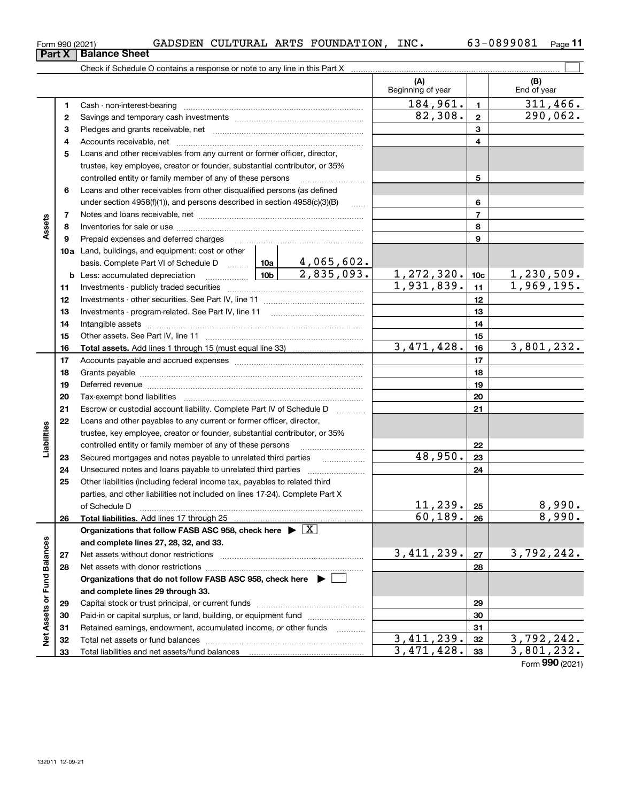**Net Assets or Fund Balances**

Net Assets or Fund Balances

|               | Form 990 (2021) | GADSDEN CULTURAL ARTS FOUNDATION, INC.                                                                                                                                                                                        |            |            |                            |                 | 63-0899081<br>$_{\sf Page}$ 11 |
|---------------|-----------------|-------------------------------------------------------------------------------------------------------------------------------------------------------------------------------------------------------------------------------|------------|------------|----------------------------|-----------------|--------------------------------|
|               | Part X          | <b>Balance Sheet</b>                                                                                                                                                                                                          |            |            |                            |                 |                                |
|               |                 |                                                                                                                                                                                                                               |            |            |                            |                 |                                |
|               |                 |                                                                                                                                                                                                                               |            |            | (A)<br>Beginning of year   |                 | (B)<br>End of year             |
|               | 1.              |                                                                                                                                                                                                                               |            |            | 184,961.                   | $\mathbf{1}$    | 311,466.                       |
|               | 2               |                                                                                                                                                                                                                               |            |            | 82,308.                    | $\mathbf{2}$    | 290,062.                       |
|               | з               |                                                                                                                                                                                                                               |            |            |                            | 3               |                                |
|               | 4               |                                                                                                                                                                                                                               |            |            |                            | 4               |                                |
|               | 5               | Loans and other receivables from any current or former officer, director,                                                                                                                                                     |            |            |                            |                 |                                |
|               |                 | trustee, key employee, creator or founder, substantial contributor, or 35%                                                                                                                                                    |            |            |                            |                 |                                |
|               |                 | controlled entity or family member of any of these persons                                                                                                                                                                    |            |            |                            | 5               |                                |
|               | 6               | Loans and other receivables from other disqualified persons (as defined                                                                                                                                                       |            |            |                            |                 |                                |
|               |                 | under section 4958(f)(1)), and persons described in section 4958(c)(3)(B)                                                                                                                                                     |            |            |                            | 6               |                                |
|               | 7               |                                                                                                                                                                                                                               |            |            |                            | 7               |                                |
| Assets        | 8               |                                                                                                                                                                                                                               |            |            | 8                          |                 |                                |
|               | 9               |                                                                                                                                                                                                                               |            |            |                            | 9               |                                |
|               |                 | 10a Land, buildings, and equipment: cost or other                                                                                                                                                                             |            |            |                            |                 |                                |
|               |                 | basis. Complete Part VI of Schedule D    10a   4,065,602.                                                                                                                                                                     |            |            |                            |                 |                                |
|               |                 |                                                                                                                                                                                                                               |            | 2,835,093. | 1, 272, 320.               | 10 <sub>c</sub> | 1,230,509.                     |
|               | 11              |                                                                                                                                                                                                                               |            |            | 1,931,839.                 | 11              | 1,969,195.                     |
|               | 12              |                                                                                                                                                                                                                               |            |            | 12                         |                 |                                |
|               | 13              |                                                                                                                                                                                                                               |            | 13         |                            |                 |                                |
|               | 14              |                                                                                                                                                                                                                               |            | 14         |                            |                 |                                |
|               | 15              |                                                                                                                                                                                                                               |            | 15         |                            |                 |                                |
|               | 16              |                                                                                                                                                                                                                               | 3,471,428. | 16         | 3,801,232.                 |                 |                                |
|               | 17              |                                                                                                                                                                                                                               |            |            |                            | 17              |                                |
|               | 18              |                                                                                                                                                                                                                               |            |            |                            | 18              |                                |
|               | 19              | Deferred revenue members and contain an area and an architecture of the contact of the contact of the contact of the contact of the contact of the contact of the contact of the contact of the contact of the contact of the |            |            |                            | 19              |                                |
|               | 20              |                                                                                                                                                                                                                               |            |            |                            | 20              |                                |
|               | 21              | Escrow or custodial account liability. Complete Part IV of Schedule D                                                                                                                                                         |            |            |                            | 21              |                                |
|               | 22              | Loans and other payables to any current or former officer, director,                                                                                                                                                          |            |            |                            |                 |                                |
| Liabilities   |                 | trustee, key employee, creator or founder, substantial contributor, or 35%                                                                                                                                                    |            |            |                            |                 |                                |
|               |                 | controlled entity or family member of any of these persons                                                                                                                                                                    |            |            |                            | 22              |                                |
|               | 23              |                                                                                                                                                                                                                               |            |            | 48,950.                    | 23              |                                |
|               | 24              |                                                                                                                                                                                                                               |            |            |                            | 24              |                                |
|               | 25              | Other liabilities (including federal income tax, payables to related third                                                                                                                                                    |            |            |                            |                 |                                |
|               |                 | parties, and other liabilities not included on lines 17-24). Complete Part X                                                                                                                                                  |            |            |                            |                 |                                |
|               |                 | of Schedule D                                                                                                                                                                                                                 |            |            | <u>11,239.</u><br>60, 189. | 25              | $\frac{8,990.}{8,990.}$        |
|               | 26              | Total liabilities. Add lines 17 through 25                                                                                                                                                                                    |            |            |                            | 26              |                                |
|               |                 | Organizations that follow FASB ASC 958, check here $\triangleright \lfloor X \rfloor$                                                                                                                                         |            |            |                            |                 |                                |
|               |                 | and complete lines 27, 28, 32, and 33.                                                                                                                                                                                        |            |            | 3,411,239.                 |                 | 3,792,242.                     |
|               | 27<br>28        | Net assets without donor restrictions                                                                                                                                                                                         |            |            |                            | 27<br>28        |                                |
|               |                 | Net assets with donor restrictions<br>Organizations that do not follow FASB ASC 958, check here $\blacktriangleright$                                                                                                         |            |            |                            |                 |                                |
| Fund Balances |                 | and complete lines 29 through 33.                                                                                                                                                                                             |            |            |                            |                 |                                |
|               |                 |                                                                                                                                                                                                                               |            |            |                            |                 |                                |

Capital stock or trust principal, or current funds ~~~~~~~~~~~~~~~ Paid-in or capital surplus, or land, building, or equipment fund www.commun.com Retained earnings, endowment, accumulated income, or other funds we have all the Total net assets or fund balances ~~~~~~~~~~~~~~~~~~~~~~

Total liabilities and net assets/fund balances

Form (2021) **990**

 $3,411,239.$   $3,792,242.$  $3,471,428.$   $3,801,232.$ 

|  | Form 990 (2021) |
|--|-----------------|
|  |                 |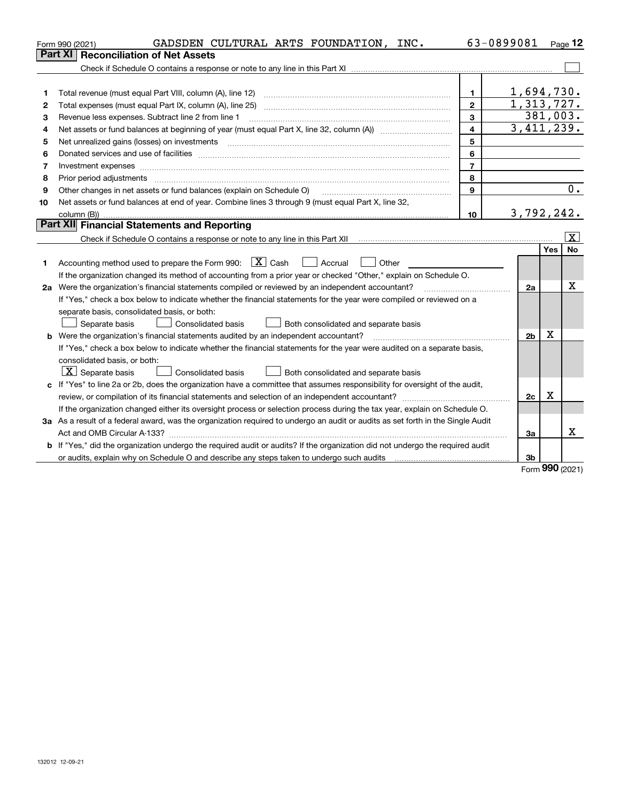|    | GADSDEN CULTURAL ARTS FOUNDATION, INC.<br>Form 990 (2021)                                                                                                           | 63-0899081       |                |     | Page 12                 |
|----|---------------------------------------------------------------------------------------------------------------------------------------------------------------------|------------------|----------------|-----|-------------------------|
|    | Part XI<br><b>Reconciliation of Net Assets</b>                                                                                                                      |                  |                |     |                         |
|    |                                                                                                                                                                     |                  |                |     |                         |
|    |                                                                                                                                                                     |                  |                |     |                         |
| 1  | Total revenue (must equal Part VIII, column (A), line 12)                                                                                                           | $\mathbf{1}$     | 1,694,730.     |     |                         |
| 2  | Total expenses (must equal Part IX, column (A), line 25)                                                                                                            | $\overline{2}$   | 1,313,727.     |     |                         |
| з  | Revenue less expenses. Subtract line 2 from line 1                                                                                                                  |                  | 381,003.       |     |                         |
| 4  |                                                                                                                                                                     | 4                | 3,411,239.     |     |                         |
| 5  | Net unrealized gains (losses) on investments                                                                                                                        | 5                |                |     |                         |
| 6  |                                                                                                                                                                     | 6                |                |     |                         |
| 7  |                                                                                                                                                                     | $\overline{7}$   |                |     |                         |
| 8  | Prior period adjustments                                                                                                                                            | 8                |                |     |                         |
| 9  | Other changes in net assets or fund balances (explain on Schedule O)                                                                                                | 9                |                |     | 0.                      |
| 10 | Net assets or fund balances at end of year. Combine lines 3 through 9 (must equal Part X, line 32,                                                                  |                  |                |     |                         |
|    | column (B))                                                                                                                                                         | 10 <sup>10</sup> | 3,792,242.     |     |                         |
|    | Part XII Financial Statements and Reporting                                                                                                                         |                  |                |     |                         |
|    | Check if Schedule O contains a response or note to any line in this Part XII [11] [12] Check if Schedule O contains a response or note to any line in this Part XII |                  |                |     | $\overline{\mathbf{x}}$ |
|    |                                                                                                                                                                     |                  |                | Yes | <b>No</b>               |
| 1  | Accounting method used to prepare the Form 990: $X$ Cash<br>  Accrual<br>Other                                                                                      |                  |                |     |                         |
|    | If the organization changed its method of accounting from a prior year or checked "Other," explain on Schedule O.                                                   |                  |                |     |                         |
|    | 2a Were the organization's financial statements compiled or reviewed by an independent accountant?                                                                  |                  | 2a             |     | X                       |
|    | If "Yes," check a box below to indicate whether the financial statements for the year were compiled or reviewed on a                                                |                  |                |     |                         |
|    | separate basis, consolidated basis, or both:                                                                                                                        |                  |                |     |                         |
|    | Separate basis<br>Consolidated basis<br>Both consolidated and separate basis                                                                                        |                  |                |     |                         |
|    | <b>b</b> Were the organization's financial statements audited by an independent accountant?                                                                         |                  | 2 <sub>b</sub> | Χ   |                         |
|    | If "Yes," check a box below to indicate whether the financial statements for the year were audited on a separate basis,                                             |                  |                |     |                         |
|    | consolidated basis, or both:                                                                                                                                        |                  |                |     |                         |
|    | $ \mathbf{X} $ Separate basis<br><b>Consolidated basis</b><br>Both consolidated and separate basis                                                                  |                  |                |     |                         |
| c  | If "Yes" to line 2a or 2b, does the organization have a committee that assumes responsibility for oversight of the audit,                                           |                  |                |     |                         |
|    |                                                                                                                                                                     |                  | 2c             | х   |                         |
|    | If the organization changed either its oversight process or selection process during the tax year, explain on Schedule O.                                           |                  |                |     |                         |
|    | 3a As a result of a federal award, was the organization required to undergo an audit or audits as set forth in the Single Audit                                     |                  |                |     |                         |
|    |                                                                                                                                                                     |                  | За             |     | х                       |
|    | b If "Yes," did the organization undergo the required audit or audits? If the organization did not undergo the required audit                                       |                  |                |     |                         |
|    |                                                                                                                                                                     |                  | 3b             |     |                         |

Form (2021) **990**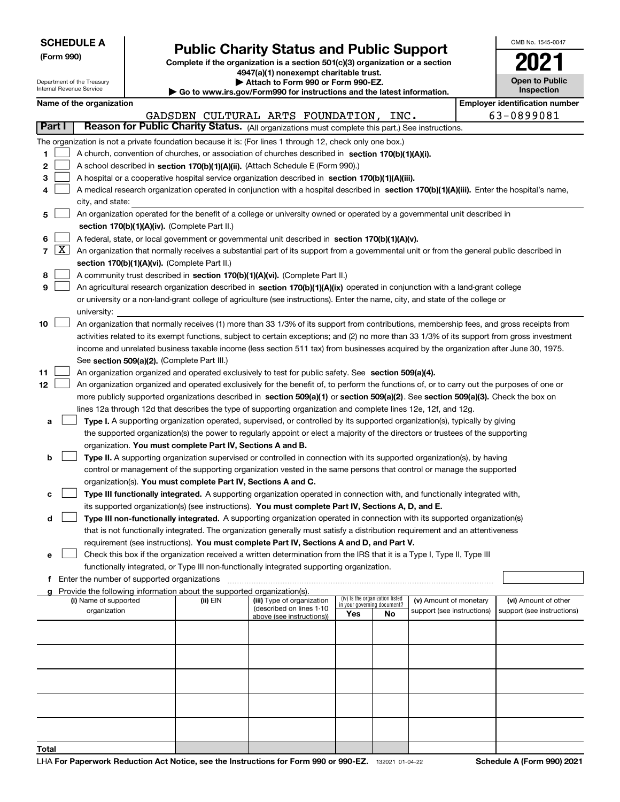| <b>SCHEDULE A</b> |  |
|-------------------|--|
|-------------------|--|

Department of the Treasury Internal Revenue Service

**(Form 990)**

# **Public Charity Status and Public Support**

**Complete if the organization is a section 501(c)(3) organization or a section 4947(a)(1) nonexempt charitable trust.**

**| Attach to Form 990 or Form 990-EZ.** 

**| Go to www.irs.gov/Form990 for instructions and the latest information.**

| OMB No. 1545-0047                   |
|-------------------------------------|
|                                     |
| <b>Open to Public</b><br>Inspection |

|        | Name of the organization                                                                         |  |                                   |      | <b>Employer identification number</b> |
|--------|--------------------------------------------------------------------------------------------------|--|-----------------------------------|------|---------------------------------------|
|        |                                                                                                  |  | GADSDEN CULTURAL ARTS FOUNDATION. | INC. | 63-0899081                            |
| Part I | Reason for Public Charity Status. (All organizations must complete this part.) See instructions. |  |                                   |      |                                       |

|    |            |                                                                                                                                              |          | GADSDEN CULTURAL ARTS FOUNDATION, INC.                |                             |                                 |                            |  | 63-0899081                 |  |  |  |  |
|----|------------|----------------------------------------------------------------------------------------------------------------------------------------------|----------|-------------------------------------------------------|-----------------------------|---------------------------------|----------------------------|--|----------------------------|--|--|--|--|
|    | Part I     | Reason for Public Charity Status. (All organizations must complete this part.) See instructions.                                             |          |                                                       |                             |                                 |                            |  |                            |  |  |  |  |
|    |            | The organization is not a private foundation because it is: (For lines 1 through 12, check only one box.)                                    |          |                                                       |                             |                                 |                            |  |                            |  |  |  |  |
| 1  |            | A church, convention of churches, or association of churches described in section 170(b)(1)(A)(i).                                           |          |                                                       |                             |                                 |                            |  |                            |  |  |  |  |
| 2  |            | A school described in section 170(b)(1)(A)(ii). (Attach Schedule E (Form 990).)                                                              |          |                                                       |                             |                                 |                            |  |                            |  |  |  |  |
| з  |            | A hospital or a cooperative hospital service organization described in section 170(b)(1)(A)(iii).                                            |          |                                                       |                             |                                 |                            |  |                            |  |  |  |  |
|    |            | A medical research organization operated in conjunction with a hospital described in section 170(b)(1)(A)(iii). Enter the hospital's name,   |          |                                                       |                             |                                 |                            |  |                            |  |  |  |  |
|    |            | city, and state:                                                                                                                             |          |                                                       |                             |                                 |                            |  |                            |  |  |  |  |
|    |            |                                                                                                                                              |          |                                                       |                             |                                 |                            |  |                            |  |  |  |  |
| 5. |            | An organization operated for the benefit of a college or university owned or operated by a governmental unit described in                    |          |                                                       |                             |                                 |                            |  |                            |  |  |  |  |
|    |            | section 170(b)(1)(A)(iv). (Complete Part II.)                                                                                                |          |                                                       |                             |                                 |                            |  |                            |  |  |  |  |
| 6  |            | A federal, state, or local government or governmental unit described in section 170(b)(1)(A)(v).                                             |          |                                                       |                             |                                 |                            |  |                            |  |  |  |  |
|    | $7 \times$ | An organization that normally receives a substantial part of its support from a governmental unit or from the general public described in    |          |                                                       |                             |                                 |                            |  |                            |  |  |  |  |
|    |            | section 170(b)(1)(A)(vi). (Complete Part II.)                                                                                                |          |                                                       |                             |                                 |                            |  |                            |  |  |  |  |
| 8  |            | A community trust described in section 170(b)(1)(A)(vi). (Complete Part II.)                                                                 |          |                                                       |                             |                                 |                            |  |                            |  |  |  |  |
| 9  |            | An agricultural research organization described in section 170(b)(1)(A)(ix) operated in conjunction with a land-grant college                |          |                                                       |                             |                                 |                            |  |                            |  |  |  |  |
|    |            | or university or a non-land-grant college of agriculture (see instructions). Enter the name, city, and state of the college or               |          |                                                       |                             |                                 |                            |  |                            |  |  |  |  |
|    |            | university:                                                                                                                                  |          |                                                       |                             |                                 |                            |  |                            |  |  |  |  |
| 10 |            | An organization that normally receives (1) more than 33 1/3% of its support from contributions, membership fees, and gross receipts from     |          |                                                       |                             |                                 |                            |  |                            |  |  |  |  |
|    |            | activities related to its exempt functions, subject to certain exceptions; and (2) no more than 33 1/3% of its support from gross investment |          |                                                       |                             |                                 |                            |  |                            |  |  |  |  |
|    |            | income and unrelated business taxable income (less section 511 tax) from businesses acquired by the organization after June 30, 1975.        |          |                                                       |                             |                                 |                            |  |                            |  |  |  |  |
|    |            | See section 509(a)(2). (Complete Part III.)                                                                                                  |          |                                                       |                             |                                 |                            |  |                            |  |  |  |  |
| 11 |            | An organization organized and operated exclusively to test for public safety. See section 509(a)(4).                                         |          |                                                       |                             |                                 |                            |  |                            |  |  |  |  |
| 12 |            | An organization organized and operated exclusively for the benefit of, to perform the functions of, or to carry out the purposes of one or   |          |                                                       |                             |                                 |                            |  |                            |  |  |  |  |
|    |            | more publicly supported organizations described in section 509(a)(1) or section 509(a)(2). See section 509(a)(3). Check the box on           |          |                                                       |                             |                                 |                            |  |                            |  |  |  |  |
|    |            | lines 12a through 12d that describes the type of supporting organization and complete lines 12e, 12f, and 12g.                               |          |                                                       |                             |                                 |                            |  |                            |  |  |  |  |
| а  |            | Type I. A supporting organization operated, supervised, or controlled by its supported organization(s), typically by giving                  |          |                                                       |                             |                                 |                            |  |                            |  |  |  |  |
|    |            | the supported organization(s) the power to regularly appoint or elect a majority of the directors or trustees of the supporting              |          |                                                       |                             |                                 |                            |  |                            |  |  |  |  |
|    |            | organization. You must complete Part IV, Sections A and B.                                                                                   |          |                                                       |                             |                                 |                            |  |                            |  |  |  |  |
| b  |            | Type II. A supporting organization supervised or controlled in connection with its supported organization(s), by having                      |          |                                                       |                             |                                 |                            |  |                            |  |  |  |  |
|    |            | control or management of the supporting organization vested in the same persons that control or manage the supported                         |          |                                                       |                             |                                 |                            |  |                            |  |  |  |  |
|    |            | organization(s). You must complete Part IV, Sections A and C.                                                                                |          |                                                       |                             |                                 |                            |  |                            |  |  |  |  |
| с  |            | Type III functionally integrated. A supporting organization operated in connection with, and functionally integrated with,                   |          |                                                       |                             |                                 |                            |  |                            |  |  |  |  |
|    |            | its supported organization(s) (see instructions). You must complete Part IV, Sections A, D, and E.                                           |          |                                                       |                             |                                 |                            |  |                            |  |  |  |  |
| d  |            | Type III non-functionally integrated. A supporting organization operated in connection with its supported organization(s)                    |          |                                                       |                             |                                 |                            |  |                            |  |  |  |  |
|    |            | that is not functionally integrated. The organization generally must satisfy a distribution requirement and an attentiveness                 |          |                                                       |                             |                                 |                            |  |                            |  |  |  |  |
|    |            | requirement (see instructions). You must complete Part IV, Sections A and D, and Part V.                                                     |          |                                                       |                             |                                 |                            |  |                            |  |  |  |  |
| е  |            | Check this box if the organization received a written determination from the IRS that it is a Type I, Type II, Type III                      |          |                                                       |                             |                                 |                            |  |                            |  |  |  |  |
|    |            | functionally integrated, or Type III non-functionally integrated supporting organization.                                                    |          |                                                       |                             |                                 |                            |  |                            |  |  |  |  |
|    |            | Enter the number of supported organizations                                                                                                  |          |                                                       |                             |                                 |                            |  |                            |  |  |  |  |
|    |            | Provide the following information about the supported organization(s).                                                                       |          |                                                       |                             |                                 |                            |  |                            |  |  |  |  |
|    |            | (i) Name of supported                                                                                                                        | (ii) EIN | (iii) Type of organization                            | in your governing document? | (iv) Is the organization listed | (v) Amount of monetary     |  | (vi) Amount of other       |  |  |  |  |
|    |            | organization                                                                                                                                 |          | (described on lines 1-10<br>above (see instructions)) | Yes                         | No                              | support (see instructions) |  | support (see instructions) |  |  |  |  |
|    |            |                                                                                                                                              |          |                                                       |                             |                                 |                            |  |                            |  |  |  |  |
|    |            |                                                                                                                                              |          |                                                       |                             |                                 |                            |  |                            |  |  |  |  |
|    |            |                                                                                                                                              |          |                                                       |                             |                                 |                            |  |                            |  |  |  |  |
|    |            |                                                                                                                                              |          |                                                       |                             |                                 |                            |  |                            |  |  |  |  |
|    |            |                                                                                                                                              |          |                                                       |                             |                                 |                            |  |                            |  |  |  |  |
|    |            |                                                                                                                                              |          |                                                       |                             |                                 |                            |  |                            |  |  |  |  |
|    |            |                                                                                                                                              |          |                                                       |                             |                                 |                            |  |                            |  |  |  |  |
|    |            |                                                                                                                                              |          |                                                       |                             |                                 |                            |  |                            |  |  |  |  |
|    |            |                                                                                                                                              |          |                                                       |                             |                                 |                            |  |                            |  |  |  |  |
|    |            |                                                                                                                                              |          |                                                       |                             |                                 |                            |  |                            |  |  |  |  |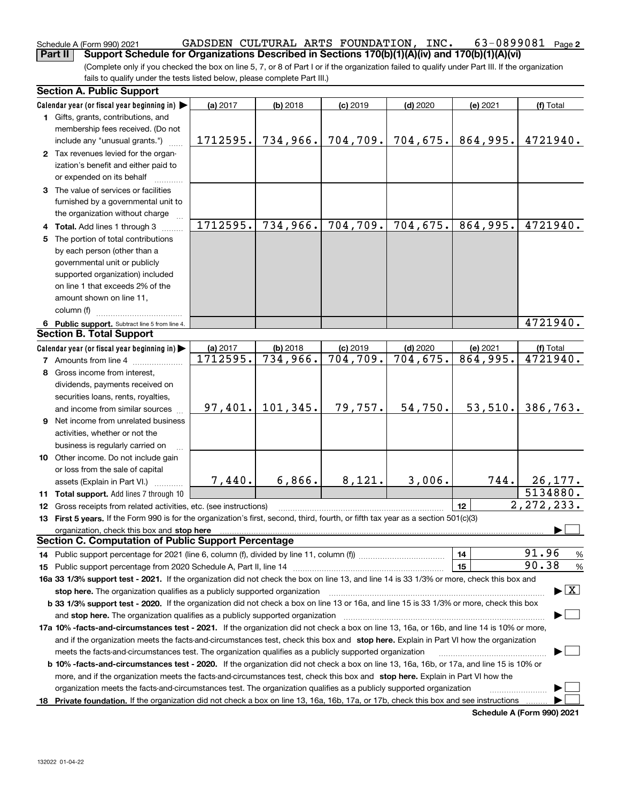### **2** Schedule A (Form 990) 2021 GADSDEN CULTURAL ARTS FOUNDATION , INC 63-0899081 Page **Part II** Support Schedule for Organizations Described in Sections 170(b)(1)(A)(iv) and 170(b)(1)(A)(vi)

(Complete only if you checked the box on line 5, 7, or 8 of Part I or if the organization failed to qualify under Part III. If the organization fails to qualify under the tests listed below, please complete Part III.)

|   | <b>Section A. Public Support</b>                                                                                                               |          |            |            |            |            |                                          |  |  |
|---|------------------------------------------------------------------------------------------------------------------------------------------------|----------|------------|------------|------------|------------|------------------------------------------|--|--|
|   | Calendar year (or fiscal year beginning in)                                                                                                    | (a) 2017 | $(b)$ 2018 | $(c)$ 2019 | $(d)$ 2020 | (e) 2021   | (f) Total                                |  |  |
|   | 1 Gifts, grants, contributions, and                                                                                                            |          |            |            |            |            |                                          |  |  |
|   | membership fees received. (Do not                                                                                                              |          |            |            |            |            |                                          |  |  |
|   | include any "unusual grants.")                                                                                                                 | 1712595. | 734,966.   | 704, 709.  | 704, 675.  | 864,995.   | 4721940.                                 |  |  |
|   | 2 Tax revenues levied for the organ-                                                                                                           |          |            |            |            |            |                                          |  |  |
|   | ization's benefit and either paid to                                                                                                           |          |            |            |            |            |                                          |  |  |
|   | or expended on its behalf                                                                                                                      |          |            |            |            |            |                                          |  |  |
|   | 3 The value of services or facilities                                                                                                          |          |            |            |            |            |                                          |  |  |
|   | furnished by a governmental unit to                                                                                                            |          |            |            |            |            |                                          |  |  |
|   | the organization without charge                                                                                                                |          |            |            |            |            |                                          |  |  |
|   | 4 Total. Add lines 1 through 3                                                                                                                 | 1712595. | 734,966.   | 704, 709.  | 704,675.   | 864,995.   | 4721940.                                 |  |  |
|   | 5 The portion of total contributions                                                                                                           |          |            |            |            |            |                                          |  |  |
|   | by each person (other than a                                                                                                                   |          |            |            |            |            |                                          |  |  |
|   | governmental unit or publicly                                                                                                                  |          |            |            |            |            |                                          |  |  |
|   | supported organization) included                                                                                                               |          |            |            |            |            |                                          |  |  |
|   | on line 1 that exceeds 2% of the                                                                                                               |          |            |            |            |            |                                          |  |  |
|   | amount shown on line 11,                                                                                                                       |          |            |            |            |            |                                          |  |  |
|   | column (f)                                                                                                                                     |          |            |            |            |            |                                          |  |  |
|   | 6 Public support. Subtract line 5 from line 4.                                                                                                 |          |            |            |            |            | 4721940.                                 |  |  |
|   | <b>Section B. Total Support</b>                                                                                                                |          |            |            |            |            |                                          |  |  |
|   | Calendar year (or fiscal year beginning in) $\blacktriangleright$                                                                              | (a) 2017 | $(b)$ 2018 | $(c)$ 2019 | $(d)$ 2020 | $(e)$ 2021 | (f) Total                                |  |  |
|   | <b>7</b> Amounts from line 4                                                                                                                   | 1712595. | 734,966.   | 704, 709.  | 704, 675.  | 864,995.   | 4721940.                                 |  |  |
| 8 | Gross income from interest,                                                                                                                    |          |            |            |            |            |                                          |  |  |
|   | dividends, payments received on                                                                                                                |          |            |            |            |            |                                          |  |  |
|   | securities loans, rents, royalties,                                                                                                            |          |            |            |            |            |                                          |  |  |
|   | and income from similar sources                                                                                                                | 97,401.  | 101, 345.  | 79,757.    | 54,750.    | 53,510.    | 386,763.                                 |  |  |
|   | 9 Net income from unrelated business                                                                                                           |          |            |            |            |            |                                          |  |  |
|   |                                                                                                                                                |          |            |            |            |            |                                          |  |  |
|   | activities, whether or not the                                                                                                                 |          |            |            |            |            |                                          |  |  |
|   | business is regularly carried on                                                                                                               |          |            |            |            |            |                                          |  |  |
|   | 10 Other income. Do not include gain                                                                                                           |          |            |            |            |            |                                          |  |  |
|   | or loss from the sale of capital                                                                                                               | 7,440.   | 6,866.     | 8,121.     | 3,006.     | 744.       | 26, 177.                                 |  |  |
|   | assets (Explain in Part VI.)                                                                                                                   |          |            |            |            |            | 5134880.                                 |  |  |
|   | 11 Total support. Add lines 7 through 10                                                                                                       |          |            |            |            |            | 2, 272, 233.                             |  |  |
|   | <b>12</b> Gross receipts from related activities, etc. (see instructions)                                                                      |          |            |            |            | 12         |                                          |  |  |
|   | 13 First 5 years. If the Form 990 is for the organization's first, second, third, fourth, or fifth tax year as a section 501(c)(3)             |          |            |            |            |            |                                          |  |  |
|   | organization, check this box and stop here<br><b>Section C. Computation of Public Support Percentage</b>                                       |          |            |            |            |            |                                          |  |  |
|   |                                                                                                                                                |          |            |            |            |            | 91.96                                    |  |  |
|   | 14 Public support percentage for 2021 (line 6, column (f), divided by line 11, column (f) <i>mummumumum</i>                                    |          |            |            |            | 14         | %<br>90.38                               |  |  |
|   |                                                                                                                                                |          |            |            |            | 15         | %                                        |  |  |
|   | 16a 33 1/3% support test - 2021. If the organization did not check the box on line 13, and line 14 is 33 1/3% or more, check this box and      |          |            |            |            |            |                                          |  |  |
|   | stop here. The organization qualifies as a publicly supported organization                                                                     |          |            |            |            |            | $\blacktriangleright$ $\boxed{\text{X}}$ |  |  |
|   | b 33 1/3% support test - 2020. If the organization did not check a box on line 13 or 16a, and line 15 is 33 1/3% or more, check this box       |          |            |            |            |            |                                          |  |  |
|   | and stop here. The organization qualifies as a publicly supported organization                                                                 |          |            |            |            |            |                                          |  |  |
|   | 17a 10% -facts-and-circumstances test - 2021. If the organization did not check a box on line 13, 16a, or 16b, and line 14 is 10% or more,     |          |            |            |            |            |                                          |  |  |
|   | and if the organization meets the facts-and-circumstances test, check this box and stop here. Explain in Part VI how the organization          |          |            |            |            |            |                                          |  |  |
|   | meets the facts-and-circumstances test. The organization qualifies as a publicly supported organization                                        |          |            |            |            |            |                                          |  |  |
|   | <b>b 10% -facts-and-circumstances test - 2020.</b> If the organization did not check a box on line 13, 16a, 16b, or 17a, and line 15 is 10% or |          |            |            |            |            |                                          |  |  |
|   | more, and if the organization meets the facts-and-circumstances test, check this box and stop here. Explain in Part VI how the                 |          |            |            |            |            |                                          |  |  |
|   | organization meets the facts-and-circumstances test. The organization qualifies as a publicly supported organization                           |          |            |            |            |            |                                          |  |  |
|   | 18 Private foundation. If the organization did not check a box on line 13, 16a, 16b, 17a, or 17b, check this box and see instructions          |          |            |            |            |            |                                          |  |  |

**Schedule A (Form 990) 2021**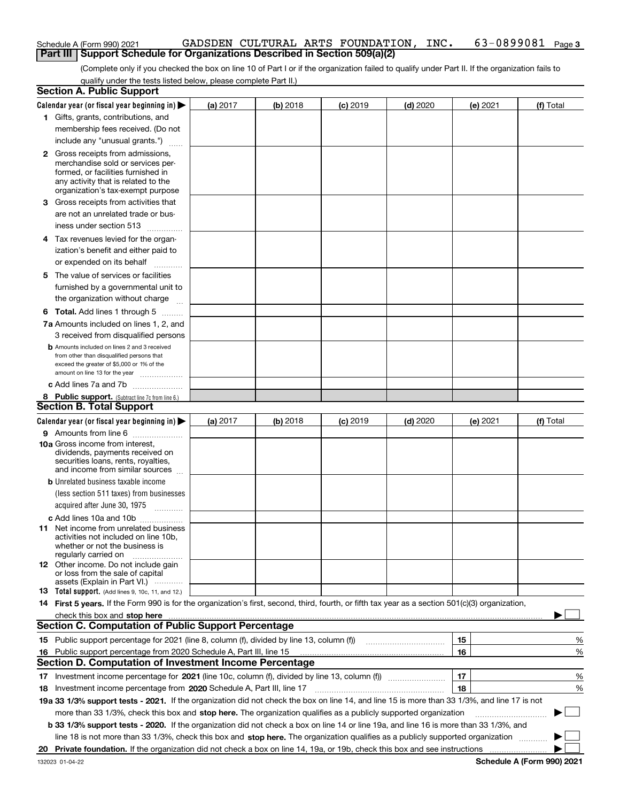| Schedule A (Form 990) 2021                                                          |  | GADSDEN CULTURAL ARTS FOUNDATION, INC. | $63-0899081$ Page 3 |  |
|-------------------------------------------------------------------------------------|--|----------------------------------------|---------------------|--|
| <b>Part III   Support Schedule for Organizations Described in Section 509(a)(2)</b> |  |                                        |                     |  |

(Complete only if you checked the box on line 10 of Part I or if the organization failed to qualify under Part II. If the organization fails to qualify under the tests listed below, please complete Part II.)

| <b>Section A. Public Support</b>                                                                                                                 |          |          |                 |            |          |           |
|--------------------------------------------------------------------------------------------------------------------------------------------------|----------|----------|-----------------|------------|----------|-----------|
| Calendar year (or fiscal year beginning in) $\blacktriangleright$                                                                                | (a) 2017 | (b) 2018 | $(c)$ 2019      | $(d)$ 2020 | (e) 2021 | (f) Total |
| 1 Gifts, grants, contributions, and                                                                                                              |          |          |                 |            |          |           |
| membership fees received. (Do not                                                                                                                |          |          |                 |            |          |           |
| include any "unusual grants.")                                                                                                                   |          |          |                 |            |          |           |
| <b>2</b> Gross receipts from admissions,                                                                                                         |          |          |                 |            |          |           |
| merchandise sold or services per-                                                                                                                |          |          |                 |            |          |           |
| formed, or facilities furnished in                                                                                                               |          |          |                 |            |          |           |
| any activity that is related to the<br>organization's tax-exempt purpose                                                                         |          |          |                 |            |          |           |
| 3 Gross receipts from activities that                                                                                                            |          |          |                 |            |          |           |
| are not an unrelated trade or bus-                                                                                                               |          |          |                 |            |          |           |
| iness under section 513                                                                                                                          |          |          |                 |            |          |           |
|                                                                                                                                                  |          |          |                 |            |          |           |
| 4 Tax revenues levied for the organ-                                                                                                             |          |          |                 |            |          |           |
| ization's benefit and either paid to                                                                                                             |          |          |                 |            |          |           |
| or expended on its behalf<br>.                                                                                                                   |          |          |                 |            |          |           |
| 5 The value of services or facilities                                                                                                            |          |          |                 |            |          |           |
| furnished by a governmental unit to                                                                                                              |          |          |                 |            |          |           |
| the organization without charge                                                                                                                  |          |          |                 |            |          |           |
| <b>6 Total.</b> Add lines 1 through 5                                                                                                            |          |          |                 |            |          |           |
| 7a Amounts included on lines 1, 2, and                                                                                                           |          |          |                 |            |          |           |
| 3 received from disqualified persons                                                                                                             |          |          |                 |            |          |           |
| <b>b</b> Amounts included on lines 2 and 3 received                                                                                              |          |          |                 |            |          |           |
| from other than disqualified persons that<br>exceed the greater of \$5,000 or 1% of the                                                          |          |          |                 |            |          |           |
| amount on line 13 for the year                                                                                                                   |          |          |                 |            |          |           |
| c Add lines 7a and 7b                                                                                                                            |          |          |                 |            |          |           |
| 8 Public support. (Subtract line 7c from line 6.)                                                                                                |          |          |                 |            |          |           |
| <b>Section B. Total Support</b>                                                                                                                  |          |          |                 |            |          |           |
| Calendar year (or fiscal year beginning in) $\blacktriangleright$                                                                                | (a) 2017 | (b) 2018 | <b>(c)</b> 2019 | $(d)$ 2020 | (e) 2021 | (f) Total |
| 9 Amounts from line 6                                                                                                                            |          |          |                 |            |          |           |
| 10a Gross income from interest,                                                                                                                  |          |          |                 |            |          |           |
| dividends, payments received on                                                                                                                  |          |          |                 |            |          |           |
| securities loans, rents, royalties,<br>and income from similar sources                                                                           |          |          |                 |            |          |           |
| <b>b</b> Unrelated business taxable income                                                                                                       |          |          |                 |            |          |           |
| (less section 511 taxes) from businesses                                                                                                         |          |          |                 |            |          |           |
| acquired after June 30, 1975                                                                                                                     |          |          |                 |            |          |           |
| c Add lines 10a and 10b                                                                                                                          |          |          |                 |            |          |           |
| 11 Net income from unrelated business                                                                                                            |          |          |                 |            |          |           |
| activities not included on line 10b,                                                                                                             |          |          |                 |            |          |           |
| whether or not the business is                                                                                                                   |          |          |                 |            |          |           |
| regularly carried on<br>12 Other income. Do not include gain                                                                                     |          |          |                 |            |          |           |
| or loss from the sale of capital                                                                                                                 |          |          |                 |            |          |           |
| assets (Explain in Part VI.)                                                                                                                     |          |          |                 |            |          |           |
| <b>13</b> Total support. (Add lines 9, 10c, 11, and 12.)                                                                                         |          |          |                 |            |          |           |
| 14 First 5 years. If the Form 990 is for the organization's first, second, third, fourth, or fifth tax year as a section 501(c)(3) organization, |          |          |                 |            |          |           |
| check this box and stop here measurements are constructed as the state of the state of the state of the state o                                  |          |          |                 |            |          |           |
| <b>Section C. Computation of Public Support Percentage</b>                                                                                       |          |          |                 |            |          |           |
| 15 Public support percentage for 2021 (line 8, column (f), divided by line 13, column (f))                                                       |          |          |                 |            | 15       | %         |
| 16 Public support percentage from 2020 Schedule A, Part III, line 15                                                                             |          |          |                 |            | 16       | %         |
| <b>Section D. Computation of Investment Income Percentage</b>                                                                                    |          |          |                 |            |          |           |
|                                                                                                                                                  |          |          |                 |            | 17       | %         |
| 18 Investment income percentage from 2020 Schedule A, Part III, line 17                                                                          |          |          |                 |            | 18       | %         |
| 19a 33 1/3% support tests - 2021. If the organization did not check the box on line 14, and line 15 is more than 33 1/3%, and line 17 is not     |          |          |                 |            |          |           |
| more than 33 1/3%, check this box and stop here. The organization qualifies as a publicly supported organization                                 |          |          |                 |            |          | ▶         |
| b 33 1/3% support tests - 2020. If the organization did not check a box on line 14 or line 19a, and line 16 is more than 33 1/3%, and            |          |          |                 |            |          |           |
| line 18 is not more than 33 1/3%, check this box and stop here. The organization qualifies as a publicly supported organization                  |          |          |                 |            |          |           |
|                                                                                                                                                  |          |          |                 |            |          |           |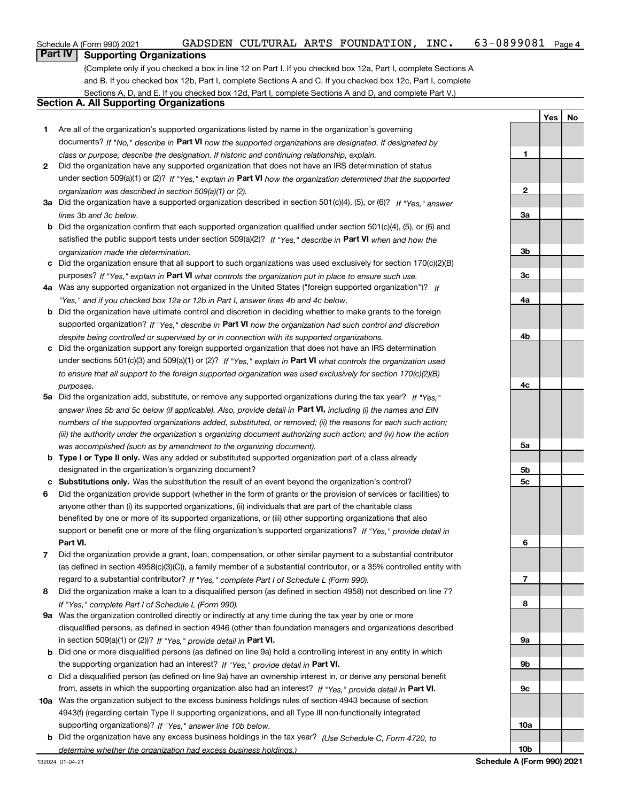## **Part IV Supporting Organizations**

(Complete only if you checked a box in line 12 on Part I. If you checked box 12a, Part I, complete Sections A and B. If you checked box 12b, Part I, complete Sections A and C. If you checked box 12c, Part I, complete Sections A, D, and E. If you checked box 12d, Part I, complete Sections A and D, and complete Part V.)

### **Section A. All Supporting Organizations**

- **1** Are all of the organization's supported organizations listed by name in the organization's governing documents? If "No," describe in **Part VI** how the supported organizations are designated. If designated by *class or purpose, describe the designation. If historic and continuing relationship, explain.*
- **2** Did the organization have any supported organization that does not have an IRS determination of status under section 509(a)(1) or (2)? If "Yes," explain in Part VI how the organization determined that the supported *organization was described in section 509(a)(1) or (2).*
- **3a** Did the organization have a supported organization described in section 501(c)(4), (5), or (6)? If "Yes," answer *lines 3b and 3c below.*
- **b** Did the organization confirm that each supported organization qualified under section 501(c)(4), (5), or (6) and satisfied the public support tests under section 509(a)(2)? If "Yes," describe in **Part VI** when and how the *organization made the determination.*
- **c**Did the organization ensure that all support to such organizations was used exclusively for section 170(c)(2)(B) purposes? If "Yes," explain in **Part VI** what controls the organization put in place to ensure such use.
- **4a***If* Was any supported organization not organized in the United States ("foreign supported organization")? *"Yes," and if you checked box 12a or 12b in Part I, answer lines 4b and 4c below.*
- **b** Did the organization have ultimate control and discretion in deciding whether to make grants to the foreign supported organization? If "Yes," describe in **Part VI** how the organization had such control and discretion *despite being controlled or supervised by or in connection with its supported organizations.*
- **c** Did the organization support any foreign supported organization that does not have an IRS determination under sections 501(c)(3) and 509(a)(1) or (2)? If "Yes," explain in **Part VI** what controls the organization used *to ensure that all support to the foreign supported organization was used exclusively for section 170(c)(2)(B) purposes.*
- **5a***If "Yes,"* Did the organization add, substitute, or remove any supported organizations during the tax year? answer lines 5b and 5c below (if applicable). Also, provide detail in **Part VI,** including (i) the names and EIN *numbers of the supported organizations added, substituted, or removed; (ii) the reasons for each such action; (iii) the authority under the organization's organizing document authorizing such action; and (iv) how the action was accomplished (such as by amendment to the organizing document).*
- **b** Type I or Type II only. Was any added or substituted supported organization part of a class already designated in the organization's organizing document?
- **cSubstitutions only.**  Was the substitution the result of an event beyond the organization's control?
- **6** Did the organization provide support (whether in the form of grants or the provision of services or facilities) to **Part VI.** *If "Yes," provide detail in* support or benefit one or more of the filing organization's supported organizations? anyone other than (i) its supported organizations, (ii) individuals that are part of the charitable class benefited by one or more of its supported organizations, or (iii) other supporting organizations that also
- **7**Did the organization provide a grant, loan, compensation, or other similar payment to a substantial contributor *If "Yes," complete Part I of Schedule L (Form 990).* regard to a substantial contributor? (as defined in section 4958(c)(3)(C)), a family member of a substantial contributor, or a 35% controlled entity with
- **8** Did the organization make a loan to a disqualified person (as defined in section 4958) not described on line 7? *If "Yes," complete Part I of Schedule L (Form 990).*
- **9a** Was the organization controlled directly or indirectly at any time during the tax year by one or more in section 509(a)(1) or (2))? If "Yes," *provide detail in* <code>Part VI.</code> disqualified persons, as defined in section 4946 (other than foundation managers and organizations described
- **b** Did one or more disqualified persons (as defined on line 9a) hold a controlling interest in any entity in which the supporting organization had an interest? If "Yes," provide detail in P**art VI**.
- **c**Did a disqualified person (as defined on line 9a) have an ownership interest in, or derive any personal benefit from, assets in which the supporting organization also had an interest? If "Yes," provide detail in P**art VI.**
- **10a** Was the organization subject to the excess business holdings rules of section 4943 because of section supporting organizations)? If "Yes," answer line 10b below. 4943(f) (regarding certain Type II supporting organizations, and all Type III non-functionally integrated
- **b** Did the organization have any excess business holdings in the tax year? (Use Schedule C, Form 4720, to *determine whether the organization had excess business holdings.)*

**123a3b3c4a4b4c5a 5b5c6789a 9b9c10a**

**YesNo**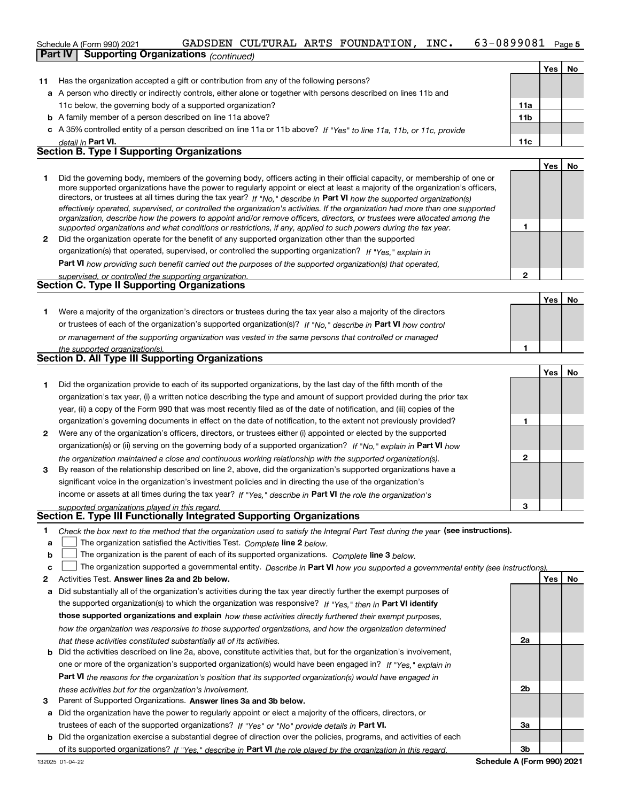### 63-0899081 Page 5 Schedule A (Form 990) 2021 GADSDEN CULTURAL ARTS FOUNDATION , INC 63-0899081 Page **Part IV Supporting Organizations** *(continued)*

|    |                                                                                                                      |                 | Yes | No |
|----|----------------------------------------------------------------------------------------------------------------------|-----------------|-----|----|
| 11 | Has the organization accepted a gift or contribution from any of the following persons?                              |                 |     |    |
|    | a A person who directly or indirectly controls, either alone or together with persons described on lines 11b and     |                 |     |    |
|    | 11c below, the governing body of a supported organization?                                                           | 11a             |     |    |
|    | <b>b</b> A family member of a person described on line 11a above?                                                    | 11 <sub>b</sub> |     |    |
|    | c A 35% controlled entity of a person described on line 11a or 11b above? If "Yes" to line 11a, 11b, or 11c, provide |                 |     |    |
|    | detail in Part VI.                                                                                                   | 11c             |     |    |
|    | <b>Section B. Type I Supporting Organizations</b>                                                                    |                 |     |    |
|    |                                                                                                                      |                 | 'es |    |

|   | Did the governing body, members of the governing body, officers acting in their official capacity, or membership of one or     |
|---|--------------------------------------------------------------------------------------------------------------------------------|
|   | more supported organizations have the power to regularly appoint or elect at least a majority of the organization's officers,  |
|   | directors, or trustees at all times during the tax year? If "No," describe in Part VI how the supported organization(s)        |
|   | effectively operated, supervised, or controlled the organization's activities. If the organization had more than one supported |
|   | organization, describe how the powers to appoint and/or remove officers, directors, or trustees were allocated among the       |
|   | supported organizations and what conditions or restrictions, if any, applied to such powers during the tax year.               |
| 2 | Did the organization operate for the benefit of any supported organization other than the supported                            |

*If "Yes," explain in* organization(s) that operated, supervised, or controlled the supporting organization?

**Part VI**  *how providing such benefit carried out the purposes of the supported organization(s) that operated,*

| supervised, or controlled the supporting organization. |  |
|--------------------------------------------------------|--|
| <b>Section C. Type II Supporting Organizations</b>     |  |
|                                                        |  |

**1**or trustees of each of the organization's supported organization(s)? If "No," describe in **Part VI** how control *or management of the supporting organization was vested in the same persons that controlled or managed the supported organization(s).* Were a majority of the organization's directors or trustees during the tax year also a majority of the directors

| Section D. All Type III Supporting Organizations |  |
|--------------------------------------------------|--|
|                                                  |  |

|                |                                                                                                                        |   | Yes l | No |
|----------------|------------------------------------------------------------------------------------------------------------------------|---|-------|----|
|                | Did the organization provide to each of its supported organizations, by the last day of the fifth month of the         |   |       |    |
|                | organization's tax year, (i) a written notice describing the type and amount of support provided during the prior tax  |   |       |    |
|                | year, (ii) a copy of the Form 990 that was most recently filed as of the date of notification, and (iii) copies of the |   |       |    |
|                | organization's governing documents in effect on the date of notification, to the extent not previously provided?       |   |       |    |
| $\overline{2}$ | Were any of the organization's officers, directors, or trustees either (i) appointed or elected by the supported       |   |       |    |
|                | organization(s) or (ii) serving on the governing body of a supported organization? If "No," explain in Part VI how     |   |       |    |
|                | the organization maintained a close and continuous working relationship with the supported organization(s).            | 2 |       |    |
| 3              | By reason of the relationship described on line 2, above, did the organization's supported organizations have a        |   |       |    |
|                | significant voice in the organization's investment policies and in directing the use of the organization's             |   |       |    |
|                | income or assets at all times during the tax year? If "Yes," describe in Part VI the role the organization's           |   |       |    |
|                | supported organizations played in this regard.                                                                         | з |       |    |

# *supported organizations played in this regard.* **Section E. Type III Functionally Integrated Supporting Organizations**

- **1**Check the box next to the method that the organization used to satisfy the Integral Part Test during the year (see instructions).
- **alinupy** The organization satisfied the Activities Test. Complete line 2 below.
- **b**The organization is the parent of each of its supported organizations. *Complete* line 3 *below.*  $\mathcal{L}^{\text{max}}$

|  |  | c $\Box$ The organization supported a governmental entity. Describe in Part VI how you supported a governmental entity (see instructions) |  |  |  |  |  |
|--|--|-------------------------------------------------------------------------------------------------------------------------------------------|--|--|--|--|--|
|--|--|-------------------------------------------------------------------------------------------------------------------------------------------|--|--|--|--|--|

- **2Answer lines 2a and 2b below. Yes No** Activities Test.
- **a** Did substantially all of the organization's activities during the tax year directly further the exempt purposes of the supported organization(s) to which the organization was responsive? If "Yes," then in **Part VI identify those supported organizations and explain**  *how these activities directly furthered their exempt purposes, how the organization was responsive to those supported organizations, and how the organization determined that these activities constituted substantially all of its activities.*
- **b** Did the activities described on line 2a, above, constitute activities that, but for the organization's involvement, **Part VI**  *the reasons for the organization's position that its supported organization(s) would have engaged in* one or more of the organization's supported organization(s) would have been engaged in? If "Yes," e*xplain in these activities but for the organization's involvement.*
- **3** Parent of Supported Organizations. Answer lines 3a and 3b below.
- **a** Did the organization have the power to regularly appoint or elect a majority of the officers, directors, or trustees of each of the supported organizations? If "Yes" or "No" provide details in **Part VI.**
- **b** Did the organization exercise a substantial degree of direction over the policies, programs, and activities of each of its supported organizations? If "Yes," describe in Part VI the role played by the organization in this regard.

**1**

**2**

**1**

**YesNo**

**2a**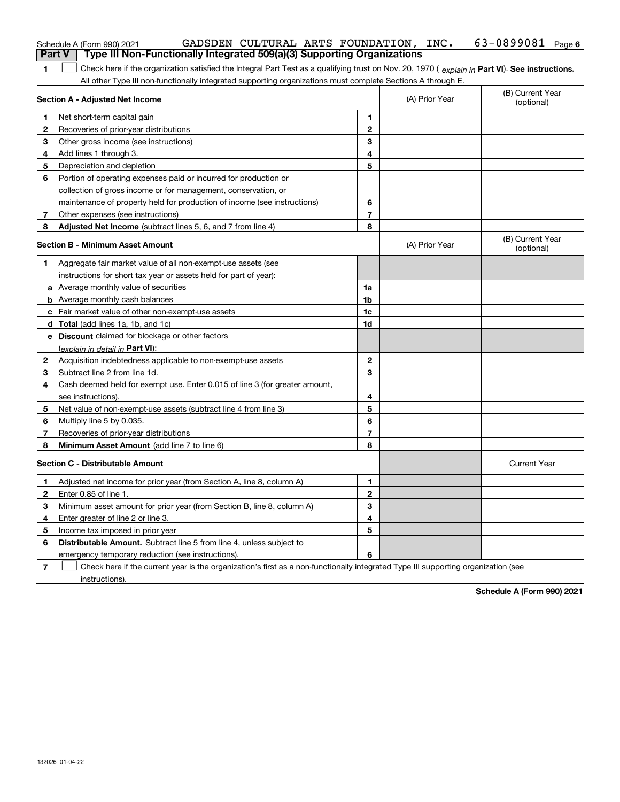|                | GADSDEN CULTURAL ARTS FOUNDATION, INC.<br>Schedule A (Form 990) 2021                                                                           |                |                | $63 - 0899081$ Page 6          |
|----------------|------------------------------------------------------------------------------------------------------------------------------------------------|----------------|----------------|--------------------------------|
| <b>Part V</b>  | Type III Non-Functionally Integrated 509(a)(3) Supporting Organizations                                                                        |                |                |                                |
| 1.             | Check here if the organization satisfied the Integral Part Test as a qualifying trust on Nov. 20, 1970 (explain in Part VI). See instructions. |                |                |                                |
|                | All other Type III non-functionally integrated supporting organizations must complete Sections A through E.                                    |                |                |                                |
|                | Section A - Adjusted Net Income                                                                                                                |                | (A) Prior Year | (B) Current Year<br>(optional) |
| 1.             | Net short-term capital gain                                                                                                                    | 1              |                |                                |
| $\mathbf{2}$   | Recoveries of prior-year distributions                                                                                                         | $\mathbf{2}$   |                |                                |
| 3              | Other gross income (see instructions)                                                                                                          | 3              |                |                                |
| 4              | Add lines 1 through 3.                                                                                                                         | 4              |                |                                |
| 5              | Depreciation and depletion                                                                                                                     | 5              |                |                                |
| 6              | Portion of operating expenses paid or incurred for production or                                                                               |                |                |                                |
|                | collection of gross income or for management, conservation, or                                                                                 |                |                |                                |
|                | maintenance of property held for production of income (see instructions)                                                                       | 6              |                |                                |
| 7              | Other expenses (see instructions)                                                                                                              | $\overline{7}$ |                |                                |
| 8              | Adjusted Net Income (subtract lines 5, 6, and 7 from line 4)                                                                                   | 8              |                |                                |
|                | <b>Section B - Minimum Asset Amount</b>                                                                                                        |                | (A) Prior Year | (B) Current Year<br>(optional) |
| 1.             | Aggregate fair market value of all non-exempt-use assets (see                                                                                  |                |                |                                |
|                | instructions for short tax year or assets held for part of year):                                                                              |                |                |                                |
|                | a Average monthly value of securities                                                                                                          | 1a             |                |                                |
|                | <b>b</b> Average monthly cash balances                                                                                                         | 1b             |                |                                |
|                | c Fair market value of other non-exempt-use assets                                                                                             | 1c             |                |                                |
|                | d Total (add lines 1a, 1b, and 1c)                                                                                                             | 1d             |                |                                |
|                | e Discount claimed for blockage or other factors                                                                                               |                |                |                                |
|                | (explain in detail in Part VI):                                                                                                                |                |                |                                |
| $\mathbf{2}$   | Acquisition indebtedness applicable to non-exempt-use assets                                                                                   | $\mathbf{2}$   |                |                                |
| 3              | Subtract line 2 from line 1d.                                                                                                                  | 3              |                |                                |
| 4              | Cash deemed held for exempt use. Enter 0.015 of line 3 (for greater amount,                                                                    |                |                |                                |
|                | see instructions).                                                                                                                             | 4              |                |                                |
| 5              | Net value of non-exempt-use assets (subtract line 4 from line 3)                                                                               | 5              |                |                                |
| 6              | Multiply line 5 by 0.035.                                                                                                                      | 6              |                |                                |
| 7              | Recoveries of prior-year distributions                                                                                                         | 7              |                |                                |
| 8              | Minimum Asset Amount (add line 7 to line 6)                                                                                                    | 8              |                |                                |
|                | <b>Section C - Distributable Amount</b>                                                                                                        |                |                | <b>Current Year</b>            |
| $\mathbf 1$    | Adjusted net income for prior year (from Section A, line 8, column A)                                                                          | 1              |                |                                |
| 2              | Enter 0.85 of line 1.                                                                                                                          | 2              |                |                                |
| 3              | Minimum asset amount for prior year (from Section B, line 8, column A)                                                                         | 3              |                |                                |
| 4              | Enter greater of line 2 or line 3.                                                                                                             | 4              |                |                                |
| 5              | Income tax imposed in prior year                                                                                                               | 5              |                |                                |
| 6              | Distributable Amount. Subtract line 5 from line 4, unless subject to                                                                           |                |                |                                |
|                | emergency temporary reduction (see instructions).                                                                                              | 6              |                |                                |
| $\overline{7}$ | Check here if the current year is the organization's first as a non-functionally integrated Type III supporting organization (see              |                |                |                                |

instructions).

**Schedule A (Form 990) 2021**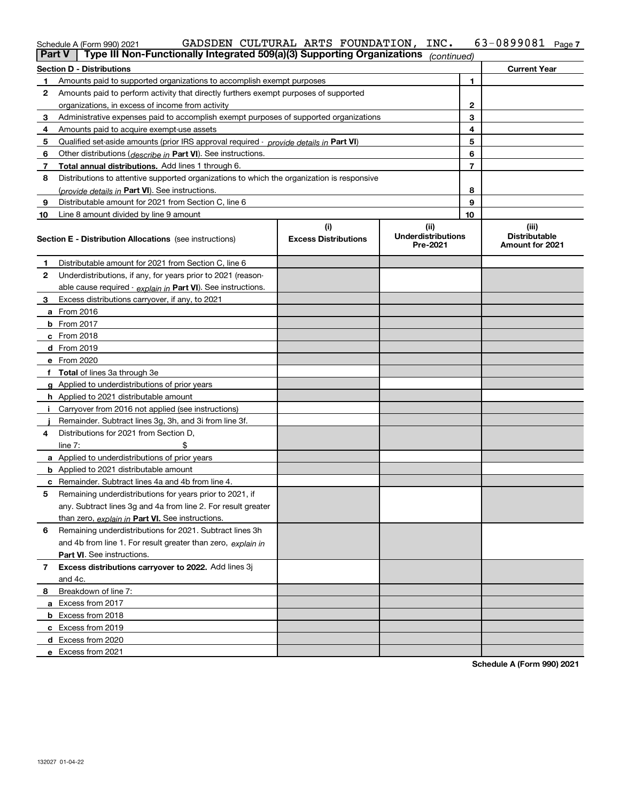| Schedule A (Form 990) 2021 |  | GADSDEN CULTURAL ARTS FOUNDATION, INC.                                                                   | 63-0899081 <sub>Page 7</sub> |  |
|----------------------------|--|----------------------------------------------------------------------------------------------------------|------------------------------|--|
|                            |  | <b>Part V</b>   Type III Non-Functionally Integrated 509(a)(3) Supporting Organizations $_{(continued)}$ |                              |  |

|    | rant v<br>i ype in non-i uncuonally integrated Josiallo) Supporting Organizations          |                                    | (continuea)                                   |    |                                                  |
|----|--------------------------------------------------------------------------------------------|------------------------------------|-----------------------------------------------|----|--------------------------------------------------|
|    | Section D - Distributions                                                                  |                                    |                                               |    | <b>Current Year</b>                              |
| 1  | Amounts paid to supported organizations to accomplish exempt purposes                      |                                    |                                               | 1  |                                                  |
| 2  | Amounts paid to perform activity that directly furthers exempt purposes of supported       |                                    |                                               |    |                                                  |
|    | organizations, in excess of income from activity                                           |                                    |                                               | 2  |                                                  |
| 3  | Administrative expenses paid to accomplish exempt purposes of supported organizations      |                                    |                                               | 3  |                                                  |
| 4  | Amounts paid to acquire exempt-use assets                                                  |                                    |                                               | 4  |                                                  |
| 5  | Qualified set-aside amounts (prior IRS approval required - provide details in Part VI)     |                                    |                                               | 5  |                                                  |
| 6  | Other distributions ( <i>describe in</i> Part VI). See instructions.                       |                                    |                                               | 6  |                                                  |
| 7  | Total annual distributions. Add lines 1 through 6.                                         |                                    |                                               | 7  |                                                  |
| 8  | Distributions to attentive supported organizations to which the organization is responsive |                                    |                                               |    |                                                  |
|    | (provide details in Part VI). See instructions.                                            |                                    |                                               | 8  |                                                  |
| 9  | Distributable amount for 2021 from Section C, line 6                                       |                                    |                                               | 9  |                                                  |
| 10 | Line 8 amount divided by line 9 amount                                                     |                                    |                                               | 10 |                                                  |
|    | <b>Section E - Distribution Allocations</b> (see instructions)                             | (i)<br><b>Excess Distributions</b> | (ii)<br><b>Underdistributions</b><br>Pre-2021 |    | (iii)<br><b>Distributable</b><br>Amount for 2021 |
| -1 | Distributable amount for 2021 from Section C, line 6                                       |                                    |                                               |    |                                                  |
| 2  | Underdistributions, if any, for years prior to 2021 (reason-                               |                                    |                                               |    |                                                  |
|    | able cause required - explain in Part VI). See instructions.                               |                                    |                                               |    |                                                  |
| 3  | Excess distributions carryover, if any, to 2021                                            |                                    |                                               |    |                                                  |
|    | <b>a</b> From 2016                                                                         |                                    |                                               |    |                                                  |
|    | <b>b</b> From 2017                                                                         |                                    |                                               |    |                                                  |
|    | $c$ From 2018                                                                              |                                    |                                               |    |                                                  |
|    | d From 2019                                                                                |                                    |                                               |    |                                                  |
|    | e From 2020                                                                                |                                    |                                               |    |                                                  |
|    | f Total of lines 3a through 3e                                                             |                                    |                                               |    |                                                  |
|    | g Applied to underdistributions of prior years                                             |                                    |                                               |    |                                                  |
|    | <b>h</b> Applied to 2021 distributable amount                                              |                                    |                                               |    |                                                  |
|    | Carryover from 2016 not applied (see instructions)                                         |                                    |                                               |    |                                                  |
|    | Remainder. Subtract lines 3g, 3h, and 3i from line 3f.                                     |                                    |                                               |    |                                                  |
| 4  | Distributions for 2021 from Section D,                                                     |                                    |                                               |    |                                                  |
|    | \$<br>line $7:$                                                                            |                                    |                                               |    |                                                  |
|    | <b>a</b> Applied to underdistributions of prior years                                      |                                    |                                               |    |                                                  |
|    | <b>b</b> Applied to 2021 distributable amount                                              |                                    |                                               |    |                                                  |
|    | c Remainder. Subtract lines 4a and 4b from line 4.                                         |                                    |                                               |    |                                                  |
| 5  | Remaining underdistributions for years prior to 2021, if                                   |                                    |                                               |    |                                                  |
|    | any. Subtract lines 3g and 4a from line 2. For result greater                              |                                    |                                               |    |                                                  |
|    | than zero, explain in Part VI. See instructions.                                           |                                    |                                               |    |                                                  |
| 6  | Remaining underdistributions for 2021. Subtract lines 3h                                   |                                    |                                               |    |                                                  |
|    | and 4b from line 1. For result greater than zero, explain in                               |                                    |                                               |    |                                                  |
|    | Part VI. See instructions.                                                                 |                                    |                                               |    |                                                  |
| 7  | Excess distributions carryover to 2022. Add lines 3j                                       |                                    |                                               |    |                                                  |
|    | and 4c.                                                                                    |                                    |                                               |    |                                                  |
| 8  | Breakdown of line 7:                                                                       |                                    |                                               |    |                                                  |
|    | a Excess from 2017                                                                         |                                    |                                               |    |                                                  |
|    | <b>b</b> Excess from 2018                                                                  |                                    |                                               |    |                                                  |
|    | c Excess from 2019                                                                         |                                    |                                               |    |                                                  |
|    | d Excess from 2020                                                                         |                                    |                                               |    |                                                  |
|    | e Excess from 2021                                                                         |                                    |                                               |    |                                                  |

**Schedule A (Form 990) 2021**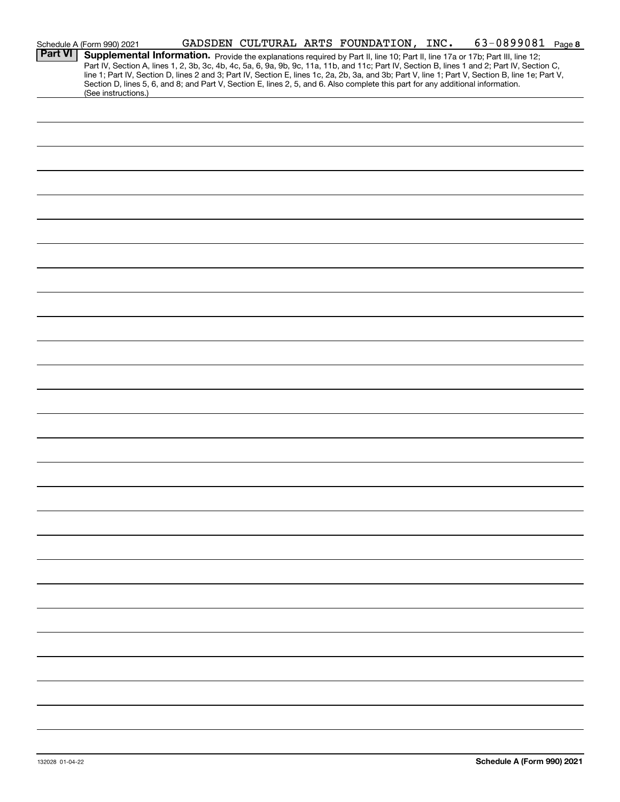|                | GADSDEN CULTURAL ARTS FOUNDATION, INC. 63-0899081 Page 8<br>Schedule A (Form 990) 2021                                                                                                                                                                                                                                                                                                                                                                                                                                                                                                      |
|----------------|---------------------------------------------------------------------------------------------------------------------------------------------------------------------------------------------------------------------------------------------------------------------------------------------------------------------------------------------------------------------------------------------------------------------------------------------------------------------------------------------------------------------------------------------------------------------------------------------|
| <b>Part VI</b> | Supplemental Information. Provide the explanations required by Part II, line 10; Part II, line 17a or 17b; Part III, line 12;<br>Part IV, Section A, lines 1, 2, 3b, 3c, 4b, 4c, 5a, 6, 9a, 9b, 9c, 11a, 11b, and 11c; Part IV, Section B, lines 1 and 2; Part IV, Section C,<br>line 1; Part IV, Section D, lines 2 and 3; Part IV, Section E, lines 1c, 2a, 2b, 3a, and 3b; Part V, line 1; Part V, Section B, line 1e; Part V,<br>Section D, lines 5, 6, and 8; and Part V, Section E, lines 2, 5, and 6. Also complete this part for any additional information.<br>(See instructions.) |
|                |                                                                                                                                                                                                                                                                                                                                                                                                                                                                                                                                                                                             |
|                |                                                                                                                                                                                                                                                                                                                                                                                                                                                                                                                                                                                             |
|                |                                                                                                                                                                                                                                                                                                                                                                                                                                                                                                                                                                                             |
|                |                                                                                                                                                                                                                                                                                                                                                                                                                                                                                                                                                                                             |
|                |                                                                                                                                                                                                                                                                                                                                                                                                                                                                                                                                                                                             |
|                |                                                                                                                                                                                                                                                                                                                                                                                                                                                                                                                                                                                             |
|                |                                                                                                                                                                                                                                                                                                                                                                                                                                                                                                                                                                                             |
|                |                                                                                                                                                                                                                                                                                                                                                                                                                                                                                                                                                                                             |
|                |                                                                                                                                                                                                                                                                                                                                                                                                                                                                                                                                                                                             |
|                |                                                                                                                                                                                                                                                                                                                                                                                                                                                                                                                                                                                             |
|                |                                                                                                                                                                                                                                                                                                                                                                                                                                                                                                                                                                                             |
|                |                                                                                                                                                                                                                                                                                                                                                                                                                                                                                                                                                                                             |
|                |                                                                                                                                                                                                                                                                                                                                                                                                                                                                                                                                                                                             |
|                |                                                                                                                                                                                                                                                                                                                                                                                                                                                                                                                                                                                             |
|                |                                                                                                                                                                                                                                                                                                                                                                                                                                                                                                                                                                                             |
|                |                                                                                                                                                                                                                                                                                                                                                                                                                                                                                                                                                                                             |
|                |                                                                                                                                                                                                                                                                                                                                                                                                                                                                                                                                                                                             |
|                |                                                                                                                                                                                                                                                                                                                                                                                                                                                                                                                                                                                             |
|                |                                                                                                                                                                                                                                                                                                                                                                                                                                                                                                                                                                                             |
|                |                                                                                                                                                                                                                                                                                                                                                                                                                                                                                                                                                                                             |
|                |                                                                                                                                                                                                                                                                                                                                                                                                                                                                                                                                                                                             |
|                |                                                                                                                                                                                                                                                                                                                                                                                                                                                                                                                                                                                             |
|                |                                                                                                                                                                                                                                                                                                                                                                                                                                                                                                                                                                                             |
|                |                                                                                                                                                                                                                                                                                                                                                                                                                                                                                                                                                                                             |
|                |                                                                                                                                                                                                                                                                                                                                                                                                                                                                                                                                                                                             |
|                |                                                                                                                                                                                                                                                                                                                                                                                                                                                                                                                                                                                             |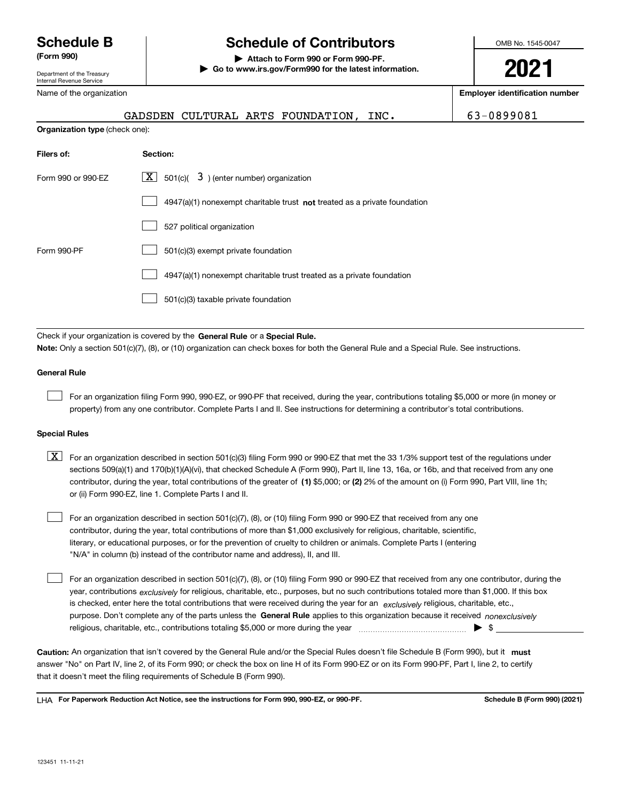Department of the Treasury Internal Revenue Service

### Name of the organization

# **Schedule B Schedule of Contributors**

**(Form 990) | Attach to Form 990 or Form 990-PF. | Go to www.irs.gov/Form990 for the latest information.** OMB No. 1545-0047

# **2021**

**Employer identification number**

| $\frac{1}{2}$                         |                                                                             |            |
|---------------------------------------|-----------------------------------------------------------------------------|------------|
|                                       | GADSDEN CULTURAL ARTS FOUNDATION, INC.                                      | 63-0899081 |
| <b>Organization type (check one):</b> |                                                                             |            |
| Filers of:                            | Section:                                                                    |            |
| Form 990 or 990-EZ                    | $\lfloor x \rfloor$ 501(c)( 3) (enter number) organization                  |            |
|                                       | $4947(a)(1)$ nonexempt charitable trust not treated as a private foundation |            |
|                                       | 527 political organization                                                  |            |
| Form 990-PF                           | 501(c)(3) exempt private foundation                                         |            |
|                                       | 4947(a)(1) nonexempt charitable trust treated as a private foundation       |            |
|                                       | 501(c)(3) taxable private foundation                                        |            |

Check if your organization is covered by the **General Rule** or a **Special Rule. Note:**  Only a section 501(c)(7), (8), or (10) organization can check boxes for both the General Rule and a Special Rule. See instructions.

### **General Rule**

 $\mathcal{L}^{\text{max}}$ 

For an organization filing Form 990, 990-EZ, or 990-PF that received, during the year, contributions totaling \$5,000 or more (in money or property) from any one contributor. Complete Parts I and II. See instructions for determining a contributor's total contributions.

### **Special Rules**

contributor, during the year, total contributions of the greater of (1**)** \$5,000; or (2) 2% of the amount on (i) Form 990, Part VIII, line 1h;  $\boxed{\textbf{X}}$  For an organization described in section 501(c)(3) filing Form 990 or 990-EZ that met the 33 1/3% support test of the regulations under sections 509(a)(1) and 170(b)(1)(A)(vi), that checked Schedule A (Form 990), Part II, line 13, 16a, or 16b, and that received from any one or (ii) Form 990-EZ, line 1. Complete Parts I and II.

For an organization described in section 501(c)(7), (8), or (10) filing Form 990 or 990-EZ that received from any one contributor, during the year, total contributions of more than \$1,000 exclusively for religious, charitable, scientific, literary, or educational purposes, or for the prevention of cruelty to children or animals. Complete Parts I (entering "N/A" in column (b) instead of the contributor name and address), II, and III.  $\mathcal{L}^{\text{max}}$ 

purpose. Don't complete any of the parts unless the **General Rule** applies to this organization because it received *nonexclusively* year, contributions <sub>exclusively</sub> for religious, charitable, etc., purposes, but no such contributions totaled more than \$1,000. If this box is checked, enter here the total contributions that were received during the year for an  $\;$ exclusively religious, charitable, etc., For an organization described in section 501(c)(7), (8), or (10) filing Form 990 or 990-EZ that received from any one contributor, during the religious, charitable, etc., contributions totaling \$5,000 or more during the year  $\Box$ — $\Box$   $\Box$   $\Box$  $\mathcal{L}^{\text{max}}$ 

Caution: An organization that isn't covered by the General Rule and/or the Special Rules doesn't file Schedule B (Form 990), but it **must** answer "No" on Part IV, line 2, of its Form 990; or check the box on line H of its Form 990-EZ or on its Form 990-PF, Part I, line 2, to certify that it doesn't meet the filing requirements of Schedule B (Form 990).

LHA For Paperwork Reduction Act Notice, see the instructions for Form 990, 990-EZ, or 990-PF. **In the act and Schedule B** (Form 990) (2021)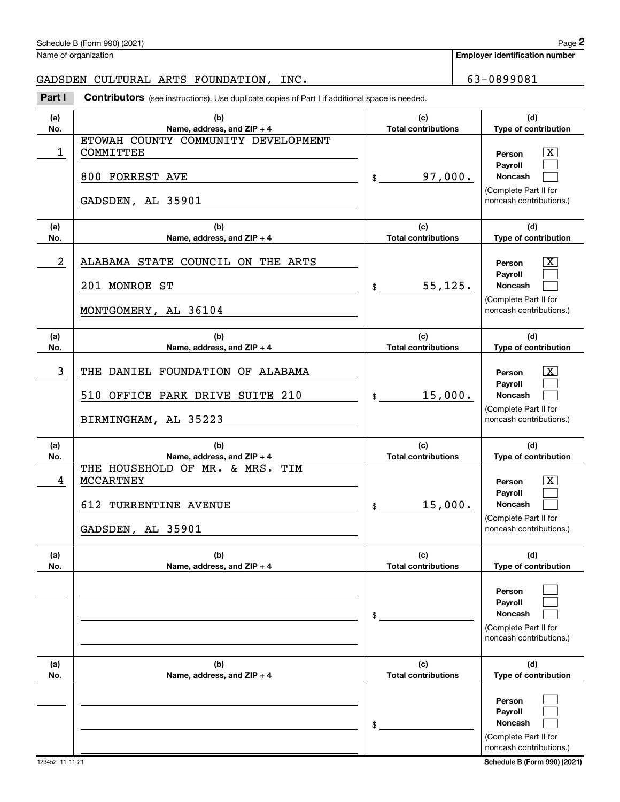**No.**

|            | Schedule B (Form 990) (2021)<br>Name of organization                                                                     |                                             | Page 2<br><b>Employer identification number</b>                                                                                                   |
|------------|--------------------------------------------------------------------------------------------------------------------------|---------------------------------------------|---------------------------------------------------------------------------------------------------------------------------------------------------|
|            |                                                                                                                          |                                             |                                                                                                                                                   |
|            | GADSDEN CULTURAL ARTS FOUNDATION, INC.                                                                                   |                                             | 63-0899081                                                                                                                                        |
| Part I     | Contributors (see instructions). Use duplicate copies of Part I if additional space is needed.                           |                                             |                                                                                                                                                   |
| (a)<br>No. | (b)<br>Name, address, and ZIP + 4                                                                                        | (c)<br><b>Total contributions</b>           | (d)<br>Type of contribution                                                                                                                       |
| 1          | ETOWAH COUNTY COMMUNITY DEVELOPMENT<br>COMMITTEE<br>800 FORREST AVE<br>GADSDEN, AL 35901                                 | 97,000.<br>\$                               | x<br>Person<br>Payroll<br><b>Noncash</b><br>(Complete Part II for<br>noncash contributions.)                                                      |
| (a)<br>No. | (b)<br>Name, address, and ZIP + 4                                                                                        | (c)<br><b>Total contributions</b>           | (d)<br>Type of contribution                                                                                                                       |
| 2          | ALABAMA STATE COUNCIL ON THE ARTS<br>201 MONROE ST<br>MONTGOMERY, AL 36104                                               | 55, 125.<br>\$                              | x<br>Person<br>Payroll<br><b>Noncash</b><br>(Complete Part II for<br>noncash contributions.)                                                      |
| (a)<br>No. | (b)<br>Name, address, and ZIP + 4                                                                                        | (c)<br><b>Total contributions</b>           | (d)<br>Type of contribution                                                                                                                       |
| 3          | THE DANIEL FOUNDATION OF ALABAMA<br>510 OFFICE PARK DRIVE SUITE 210<br>BIRMINGHAM, AL 35223                              | 15,000.<br>\$                               | x<br>Person<br>Payroll<br><b>Noncash</b><br>(Complete Part II for<br>noncash contributions.)                                                      |
| (a)        | (b)                                                                                                                      | (c)                                         | (d)                                                                                                                                               |
| No.<br>4   | Name, address, and ZIP + 4<br>THE HOUSEHOLD OF MR. & MRS. TIM<br>MCCARTNEY<br>612 TURRENTINE AVENUE<br>GADSDEN, AL 35901 | <b>Total contributions</b><br>15,000.<br>\$ | <b>Type of contribution</b><br>$\overline{\texttt{x}}$<br>Person<br>Payroll<br><b>Noncash</b><br>(Complete Part II for<br>noncash contributions.) |
| (a)<br>No. | (b)<br>Name, address, and ZIP + 4                                                                                        | (c)<br><b>Total contributions</b>           | (d)<br>Type of contribution                                                                                                                       |
| (a)        | (b)                                                                                                                      | \$<br>(c)                                   | Person<br>Payroll<br>Noncash<br>(Complete Part II for<br>noncash contributions.)<br>(d)                                                           |
|            |                                                                                                                          |                                             |                                                                                                                                                   |

**Name, address, and ZIP + 4**

> $\mathcal{L}^{\text{max}}$  $\mathcal{L}^{\text{max}}$  $\mathcal{L}^{\text{max}}$

123452 11-11-21 **Schedule B (Form 990) (2021)** noncash contributions.)

(Complete Part II for

**(d)Type of contribution**

**PersonPayroll Noncash**

**Total contributions**

\$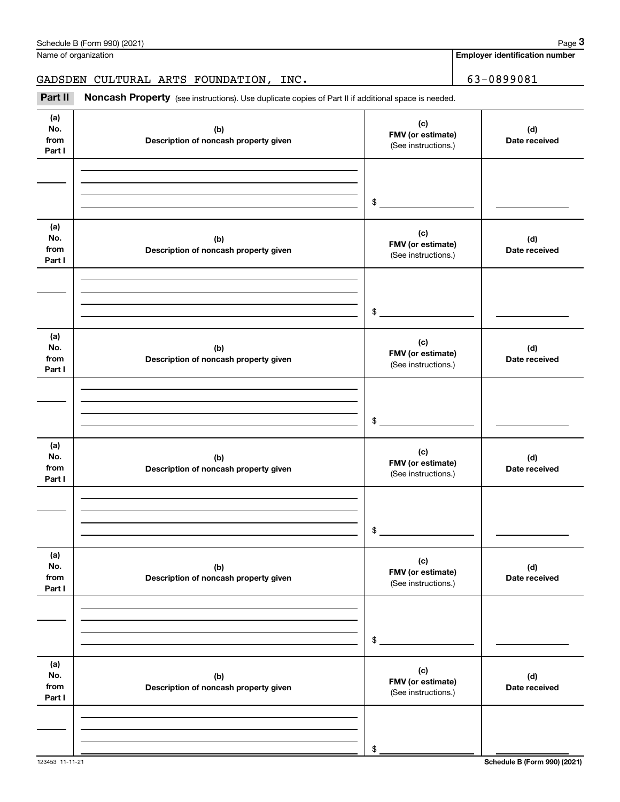|                              | Schedule B (Form 990) (2021)                                                                        |                                                 | Page 3                                |
|------------------------------|-----------------------------------------------------------------------------------------------------|-------------------------------------------------|---------------------------------------|
|                              | Name of organization                                                                                |                                                 | <b>Employer identification number</b> |
|                              | GADSDEN CULTURAL ARTS FOUNDATION, INC.                                                              |                                                 | 63-0899081                            |
| Part II                      | Noncash Property (see instructions). Use duplicate copies of Part II if additional space is needed. |                                                 |                                       |
| (a)<br>No.<br>from<br>Part I | (b)<br>Description of noncash property given                                                        | (c)<br>FMV (or estimate)<br>(See instructions.) | (d)<br>Date received                  |
|                              |                                                                                                     | \$                                              |                                       |
| (a)<br>No.<br>from<br>Part I | (b)<br>Description of noncash property given                                                        | (c)<br>FMV (or estimate)<br>(See instructions.) | (d)<br>Date received                  |
|                              |                                                                                                     | \$                                              |                                       |
| (a)<br>No.<br>from<br>Part I | (b)<br>Description of noncash property given                                                        | (c)<br>FMV (or estimate)<br>(See instructions.) | (d)<br>Date received                  |
|                              |                                                                                                     | \$                                              |                                       |
| (a)<br>No.<br>from<br>Part I | (b)<br>Description of noncash property given                                                        | (c)<br>FMV (or estimate)<br>(See instructions.) | (d)<br>Date received                  |
|                              |                                                                                                     | \$                                              |                                       |
| (a)<br>No.<br>from<br>Part I | (b)<br>Description of noncash property given                                                        | (c)<br>FMV (or estimate)<br>(See instructions.) | (d)<br>Date received                  |
|                              |                                                                                                     | \$                                              |                                       |
| (a)<br>No.<br>from<br>Part I | (b)<br>Description of noncash property given                                                        | (c)<br>FMV (or estimate)<br>(See instructions.) | (d)<br>Date received                  |
|                              |                                                                                                     | \$                                              |                                       |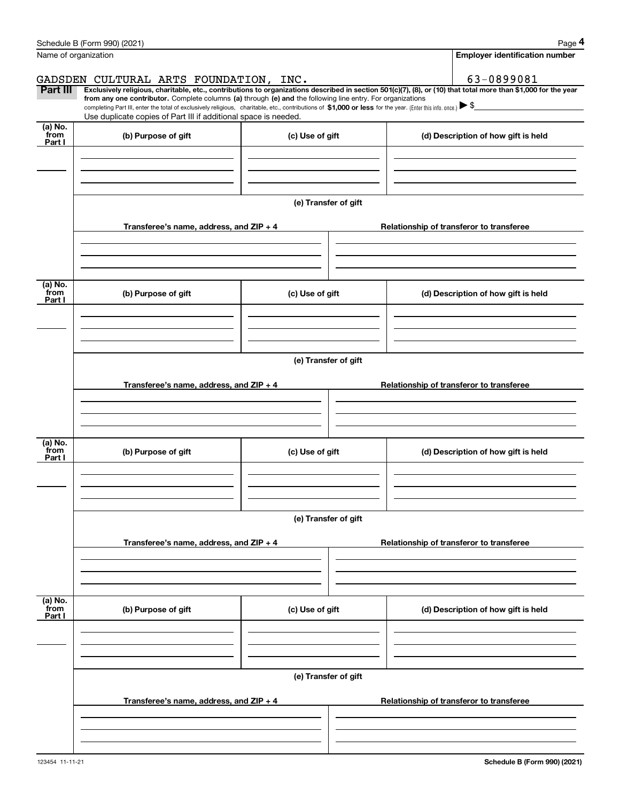|                      | Schedule B (Form 990) (2021)                                                                                                                                                                                                                                                 |                      | Page 4                                   |
|----------------------|------------------------------------------------------------------------------------------------------------------------------------------------------------------------------------------------------------------------------------------------------------------------------|----------------------|------------------------------------------|
| Name of organization |                                                                                                                                                                                                                                                                              |                      | Employer identification number           |
|                      | GADSDEN CULTURAL ARTS FOUNDATION, INC.                                                                                                                                                                                                                                       |                      | 63-0899081                               |
| Part III             | Exclusively religious, charitable, etc., contributions to organizations described in section 501(c)(7), (8), or (10) that total more than \$1,000 for the year<br>from any one contributor. Complete columns (a) through (e) and the following line entry. For organizations |                      |                                          |
|                      | completing Part III, enter the total of exclusively religious, charitable, etc., contributions of \$1,000 or less for the year. (Enter this info. once.) \\$<br>Use duplicate copies of Part III if additional space is needed.                                              |                      |                                          |
| (a) No.              |                                                                                                                                                                                                                                                                              |                      |                                          |
| from<br>Part I       | (b) Purpose of gift                                                                                                                                                                                                                                                          | (c) Use of gift      | (d) Description of how gift is held      |
|                      |                                                                                                                                                                                                                                                                              |                      |                                          |
|                      |                                                                                                                                                                                                                                                                              |                      |                                          |
|                      |                                                                                                                                                                                                                                                                              |                      |                                          |
|                      |                                                                                                                                                                                                                                                                              | (e) Transfer of gift |                                          |
|                      | Transferee's name, address, and ZIP + 4                                                                                                                                                                                                                                      |                      | Relationship of transferor to transferee |
|                      |                                                                                                                                                                                                                                                                              |                      |                                          |
|                      |                                                                                                                                                                                                                                                                              |                      |                                          |
|                      |                                                                                                                                                                                                                                                                              |                      |                                          |
| (a) No.<br>from      | (b) Purpose of gift                                                                                                                                                                                                                                                          | (c) Use of gift      | (d) Description of how gift is held      |
| Part I               |                                                                                                                                                                                                                                                                              |                      |                                          |
|                      |                                                                                                                                                                                                                                                                              |                      |                                          |
|                      |                                                                                                                                                                                                                                                                              |                      |                                          |
|                      |                                                                                                                                                                                                                                                                              | (e) Transfer of gift |                                          |
|                      |                                                                                                                                                                                                                                                                              |                      |                                          |
|                      | Transferee's name, address, and $ZIP + 4$                                                                                                                                                                                                                                    |                      | Relationship of transferor to transferee |
|                      |                                                                                                                                                                                                                                                                              |                      |                                          |
|                      |                                                                                                                                                                                                                                                                              |                      |                                          |
| (a) No.              |                                                                                                                                                                                                                                                                              |                      |                                          |
| from<br>Part I       | (b) Purpose of gift                                                                                                                                                                                                                                                          | (c) Use of gift      | (d) Description of how gift is held      |
|                      |                                                                                                                                                                                                                                                                              |                      |                                          |
|                      |                                                                                                                                                                                                                                                                              |                      |                                          |
|                      |                                                                                                                                                                                                                                                                              |                      |                                          |
|                      |                                                                                                                                                                                                                                                                              | (e) Transfer of gift |                                          |
|                      | Transferee's name, address, and ZIP + 4                                                                                                                                                                                                                                      |                      | Relationship of transferor to transferee |
|                      |                                                                                                                                                                                                                                                                              |                      |                                          |
|                      |                                                                                                                                                                                                                                                                              |                      |                                          |
|                      |                                                                                                                                                                                                                                                                              |                      |                                          |
| (a) No.<br>from      | (b) Purpose of gift                                                                                                                                                                                                                                                          | (c) Use of gift      | (d) Description of how gift is held      |
| Part I               |                                                                                                                                                                                                                                                                              |                      |                                          |
|                      |                                                                                                                                                                                                                                                                              |                      |                                          |
|                      |                                                                                                                                                                                                                                                                              |                      |                                          |
|                      |                                                                                                                                                                                                                                                                              | (e) Transfer of gift |                                          |
|                      |                                                                                                                                                                                                                                                                              |                      |                                          |
|                      | Transferee's name, address, and $ZIP + 4$                                                                                                                                                                                                                                    |                      | Relationship of transferor to transferee |
|                      |                                                                                                                                                                                                                                                                              |                      |                                          |
|                      |                                                                                                                                                                                                                                                                              |                      |                                          |
|                      |                                                                                                                                                                                                                                                                              |                      |                                          |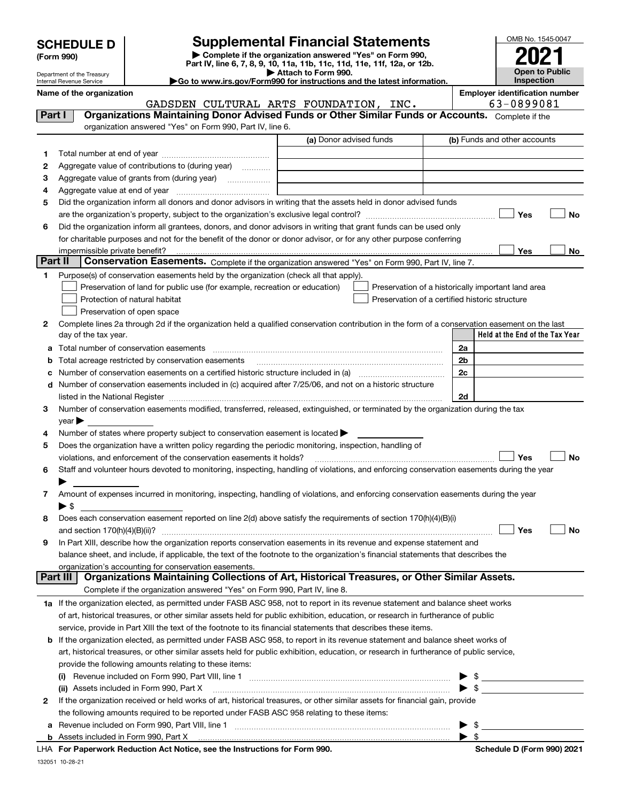| <b>SCHEDULE D</b> |  |  |
|-------------------|--|--|
|-------------------|--|--|

Department of the Treasury Internal Revenue Service

| (Form 990) |  |
|------------|--|
|------------|--|

## **SCHEDULE D Supplemental Financial Statements**

**| Complete if the organization answered "Yes" on Form 990, Part IV, line 6, 7, 8, 9, 10, 11a, 11b, 11c, 11d, 11e, 11f, 12a, or 12b. | Attach to Form 990.** OMB No. 1545-0047 **Open to Public Inspection2021**

| Internal Revenue Service | ► Go to www.irs.gov/Form990 for instructions and the latest information. | Inspection                     |
|--------------------------|--------------------------------------------------------------------------|--------------------------------|
| Name of the organization |                                                                          | Employer identification number |

|         | GADSDEN CULTURAL ARTS FOUNDATION, INC.                                                                                                                                                                                        | 63-0899081                                                                                                                                                                                                                                 |
|---------|-------------------------------------------------------------------------------------------------------------------------------------------------------------------------------------------------------------------------------|--------------------------------------------------------------------------------------------------------------------------------------------------------------------------------------------------------------------------------------------|
| Part I  | Organizations Maintaining Donor Advised Funds or Other Similar Funds or Accounts. Complete if the                                                                                                                             |                                                                                                                                                                                                                                            |
|         | organization answered "Yes" on Form 990, Part IV, line 6.                                                                                                                                                                     |                                                                                                                                                                                                                                            |
|         | (a) Donor advised funds                                                                                                                                                                                                       | (b) Funds and other accounts                                                                                                                                                                                                               |
| 1       |                                                                                                                                                                                                                               |                                                                                                                                                                                                                                            |
| 2       | Aggregate value of contributions to (during year)                                                                                                                                                                             |                                                                                                                                                                                                                                            |
| з       |                                                                                                                                                                                                                               |                                                                                                                                                                                                                                            |
| 4       |                                                                                                                                                                                                                               |                                                                                                                                                                                                                                            |
| 5       | Did the organization inform all donors and donor advisors in writing that the assets held in donor advised funds                                                                                                              |                                                                                                                                                                                                                                            |
|         |                                                                                                                                                                                                                               | Yes<br>No                                                                                                                                                                                                                                  |
| 6       | Did the organization inform all grantees, donors, and donor advisors in writing that grant funds can be used only                                                                                                             |                                                                                                                                                                                                                                            |
|         | for charitable purposes and not for the benefit of the donor or donor advisor, or for any other purpose conferring                                                                                                            |                                                                                                                                                                                                                                            |
|         | impermissible private benefit?                                                                                                                                                                                                | Yes<br>No                                                                                                                                                                                                                                  |
| Part II | Conservation Easements. Complete if the organization answered "Yes" on Form 990, Part IV, line 7.                                                                                                                             |                                                                                                                                                                                                                                            |
| 1.      | Purpose(s) of conservation easements held by the organization (check all that apply).                                                                                                                                         |                                                                                                                                                                                                                                            |
|         | Preservation of land for public use (for example, recreation or education)                                                                                                                                                    | Preservation of a historically important land area                                                                                                                                                                                         |
|         | Protection of natural habitat                                                                                                                                                                                                 | Preservation of a certified historic structure                                                                                                                                                                                             |
|         | Preservation of open space                                                                                                                                                                                                    |                                                                                                                                                                                                                                            |
| 2       | Complete lines 2a through 2d if the organization held a qualified conservation contribution in the form of a conservation easement on the last                                                                                |                                                                                                                                                                                                                                            |
|         | day of the tax year.                                                                                                                                                                                                          | Held at the End of the Tax Year                                                                                                                                                                                                            |
| а       | Total number of conservation easements                                                                                                                                                                                        | 2a                                                                                                                                                                                                                                         |
|         | Total acreage restricted by conservation easements                                                                                                                                                                            | 2b                                                                                                                                                                                                                                         |
|         | Number of conservation easements on a certified historic structure included in (a) manufacture included in (a)                                                                                                                | 2c                                                                                                                                                                                                                                         |
| d       | Number of conservation easements included in (c) acquired after 7/25/06, and not on a historic structure                                                                                                                      |                                                                                                                                                                                                                                            |
|         | listed in the National Register [111] Marshall Register [11] Marshall Register [11] Marshall Register [11] Marshall Register [11] Marshall Register [11] Marshall Register [11] Marshall Register [11] Marshall Register [11] | 2d                                                                                                                                                                                                                                         |
| 3       | Number of conservation easements modified, transferred, released, extinguished, or terminated by the organization during the tax                                                                                              |                                                                                                                                                                                                                                            |
|         | year                                                                                                                                                                                                                          |                                                                                                                                                                                                                                            |
| 4       | Number of states where property subject to conservation easement is located >                                                                                                                                                 |                                                                                                                                                                                                                                            |
| 5       | Does the organization have a written policy regarding the periodic monitoring, inspection, handling of                                                                                                                        |                                                                                                                                                                                                                                            |
|         | violations, and enforcement of the conservation easements it holds?                                                                                                                                                           | Yes<br>No                                                                                                                                                                                                                                  |
| 6       | Staff and volunteer hours devoted to monitoring, inspecting, handling of violations, and enforcing conservation easements during the year                                                                                     |                                                                                                                                                                                                                                            |
|         |                                                                                                                                                                                                                               |                                                                                                                                                                                                                                            |
| 7       | Amount of expenses incurred in monitoring, inspecting, handling of violations, and enforcing conservation easements during the year                                                                                           |                                                                                                                                                                                                                                            |
|         | ► \$                                                                                                                                                                                                                          |                                                                                                                                                                                                                                            |
| 8       | Does each conservation easement reported on line 2(d) above satisfy the requirements of section 170(h)(4)(B)(i)                                                                                                               |                                                                                                                                                                                                                                            |
|         |                                                                                                                                                                                                                               | Yes<br>No                                                                                                                                                                                                                                  |
| 9       | In Part XIII, describe how the organization reports conservation easements in its revenue and expense statement and                                                                                                           |                                                                                                                                                                                                                                            |
|         | balance sheet, and include, if applicable, the text of the footnote to the organization's financial statements that describes the                                                                                             |                                                                                                                                                                                                                                            |
|         | organization's accounting for conservation easements.<br>Organizations Maintaining Collections of Art, Historical Treasures, or Other Similar Assets.<br>Part III                                                             |                                                                                                                                                                                                                                            |
|         |                                                                                                                                                                                                                               |                                                                                                                                                                                                                                            |
|         | Complete if the organization answered "Yes" on Form 990, Part IV, line 8.                                                                                                                                                     |                                                                                                                                                                                                                                            |
|         | 1a If the organization elected, as permitted under FASB ASC 958, not to report in its revenue statement and balance sheet works                                                                                               |                                                                                                                                                                                                                                            |
|         | of art, historical treasures, or other similar assets held for public exhibition, education, or research in furtherance of public                                                                                             |                                                                                                                                                                                                                                            |
|         | service, provide in Part XIII the text of the footnote to its financial statements that describes these items.                                                                                                                |                                                                                                                                                                                                                                            |
| b       | If the organization elected, as permitted under FASB ASC 958, to report in its revenue statement and balance sheet works of                                                                                                   |                                                                                                                                                                                                                                            |
|         | art, historical treasures, or other similar assets held for public exhibition, education, or research in furtherance of public service,                                                                                       |                                                                                                                                                                                                                                            |
|         | provide the following amounts relating to these items:                                                                                                                                                                        |                                                                                                                                                                                                                                            |
|         |                                                                                                                                                                                                                               |                                                                                                                                                                                                                                            |
|         | (ii) Assets included in Form 990, Part X                                                                                                                                                                                      |                                                                                                                                                                                                                                            |
| 2       | If the organization received or held works of art, historical treasures, or other similar assets for financial gain, provide                                                                                                  |                                                                                                                                                                                                                                            |
|         | the following amounts required to be reported under FASB ASC 958 relating to these items:                                                                                                                                     |                                                                                                                                                                                                                                            |
| а       |                                                                                                                                                                                                                               | \$<br><u>and the state of the state of the state of the state of the state of the state of the state of the state of the state of the state of the state of the state of the state of the state of the state of the state of the state</u> |
| b       | Assets included in Form 990, Part X<br>LHA For Paperwork Reduction Act Notice, see the Instructions for Form 990.                                                                                                             | $\blacktriangleright$ s<br>Schedule D (Form 990) 2021                                                                                                                                                                                      |
|         |                                                                                                                                                                                                                               |                                                                                                                                                                                                                                            |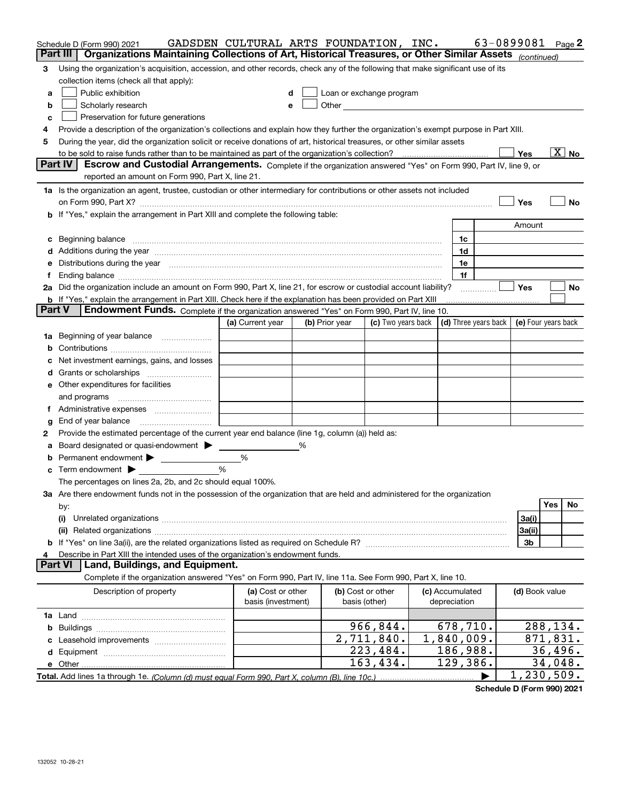|               | Schedule D (Form 990) 2021<br>Organizations Maintaining Collections of Art, Historical Treasures, or Other Similar Assets (continued)<br>Part III                                                                              | GADSDEN CULTURAL ARTS FOUNDATION, INC. |   |                |                          |                      | 63-0899081 |                     |          | Page 2                   |
|---------------|--------------------------------------------------------------------------------------------------------------------------------------------------------------------------------------------------------------------------------|----------------------------------------|---|----------------|--------------------------|----------------------|------------|---------------------|----------|--------------------------|
|               |                                                                                                                                                                                                                                |                                        |   |                |                          |                      |            |                     |          |                          |
| 3             | Using the organization's acquisition, accession, and other records, check any of the following that make significant use of its                                                                                                |                                        |   |                |                          |                      |            |                     |          |                          |
|               | collection items (check all that apply):                                                                                                                                                                                       |                                        |   |                |                          |                      |            |                     |          |                          |
| a             | Public exhibition                                                                                                                                                                                                              |                                        |   |                | Loan or exchange program |                      |            |                     |          |                          |
| b             | Scholarly research                                                                                                                                                                                                             | e                                      |   |                |                          |                      |            |                     |          |                          |
| c             | Preservation for future generations                                                                                                                                                                                            |                                        |   |                |                          |                      |            |                     |          |                          |
| 4             | Provide a description of the organization's collections and explain how they further the organization's exempt purpose in Part XIII.                                                                                           |                                        |   |                |                          |                      |            |                     |          |                          |
| 5             | During the year, did the organization solicit or receive donations of art, historical treasures, or other similar assets                                                                                                       |                                        |   |                |                          |                      |            |                     |          |                          |
|               |                                                                                                                                                                                                                                |                                        |   |                |                          |                      |            | <b>Yes</b>          |          | $\overline{\text{X}}$ No |
|               | Part IV<br>Escrow and Custodial Arrangements. Complete if the organization answered "Yes" on Form 990, Part IV, line 9, or<br>reported an amount on Form 990, Part X, line 21.                                                 |                                        |   |                |                          |                      |            |                     |          |                          |
|               | 1a Is the organization an agent, trustee, custodian or other intermediary for contributions or other assets not included                                                                                                       |                                        |   |                |                          |                      |            |                     |          |                          |
|               |                                                                                                                                                                                                                                |                                        |   |                |                          |                      |            | Yes                 |          | No                       |
|               | b If "Yes," explain the arrangement in Part XIII and complete the following table:                                                                                                                                             |                                        |   |                |                          |                      |            |                     |          |                          |
|               |                                                                                                                                                                                                                                |                                        |   |                |                          |                      |            | Amount              |          |                          |
|               | c Beginning balance measurements and the contract of the contract of the contract of the contract of the contract of the contract of the contract of the contract of the contract of the contract of the contract of the contr |                                        |   |                |                          | 1c                   |            |                     |          |                          |
|               | d Additions during the year measurements are also contained a state of the year measurement of the year measurement of the state of the state of the state of the state of the state of the state of the state of the state of |                                        |   |                |                          | 1d                   |            |                     |          |                          |
|               | e Distributions during the year manufactured and continuum and contact the year manufactured and contact the year manufactured and contact the year manufactured and contact the year manufactured and contact the year manufa |                                        |   |                |                          | 1e                   |            |                     |          |                          |
| f             | Ending balance measurements are all the contract of the contract of the contract of the contract of the contract of the contract of the contract of the contract of the contract of the contract of the contract of the contra |                                        |   |                |                          | 1f                   |            |                     |          |                          |
|               | 2a Did the organization include an amount on Form 990, Part X, line 21, for escrow or custodial account liability?                                                                                                             |                                        |   |                |                          |                      |            | <b>Yes</b>          |          | No                       |
|               | <b>b</b> If "Yes," explain the arrangement in Part XIII. Check here if the explanation has been provided on Part XIII                                                                                                          |                                        |   |                |                          |                      |            |                     |          |                          |
| <b>Part V</b> | Endowment Funds. Complete if the organization answered "Yes" on Form 990, Part IV, line 10.                                                                                                                                    |                                        |   |                |                          |                      |            |                     |          |                          |
|               |                                                                                                                                                                                                                                | (a) Current year                       |   | (b) Prior year | (c) Two years back       | (d) Three years back |            | (e) Four years back |          |                          |
|               | 1a Beginning of year balance                                                                                                                                                                                                   |                                        |   |                |                          |                      |            |                     |          |                          |
|               |                                                                                                                                                                                                                                |                                        |   |                |                          |                      |            |                     |          |                          |
|               | c Net investment earnings, gains, and losses                                                                                                                                                                                   |                                        |   |                |                          |                      |            |                     |          |                          |
|               |                                                                                                                                                                                                                                |                                        |   |                |                          |                      |            |                     |          |                          |
|               | e Other expenditures for facilities                                                                                                                                                                                            |                                        |   |                |                          |                      |            |                     |          |                          |
|               | and programs                                                                                                                                                                                                                   |                                        |   |                |                          |                      |            |                     |          |                          |
|               |                                                                                                                                                                                                                                |                                        |   |                |                          |                      |            |                     |          |                          |
| g             | End of year balance                                                                                                                                                                                                            |                                        |   |                |                          |                      |            |                     |          |                          |
| 2             | Provide the estimated percentage of the current year end balance (line 1g, column (a)) held as:                                                                                                                                |                                        |   |                |                          |                      |            |                     |          |                          |
| а             | Board designated or quasi-endowment                                                                                                                                                                                            |                                        | ℅ |                |                          |                      |            |                     |          |                          |
|               | <b>b</b> Permanent endowment >                                                                                                                                                                                                 | %                                      |   |                |                          |                      |            |                     |          |                          |
|               | $\mathbf c$ Term endowment $\blacktriangleright$                                                                                                                                                                               | %                                      |   |                |                          |                      |            |                     |          |                          |
|               | The percentages on lines 2a, 2b, and 2c should equal 100%.                                                                                                                                                                     |                                        |   |                |                          |                      |            |                     |          |                          |
|               | 3a Are there endowment funds not in the possession of the organization that are held and administered for the organization                                                                                                     |                                        |   |                |                          |                      |            |                     |          |                          |
|               | by:                                                                                                                                                                                                                            |                                        |   |                |                          |                      |            |                     | Yes      | No                       |
|               | (i)                                                                                                                                                                                                                            |                                        |   |                |                          |                      |            | 3a(i)               |          |                          |
|               |                                                                                                                                                                                                                                |                                        |   |                |                          |                      |            | 3a(ii)              |          |                          |
|               |                                                                                                                                                                                                                                |                                        |   |                |                          |                      |            | 3b                  |          |                          |
| 4             | Describe in Part XIII the intended uses of the organization's endowment funds.                                                                                                                                                 |                                        |   |                |                          |                      |            |                     |          |                          |
|               | <b>Part VI</b><br>Land, Buildings, and Equipment.                                                                                                                                                                              |                                        |   |                |                          |                      |            |                     |          |                          |
|               | Complete if the organization answered "Yes" on Form 990, Part IV, line 11a. See Form 990, Part X, line 10.                                                                                                                     |                                        |   |                |                          |                      |            |                     |          |                          |
|               | Description of property                                                                                                                                                                                                        | (a) Cost or other                      |   |                | (b) Cost or other        | (c) Accumulated      |            | (d) Book value      |          |                          |
|               |                                                                                                                                                                                                                                | basis (investment)                     |   |                | basis (other)            | depreciation         |            |                     |          |                          |
|               |                                                                                                                                                                                                                                |                                        |   |                |                          |                      |            |                     |          |                          |
|               |                                                                                                                                                                                                                                |                                        |   |                | 966,844.                 | 678,710.             |            |                     | 288,134. |                          |
|               |                                                                                                                                                                                                                                |                                        |   |                | 2,711,840.               | 1,840,009.           |            |                     | 871,831. |                          |
|               |                                                                                                                                                                                                                                |                                        |   |                | 223,484.                 | 186,988.             |            |                     | 36,496.  |                          |
|               |                                                                                                                                                                                                                                |                                        |   |                | 163,434.                 | 129,386.             |            |                     | 34,048.  |                          |
|               |                                                                                                                                                                                                                                |                                        |   |                |                          |                      | ▶          | 1, 230, 509.        |          |                          |

**Schedule D (Form 990) 2021**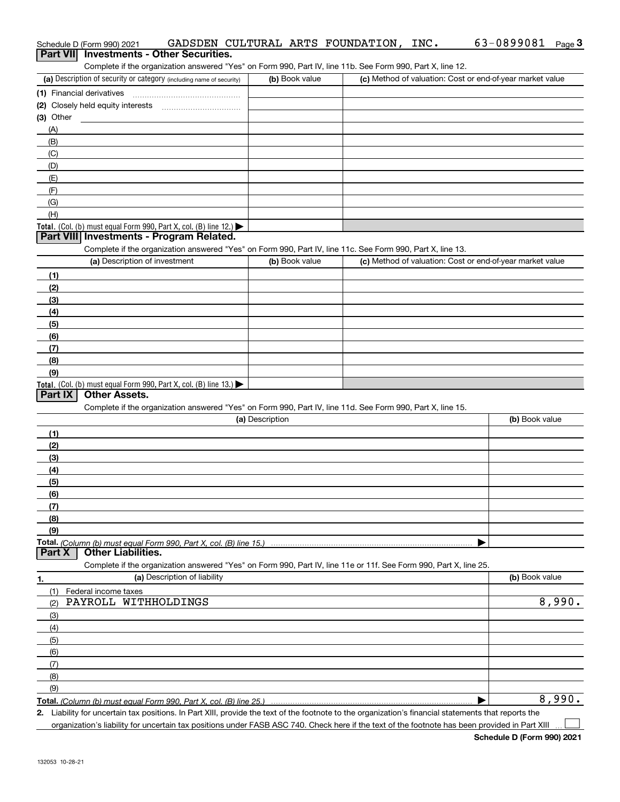| Schedule D (Form 990) 2021<br><b>Investments - Other Securities.</b><br>Part VII                                                                     |                 | GADSDEN CULTURAL ARTS FOUNDATION, INC.                    | 63-0899081<br>$Page$ 3 |
|------------------------------------------------------------------------------------------------------------------------------------------------------|-----------------|-----------------------------------------------------------|------------------------|
| Complete if the organization answered "Yes" on Form 990, Part IV, line 11b. See Form 990, Part X, line 12.                                           |                 |                                                           |                        |
| (a) Description of security or category (including name of security)                                                                                 | (b) Book value  | (c) Method of valuation: Cost or end-of-year market value |                        |
|                                                                                                                                                      |                 |                                                           |                        |
| (2) Closely held equity interests                                                                                                                    |                 |                                                           |                        |
| (3) Other                                                                                                                                            |                 |                                                           |                        |
| (A)                                                                                                                                                  |                 |                                                           |                        |
| (B)                                                                                                                                                  |                 |                                                           |                        |
| (C)                                                                                                                                                  |                 |                                                           |                        |
| (D)                                                                                                                                                  |                 |                                                           |                        |
| (E)                                                                                                                                                  |                 |                                                           |                        |
| (F)                                                                                                                                                  |                 |                                                           |                        |
| (G)                                                                                                                                                  |                 |                                                           |                        |
| (H)                                                                                                                                                  |                 |                                                           |                        |
| Total. (Col. (b) must equal Form 990, Part X, col. (B) line 12.)                                                                                     |                 |                                                           |                        |
| Part VIII Investments - Program Related.                                                                                                             |                 |                                                           |                        |
| Complete if the organization answered "Yes" on Form 990, Part IV, line 11c. See Form 990, Part X, line 13.                                           |                 |                                                           |                        |
| (a) Description of investment                                                                                                                        | (b) Book value  | (c) Method of valuation: Cost or end-of-year market value |                        |
| (1)                                                                                                                                                  |                 |                                                           |                        |
| (2)                                                                                                                                                  |                 |                                                           |                        |
| (3)                                                                                                                                                  |                 |                                                           |                        |
| (4)                                                                                                                                                  |                 |                                                           |                        |
| (5)                                                                                                                                                  |                 |                                                           |                        |
| (6)                                                                                                                                                  |                 |                                                           |                        |
| (7)                                                                                                                                                  |                 |                                                           |                        |
| (8)                                                                                                                                                  |                 |                                                           |                        |
| (9)                                                                                                                                                  |                 |                                                           |                        |
| <b>Total.</b> (Col. (b) must equal Form 990, Part X, col. (B) line 13.)                                                                              |                 |                                                           |                        |
| <b>Other Assets.</b><br>Part IX                                                                                                                      |                 |                                                           |                        |
| Complete if the organization answered "Yes" on Form 990, Part IV, line 11d. See Form 990, Part X, line 15.                                           |                 |                                                           |                        |
|                                                                                                                                                      | (a) Description |                                                           | (b) Book value         |
| (1)                                                                                                                                                  |                 |                                                           |                        |
| (2)                                                                                                                                                  |                 |                                                           |                        |
| (3)                                                                                                                                                  |                 |                                                           |                        |
| (4)                                                                                                                                                  |                 |                                                           |                        |
| (5)                                                                                                                                                  |                 |                                                           |                        |
| (6)                                                                                                                                                  |                 |                                                           |                        |
| (7)                                                                                                                                                  |                 |                                                           |                        |
| (8)                                                                                                                                                  |                 |                                                           |                        |
| (9)                                                                                                                                                  |                 |                                                           |                        |
| <b>Other Liabilities.</b><br>Part X                                                                                                                  |                 |                                                           |                        |
| Complete if the organization answered "Yes" on Form 990, Part IV, line 11e or 11f. See Form 990, Part X, line 25.                                    |                 |                                                           |                        |
| (a) Description of liability<br>1.                                                                                                                   |                 |                                                           | (b) Book value         |
| Federal income taxes<br>(1)                                                                                                                          |                 |                                                           |                        |
| PAYROLL WITHHOLDINGS<br>(2)                                                                                                                          |                 |                                                           | 8,990.                 |
| (3)                                                                                                                                                  |                 |                                                           |                        |
| (4)                                                                                                                                                  |                 |                                                           |                        |
| (5)                                                                                                                                                  |                 |                                                           |                        |
| (6)                                                                                                                                                  |                 |                                                           |                        |
| (7)                                                                                                                                                  |                 |                                                           |                        |
| (8)                                                                                                                                                  |                 |                                                           |                        |
| (9)                                                                                                                                                  |                 |                                                           |                        |
| Total. (Column (b) must equal Form 990, Part X, col. (B) line 25.)                                                                                   |                 |                                                           | 8,990.                 |
| 2. Liability for uncertain tax positions. In Part XIII, provide the text of the footnote to the organization's financial statements that reports the |                 |                                                           |                        |

organization's liability for uncertain tax positions under FASB ASC 740. Check here if the text of the footnote has been provided in Part XIII

63-0899081 Page 3

 $\mathcal{L}^{\text{max}}$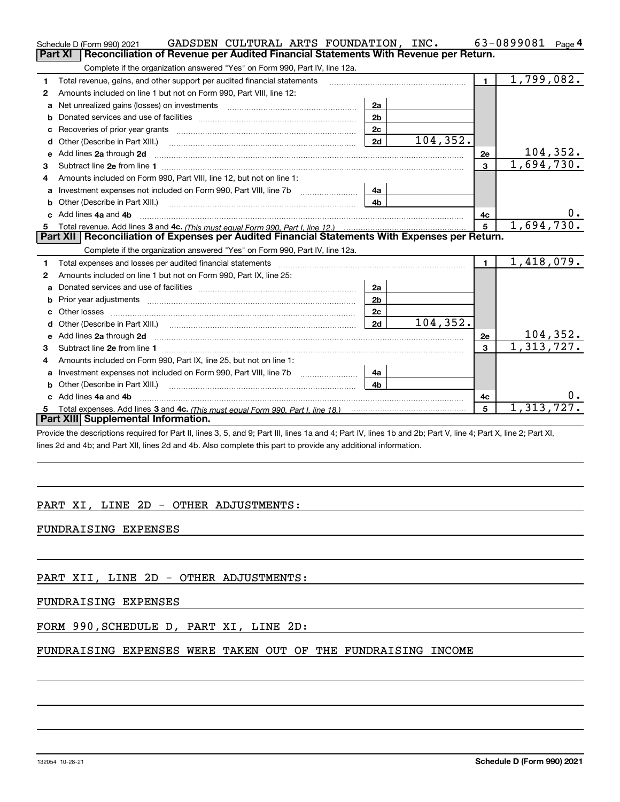|    | GADSDEN CULTURAL ARTS FOUNDATION, INC.<br>Schedule D (Form 990) 2021                                                                                                                                                                |                |           |                | 63-0899081<br>Page 4          |
|----|-------------------------------------------------------------------------------------------------------------------------------------------------------------------------------------------------------------------------------------|----------------|-----------|----------------|-------------------------------|
|    | Part XI<br>Reconciliation of Revenue per Audited Financial Statements With Revenue per Return.                                                                                                                                      |                |           |                |                               |
|    | Complete if the organization answered "Yes" on Form 990, Part IV, line 12a.                                                                                                                                                         |                |           |                |                               |
| 1  | Total revenue, gains, and other support per audited financial statements                                                                                                                                                            |                |           | $\blacksquare$ | 1,799,082.                    |
| 2  | Amounts included on line 1 but not on Form 990, Part VIII, line 12:                                                                                                                                                                 |                |           |                |                               |
| a  |                                                                                                                                                                                                                                     | 2a             |           |                |                               |
|    |                                                                                                                                                                                                                                     | 2 <sub>b</sub> |           |                |                               |
|    |                                                                                                                                                                                                                                     | 2c             |           |                |                               |
| d  | Other (Describe in Part XIII.) <b>Construction Contract Construction</b> Chemical Construction Chemical Chemical Chemical Chemical Chemical Chemical Chemical Chemical Chemical Chemical Chemical Chemical Chemical Chemical Chemic | 2d             | 104, 352. |                |                               |
| е  | Add lines 2a through 2d                                                                                                                                                                                                             |                |           | <b>2e</b>      | $\frac{104,352.}{1,694,730.}$ |
| 3  |                                                                                                                                                                                                                                     |                |           | $\mathbf{3}$   |                               |
| 4  | Amounts included on Form 990, Part VIII, line 12, but not on line 1:                                                                                                                                                                |                |           |                |                               |
|    |                                                                                                                                                                                                                                     | 4a             |           |                |                               |
|    |                                                                                                                                                                                                                                     | 4 <sub>h</sub> |           |                |                               |
| c. | Add lines 4a and 4b                                                                                                                                                                                                                 |                |           | 4c             | υ.                            |
|    |                                                                                                                                                                                                                                     |                |           | 5 <sup>1</sup> | 1,694,730.                    |
|    |                                                                                                                                                                                                                                     |                |           |                |                               |
|    | Part XII   Reconciliation of Expenses per Audited Financial Statements With Expenses per Return.                                                                                                                                    |                |           |                |                               |
|    | Complete if the organization answered "Yes" on Form 990, Part IV, line 12a.                                                                                                                                                         |                |           |                |                               |
| 1. | Total expenses and losses per audited financial statements [11] [12] manuscription and contract the statements [13] manuscription and the statements [13] manuscription and the statements and the statements and the statemen      |                |           | $\mathbf{1}$   | 1,418,079.                    |
| 2  | Amounts included on line 1 but not on Form 990, Part IX, line 25:                                                                                                                                                                   |                |           |                |                               |
| a  |                                                                                                                                                                                                                                     | 2a             |           |                |                               |
|    | Prior year adjustments manufactured and control and control and control and control and control and control and control and control and control and control and control and control and control and control and control and co      | 2 <sub>b</sub> |           |                |                               |
| c. |                                                                                                                                                                                                                                     | 2 <sub>c</sub> |           |                |                               |
|    |                                                                                                                                                                                                                                     | 2d             | 104, 352. |                |                               |
|    |                                                                                                                                                                                                                                     |                |           | 2e             |                               |
| 3  |                                                                                                                                                                                                                                     |                |           | $\mathbf{a}$   | 104,352.<br>1,313,727.        |
| 4  | Amounts included on Form 990, Part IX, line 25, but not on line 1:                                                                                                                                                                  |                |           |                |                               |
| a  |                                                                                                                                                                                                                                     | 4a             |           |                |                               |
| b  |                                                                                                                                                                                                                                     | 4 <sub>b</sub> |           |                |                               |
|    | Add lines 4a and 4b                                                                                                                                                                                                                 |                |           | 4с             | $0$ .                         |
|    | Part XIII Supplemental Information.                                                                                                                                                                                                 |                |           | 5              | 1,313,727.                    |

Provide the descriptions required for Part II, lines 3, 5, and 9; Part III, lines 1a and 4; Part IV, lines 1b and 2b; Part V, line 4; Part X, line 2; Part XI, lines 2d and 4b; and Part XII, lines 2d and 4b. Also complete this part to provide any additional information.

## PART XI, LINE 2D - OTHER ADJUSTMENTS:

### FUNDRAISING EXPENSES

PART XII, LINE 2D - OTHER ADJUSTMENTS:

### FUNDRAISING EXPENSES

### FORM 990,SCHEDULE D, PART XI, LINE 2D:

## FUNDRAISING EXPENSES WERE TAKEN OUT OF THE FUNDRAISING INCOME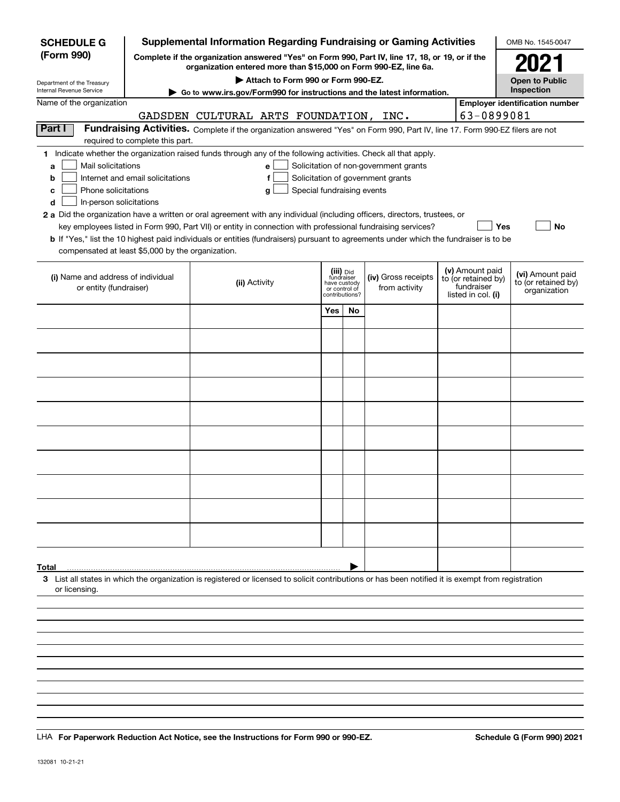| <b>SCHEDULE G</b>                                                                                                                             |                                  | <b>Supplemental Information Regarding Fundraising or Gaming Activities</b>                                                                                                                                                                                                                                                                                                                                                                                                                                                                         |     |                                                                            |                                                                            |                                                                            | OMB No. 1545-0047                                       |  |
|-----------------------------------------------------------------------------------------------------------------------------------------------|----------------------------------|----------------------------------------------------------------------------------------------------------------------------------------------------------------------------------------------------------------------------------------------------------------------------------------------------------------------------------------------------------------------------------------------------------------------------------------------------------------------------------------------------------------------------------------------------|-----|----------------------------------------------------------------------------|----------------------------------------------------------------------------|----------------------------------------------------------------------------|---------------------------------------------------------|--|
| (Form 990)                                                                                                                                    |                                  | Complete if the organization answered "Yes" on Form 990, Part IV, line 17, 18, or 19, or if the<br>organization entered more than \$15,000 on Form 990-EZ, line 6a.                                                                                                                                                                                                                                                                                                                                                                                |     |                                                                            |                                                                            |                                                                            | 2021                                                    |  |
| Department of the Treasury<br>Internal Revenue Service                                                                                        |                                  | Attach to Form 990 or Form 990-EZ.                                                                                                                                                                                                                                                                                                                                                                                                                                                                                                                 |     |                                                                            |                                                                            |                                                                            | <b>Open to Public</b><br>Inspection                     |  |
| Name of the organization                                                                                                                      |                                  | ► Go to www.irs.gov/Form990 for instructions and the latest information.                                                                                                                                                                                                                                                                                                                                                                                                                                                                           |     |                                                                            |                                                                            |                                                                            | <b>Employer identification number</b>                   |  |
|                                                                                                                                               |                                  | GADSDEN CULTURAL ARTS FOUNDATION, INC.                                                                                                                                                                                                                                                                                                                                                                                                                                                                                                             |     |                                                                            |                                                                            | 63-0899081                                                                 |                                                         |  |
| Part I                                                                                                                                        | required to complete this part.  | Fundraising Activities. Complete if the organization answered "Yes" on Form 990, Part IV, line 17. Form 990-EZ filers are not                                                                                                                                                                                                                                                                                                                                                                                                                      |     |                                                                            |                                                                            |                                                                            |                                                         |  |
| Mail solicitations<br>a<br>b<br>Phone solicitations<br>с<br>In-person solicitations<br>d<br>compensated at least \$5,000 by the organization. | Internet and email solicitations | 1 Indicate whether the organization raised funds through any of the following activities. Check all that apply.<br>е<br>f<br>Special fundraising events<br>g<br>2 a Did the organization have a written or oral agreement with any individual (including officers, directors, trustees, or<br>key employees listed in Form 990, Part VII) or entity in connection with professional fundraising services?<br>b If "Yes," list the 10 highest paid individuals or entities (fundraisers) pursuant to agreements under which the fundraiser is to be |     |                                                                            | Solicitation of non-government grants<br>Solicitation of government grants |                                                                            | <b>No</b><br>Yes                                        |  |
| (i) Name and address of individual<br>or entity (fundraiser)                                                                                  |                                  | (ii) Activity                                                                                                                                                                                                                                                                                                                                                                                                                                                                                                                                      |     | (iii) Did<br>fundraiser<br>have custody<br>or control of<br>contributions? | (iv) Gross receipts<br>from activity                                       | (v) Amount paid<br>to (or retained by)<br>fundraiser<br>listed in col. (i) | (vi) Amount paid<br>to (or retained by)<br>organization |  |
|                                                                                                                                               |                                  |                                                                                                                                                                                                                                                                                                                                                                                                                                                                                                                                                    | Yes | <b>No</b>                                                                  |                                                                            |                                                                            |                                                         |  |
|                                                                                                                                               |                                  |                                                                                                                                                                                                                                                                                                                                                                                                                                                                                                                                                    |     |                                                                            |                                                                            |                                                                            |                                                         |  |
|                                                                                                                                               |                                  |                                                                                                                                                                                                                                                                                                                                                                                                                                                                                                                                                    |     |                                                                            |                                                                            |                                                                            |                                                         |  |
|                                                                                                                                               |                                  |                                                                                                                                                                                                                                                                                                                                                                                                                                                                                                                                                    |     |                                                                            |                                                                            |                                                                            |                                                         |  |
|                                                                                                                                               |                                  |                                                                                                                                                                                                                                                                                                                                                                                                                                                                                                                                                    |     |                                                                            |                                                                            |                                                                            |                                                         |  |
|                                                                                                                                               |                                  |                                                                                                                                                                                                                                                                                                                                                                                                                                                                                                                                                    |     |                                                                            |                                                                            |                                                                            |                                                         |  |
|                                                                                                                                               |                                  |                                                                                                                                                                                                                                                                                                                                                                                                                                                                                                                                                    |     |                                                                            |                                                                            |                                                                            |                                                         |  |
|                                                                                                                                               |                                  |                                                                                                                                                                                                                                                                                                                                                                                                                                                                                                                                                    |     |                                                                            |                                                                            |                                                                            |                                                         |  |
|                                                                                                                                               |                                  |                                                                                                                                                                                                                                                                                                                                                                                                                                                                                                                                                    |     |                                                                            |                                                                            |                                                                            |                                                         |  |
|                                                                                                                                               |                                  |                                                                                                                                                                                                                                                                                                                                                                                                                                                                                                                                                    |     |                                                                            |                                                                            |                                                                            |                                                         |  |
| Total                                                                                                                                         |                                  |                                                                                                                                                                                                                                                                                                                                                                                                                                                                                                                                                    |     |                                                                            |                                                                            |                                                                            |                                                         |  |
| or licensing.                                                                                                                                 |                                  | 3 List all states in which the organization is registered or licensed to solicit contributions or has been notified it is exempt from registration                                                                                                                                                                                                                                                                                                                                                                                                 |     |                                                                            |                                                                            |                                                                            |                                                         |  |
|                                                                                                                                               |                                  |                                                                                                                                                                                                                                                                                                                                                                                                                                                                                                                                                    |     |                                                                            |                                                                            |                                                                            |                                                         |  |
|                                                                                                                                               |                                  |                                                                                                                                                                                                                                                                                                                                                                                                                                                                                                                                                    |     |                                                                            |                                                                            |                                                                            |                                                         |  |
|                                                                                                                                               |                                  |                                                                                                                                                                                                                                                                                                                                                                                                                                                                                                                                                    |     |                                                                            |                                                                            |                                                                            |                                                         |  |
|                                                                                                                                               |                                  |                                                                                                                                                                                                                                                                                                                                                                                                                                                                                                                                                    |     |                                                                            |                                                                            |                                                                            |                                                         |  |

LHA For Paperwork Reduction Act Notice, see the Instructions for Form 990 or 990-EZ. Schedule G (Form 990) 2021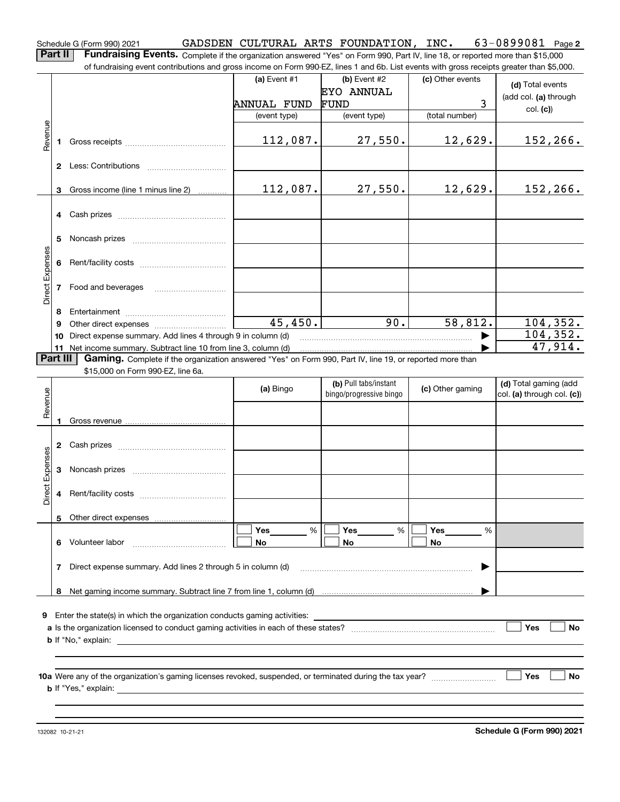**Part II** | Fundraising Events. Complete if the organization answered "Yes" on Form 990, Part IV, line 18, or reported more than \$15,000 of fundraising event contributions and gross income on Form 990-EZ, lines 1 and 6b. List events with gross receipts greater than \$5,000.

|                 |              | 01 Turildraising event continuutions and gross income on I Turil 990-LL, inies T and OD. List events with gross receipts greater than \$0,000. |                |                                                  |                  |                                                     |
|-----------------|--------------|------------------------------------------------------------------------------------------------------------------------------------------------|----------------|--------------------------------------------------|------------------|-----------------------------------------------------|
|                 |              |                                                                                                                                                | (a) Event $#1$ | $(b)$ Event #2                                   | (c) Other events | (d) Total events                                    |
|                 |              |                                                                                                                                                |                | <b>EYO ANNUAL</b>                                |                  | (add col. (a) through                               |
|                 |              |                                                                                                                                                | ANNUAL FUND    | FUND                                             | $\mathbf{3}$     | col. (c)                                            |
|                 |              |                                                                                                                                                | (event type)   | (event type)                                     | (total number)   |                                                     |
|                 |              |                                                                                                                                                |                |                                                  |                  |                                                     |
| Revenue         | 1.           |                                                                                                                                                | 112,087.       | 27,550.                                          | 12,629.          | 152,266.                                            |
|                 |              |                                                                                                                                                |                |                                                  |                  |                                                     |
|                 |              |                                                                                                                                                |                |                                                  |                  |                                                     |
|                 |              |                                                                                                                                                |                |                                                  |                  |                                                     |
|                 |              | 3 Gross income (line 1 minus line 2)                                                                                                           | 112,087.       | 27,550.                                          | 12,629.          | 152,266.                                            |
|                 |              |                                                                                                                                                |                |                                                  |                  |                                                     |
|                 |              |                                                                                                                                                |                |                                                  |                  |                                                     |
|                 |              |                                                                                                                                                |                |                                                  |                  |                                                     |
|                 | 5            |                                                                                                                                                |                |                                                  |                  |                                                     |
|                 |              |                                                                                                                                                |                |                                                  |                  |                                                     |
|                 |              |                                                                                                                                                |                |                                                  |                  |                                                     |
| Direct Expenses |              |                                                                                                                                                |                |                                                  |                  |                                                     |
|                 |              | 7 Food and beverages                                                                                                                           |                |                                                  |                  |                                                     |
|                 |              |                                                                                                                                                |                |                                                  |                  |                                                     |
|                 | 8            |                                                                                                                                                |                |                                                  |                  |                                                     |
|                 | 9            |                                                                                                                                                | 45,450.        | $\overline{90}$ .                                | 58,812.          | 104, 352.                                           |
|                 |              | 10 Direct expense summary. Add lines 4 through 9 in column (d)                                                                                 |                |                                                  |                  | 104, 352.                                           |
|                 |              | 11 Net income summary. Subtract line 10 from line 3, column (d)                                                                                |                |                                                  |                  | 47,914.                                             |
|                 | Part III     | Gaming. Complete if the organization answered "Yes" on Form 990, Part IV, line 19, or reported more than                                       |                |                                                  |                  |                                                     |
|                 |              | \$15,000 on Form 990-EZ, line 6a.                                                                                                              |                |                                                  |                  |                                                     |
|                 |              |                                                                                                                                                | (a) Bingo      | (b) Pull tabs/instant<br>bingo/progressive bingo | (c) Other gaming | (d) Total gaming (add<br>col. (a) through col. (c)) |
| Revenue         |              |                                                                                                                                                |                |                                                  |                  |                                                     |
|                 |              |                                                                                                                                                |                |                                                  |                  |                                                     |
|                 |              |                                                                                                                                                |                |                                                  |                  |                                                     |
|                 |              |                                                                                                                                                |                |                                                  |                  |                                                     |
|                 |              |                                                                                                                                                |                |                                                  |                  |                                                     |
| Direct Expenses |              |                                                                                                                                                |                |                                                  |                  |                                                     |
|                 |              |                                                                                                                                                |                |                                                  |                  |                                                     |
|                 |              |                                                                                                                                                |                |                                                  |                  |                                                     |
|                 |              |                                                                                                                                                |                |                                                  |                  |                                                     |
|                 |              | 5 Other direct expenses                                                                                                                        |                |                                                  |                  |                                                     |
|                 |              |                                                                                                                                                | Yes<br>%       | Yes<br>$\%$                                      | Yes<br>%         |                                                     |
|                 | 6            | Volunteer labor                                                                                                                                | No             | No                                               | No               |                                                     |
|                 |              |                                                                                                                                                |                |                                                  |                  |                                                     |
|                 | $\mathbf{7}$ | Direct expense summary. Add lines 2 through 5 in column (d)                                                                                    |                |                                                  |                  |                                                     |
|                 |              |                                                                                                                                                |                |                                                  |                  |                                                     |
|                 | 8            |                                                                                                                                                |                |                                                  |                  |                                                     |
|                 |              |                                                                                                                                                |                |                                                  |                  |                                                     |
|                 |              | 9 Enter the state(s) in which the organization conducts gaming activities:                                                                     |                |                                                  |                  |                                                     |
|                 |              |                                                                                                                                                |                |                                                  |                  | Yes<br><b>No</b>                                    |
|                 |              | <b>b</b> If "No," explain:                                                                                                                     |                |                                                  |                  |                                                     |
|                 |              |                                                                                                                                                |                |                                                  |                  |                                                     |
|                 |              |                                                                                                                                                |                |                                                  |                  |                                                     |
|                 |              |                                                                                                                                                |                |                                                  |                  | Yes<br>No                                           |
|                 |              | <b>b</b> If "Yes," explain:                                                                                                                    |                |                                                  |                  |                                                     |
|                 |              |                                                                                                                                                |                |                                                  |                  |                                                     |
|                 |              |                                                                                                                                                |                |                                                  |                  |                                                     |

**2**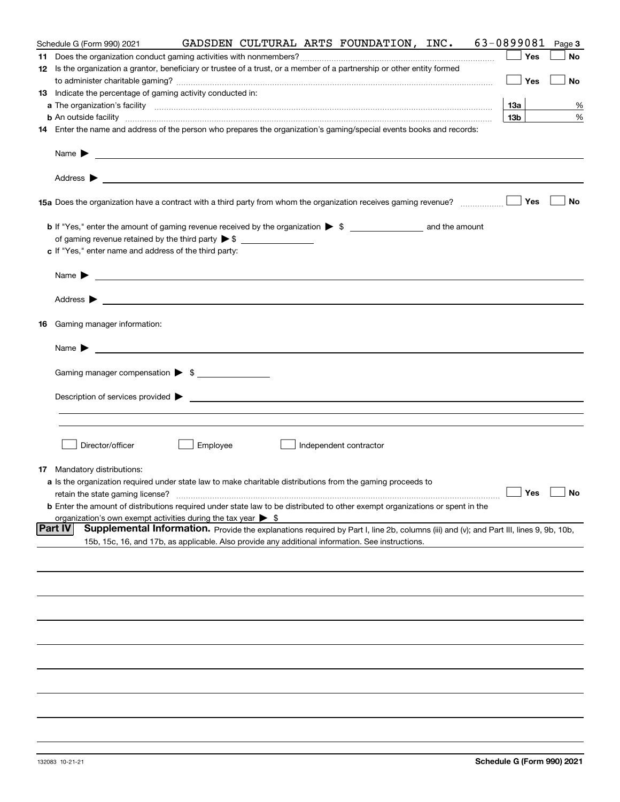| Schedule G (Form 990) 2021                                                                                                                                                                                                                |          |  | GADSDEN CULTURAL ARTS FOUNDATION, INC. | 63-0899081      | Page 3 |
|-------------------------------------------------------------------------------------------------------------------------------------------------------------------------------------------------------------------------------------------|----------|--|----------------------------------------|-----------------|--------|
|                                                                                                                                                                                                                                           |          |  |                                        | Yes             | No     |
| 12 Is the organization a grantor, beneficiary or trustee of a trust, or a member of a partnership or other entity formed                                                                                                                  |          |  |                                        |                 |        |
|                                                                                                                                                                                                                                           |          |  |                                        | $\Box$ Yes      | No     |
| <b>13</b> Indicate the percentage of gaming activity conducted in:                                                                                                                                                                        |          |  |                                        |                 |        |
|                                                                                                                                                                                                                                           |          |  |                                        | 13a             | %      |
| <b>b</b> An outside facility <b>contained an according to the contract of the contract of the contract of the contract of the contract of the contract of the contract of the contract of the contract of the contract of the contrac</b> |          |  |                                        | 13 <sub>b</sub> | %      |
| 14 Enter the name and address of the person who prepares the organization's gaming/special events books and records:                                                                                                                      |          |  |                                        |                 |        |
|                                                                                                                                                                                                                                           |          |  |                                        |                 |        |
|                                                                                                                                                                                                                                           |          |  |                                        |                 |        |
|                                                                                                                                                                                                                                           |          |  |                                        |                 | No     |
|                                                                                                                                                                                                                                           |          |  |                                        |                 |        |
|                                                                                                                                                                                                                                           |          |  |                                        |                 |        |
| c If "Yes," enter name and address of the third party:                                                                                                                                                                                    |          |  |                                        |                 |        |
| Name $\blacktriangleright$ $\bot$                                                                                                                                                                                                         |          |  |                                        |                 |        |
|                                                                                                                                                                                                                                           |          |  |                                        |                 |        |
|                                                                                                                                                                                                                                           |          |  |                                        |                 |        |
| 16 Gaming manager information:                                                                                                                                                                                                            |          |  |                                        |                 |        |
| Name $\triangleright$ $\square$                                                                                                                                                                                                           |          |  |                                        |                 |        |
|                                                                                                                                                                                                                                           |          |  |                                        |                 |        |
| Gaming manager compensation > \$                                                                                                                                                                                                          |          |  |                                        |                 |        |
|                                                                                                                                                                                                                                           |          |  |                                        |                 |        |
|                                                                                                                                                                                                                                           |          |  |                                        |                 |        |
|                                                                                                                                                                                                                                           |          |  |                                        |                 |        |
| Director/officer                                                                                                                                                                                                                          | Employee |  | Independent contractor                 |                 |        |
| <b>17</b> Mandatory distributions:                                                                                                                                                                                                        |          |  |                                        |                 |        |
| a Is the organization required under state law to make charitable distributions from the gaming proceeds to                                                                                                                               |          |  |                                        |                 |        |
| retain the state gaming license?                                                                                                                                                                                                          |          |  | $\Box$ Yes $\Box$ No                   |                 |        |
| <b>b</b> Enter the amount of distributions required under state law to be distributed to other exempt organizations or spent in the                                                                                                       |          |  |                                        |                 |        |
| organization's own exempt activities during the tax year $\triangleright$ \$                                                                                                                                                              |          |  |                                        |                 |        |
| Part IV<br>Supplemental Information. Provide the explanations required by Part I, line 2b, columns (iii) and (v); and Part III, lines 9, 9b, 10b,                                                                                         |          |  |                                        |                 |        |
| 15b, 15c, 16, and 17b, as applicable. Also provide any additional information. See instructions.                                                                                                                                          |          |  |                                        |                 |        |
|                                                                                                                                                                                                                                           |          |  |                                        |                 |        |
|                                                                                                                                                                                                                                           |          |  |                                        |                 |        |
|                                                                                                                                                                                                                                           |          |  |                                        |                 |        |
|                                                                                                                                                                                                                                           |          |  |                                        |                 |        |
|                                                                                                                                                                                                                                           |          |  |                                        |                 |        |
|                                                                                                                                                                                                                                           |          |  |                                        |                 |        |
|                                                                                                                                                                                                                                           |          |  |                                        |                 |        |
|                                                                                                                                                                                                                                           |          |  |                                        |                 |        |
|                                                                                                                                                                                                                                           |          |  |                                        |                 |        |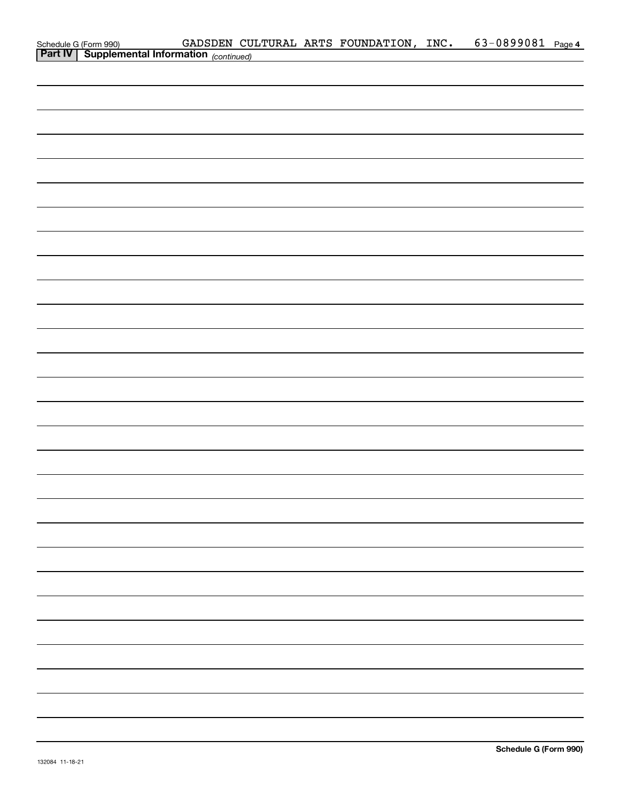| Schedule G (Form 990) GADSDEN CULTURAL ARTS FOUNDATION, INC.<br>Part IV Supplemental Information (continued) |  |  | 63-0899081 Page 4 |  |
|--------------------------------------------------------------------------------------------------------------|--|--|-------------------|--|
|                                                                                                              |  |  |                   |  |
|                                                                                                              |  |  |                   |  |
|                                                                                                              |  |  |                   |  |
|                                                                                                              |  |  |                   |  |
|                                                                                                              |  |  |                   |  |
|                                                                                                              |  |  |                   |  |
|                                                                                                              |  |  |                   |  |
|                                                                                                              |  |  |                   |  |
|                                                                                                              |  |  |                   |  |
|                                                                                                              |  |  |                   |  |
|                                                                                                              |  |  |                   |  |
|                                                                                                              |  |  |                   |  |
|                                                                                                              |  |  |                   |  |
|                                                                                                              |  |  |                   |  |
|                                                                                                              |  |  |                   |  |
|                                                                                                              |  |  |                   |  |
|                                                                                                              |  |  |                   |  |
|                                                                                                              |  |  |                   |  |
|                                                                                                              |  |  |                   |  |
|                                                                                                              |  |  |                   |  |
|                                                                                                              |  |  |                   |  |
|                                                                                                              |  |  |                   |  |
|                                                                                                              |  |  |                   |  |
|                                                                                                              |  |  |                   |  |
|                                                                                                              |  |  |                   |  |
|                                                                                                              |  |  |                   |  |
|                                                                                                              |  |  |                   |  |
|                                                                                                              |  |  |                   |  |
|                                                                                                              |  |  |                   |  |
|                                                                                                              |  |  |                   |  |
|                                                                                                              |  |  |                   |  |
|                                                                                                              |  |  |                   |  |
|                                                                                                              |  |  |                   |  |
|                                                                                                              |  |  |                   |  |
|                                                                                                              |  |  |                   |  |
|                                                                                                              |  |  |                   |  |
|                                                                                                              |  |  |                   |  |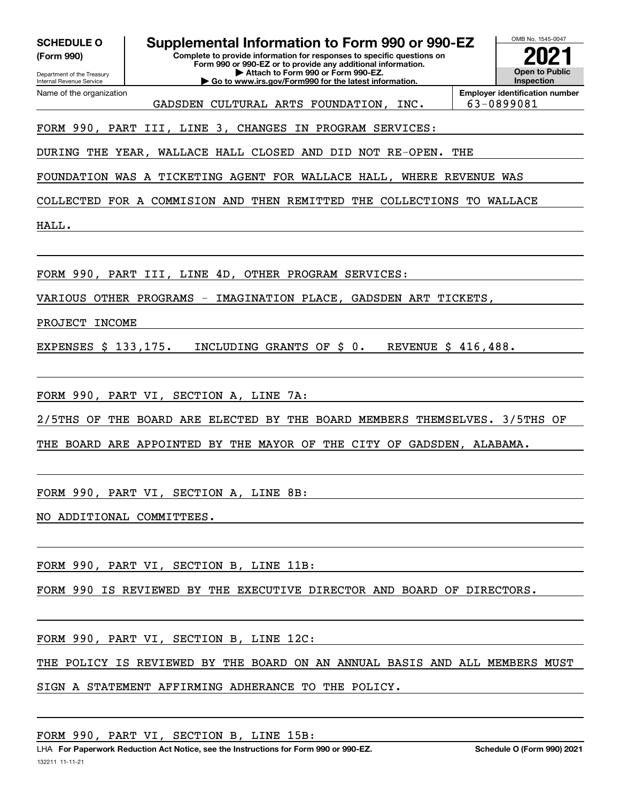| <b>SCHEDULE O</b><br>(Form 990)<br>Department of the Treasury<br>Internal Revenue Service | OMB No. 1545-0047<br>Supplemental Information to Form 990 or 990-EZ<br><b>Open to Public</b><br>Inspection |                                                     |
|-------------------------------------------------------------------------------------------|------------------------------------------------------------------------------------------------------------|-----------------------------------------------------|
| Name of the organization                                                                  | CULTURAL ARTS FOUNDATION,<br>GADSDEN<br>INC.                                                               | <b>Employer identification number</b><br>63-0899081 |
|                                                                                           | FORM 990, PART III, LINE 3,<br><b>CHANGES</b><br>PROGRAM SERVICES:<br>ΙN                                   |                                                     |
| DURING THE                                                                                | YEAR,<br>WALLACE HALL CLOSED<br>AND<br>DID<br>NOT<br>$RE-OPEN$ .                                           | THE                                                 |
| WAS<br>FOUNDATION                                                                         | TICKETING AGENT FOR WALLACE HALL,<br>WHERE<br>A                                                            | REVENUE<br>WAS                                      |
| COLLECTED                                                                                 | THEN<br>REMITTED<br>THE<br>COLLECTIONS<br>FOR A COMMISION AND                                              | WALLACE<br>TO.                                      |
| HALL.                                                                                     |                                                                                                            |                                                     |
| FORM 990, PART III,                                                                       | OTHER PROGRAM SERVICES:<br>LINE<br>4D,                                                                     |                                                     |
| VARIOUS                                                                                   | OTHER PROGRAMS<br>IMAGINATION PLACE,<br>GADSDEN ART TICKETS,                                               |                                                     |
| PROJECT<br><b>INCOME</b>                                                                  |                                                                                                            |                                                     |
| EXPENSES \$ 133,175.                                                                      | INCLUDING GRANTS OF<br>$\dot{\mathbf{S}}$ 0.<br>REVENUE \$ 416,488.                                        |                                                     |
| FORM 990, PART VI,                                                                        | SECTION A, LINE<br>7A:                                                                                     |                                                     |
| $2/5$ THS<br>THE<br>OF                                                                    | BOARD ARE<br>ELECTED<br>BY.<br>THE<br><b>BOARD</b><br>MEMBERS<br>THEMSELVES.                               | $3/5$ THS OF                                        |
| THE<br><b>BOARD</b><br>ARE                                                                | THE CITY OF<br>APPOINTED BY<br>THE MAYOR OF                                                                | GADSDEN, ALABAMA.                                   |
|                                                                                           |                                                                                                            |                                                     |
|                                                                                           | FORM 990, PART VI, SECTION A, LINE 8B:                                                                     |                                                     |
| NO ADDITIONAL COMMITTEES.                                                                 |                                                                                                            |                                                     |
|                                                                                           |                                                                                                            |                                                     |
|                                                                                           | FORM 990, PART VI, SECTION B, LINE 11B:                                                                    |                                                     |
|                                                                                           | FORM 990 IS REVIEWED BY THE EXECUTIVE DIRECTOR AND BOARD OF DIRECTORS.                                     |                                                     |
|                                                                                           | FORM 990, PART VI, SECTION B, LINE 12C:                                                                    |                                                     |

THE POLICY IS REVIEWED BY THE BOARD ON AN ANNUAL BASIS AND ALL MEMBERS MUST

SIGN A STATEMENT AFFIRMING ADHERANCE TO THE POLICY.

FORM 990, PART VI, SECTION B, LINE 15B: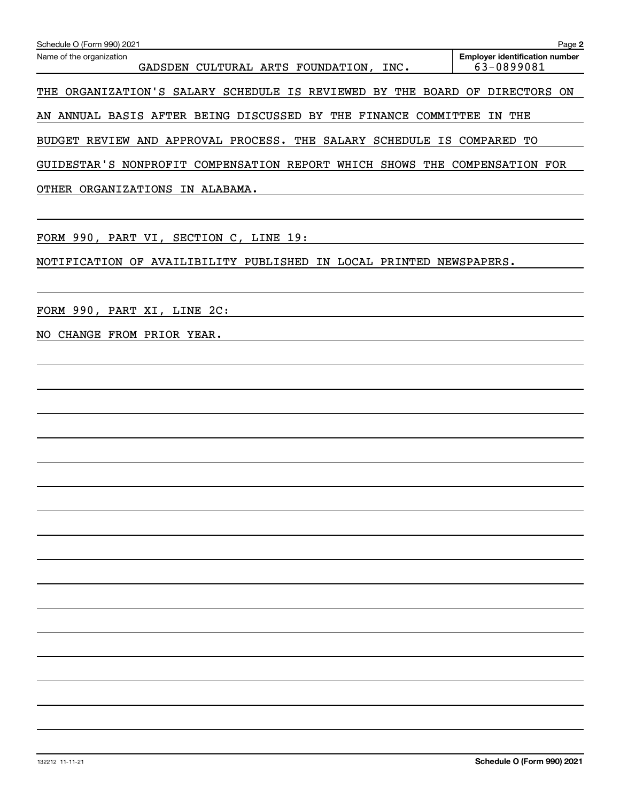| Schedule O (Form 990) 2021                                                  | Page 2                                              |
|-----------------------------------------------------------------------------|-----------------------------------------------------|
| Name of the organization<br>GADSDEN CULTURAL ARTS FOUNDATION, INC.          | <b>Employer identification number</b><br>63-0899081 |
| THE ORGANIZATION'S SALARY SCHEDULE IS REVIEWED BY THE BOARD OF DIRECTORS ON |                                                     |
| AN ANNUAL BASIS AFTER BEING DISCUSSED BY THE FINANCE COMMITTEE IN THE       |                                                     |
| BUDGET REVIEW AND APPROVAL PROCESS. THE SALARY SCHEDULE IS COMPARED TO      |                                                     |
| GUIDESTAR'S NONPROFIT COMPENSATION REPORT WHICH SHOWS THE COMPENSATION FOR  |                                                     |
| OTHER ORGANIZATIONS IN ALABAMA.                                             |                                                     |
| FORM 990, PART VI, SECTION C, LINE 19:                                      |                                                     |
| NOTIFICATION OF AVAILIBILITY PUBLISHED IN LOCAL PRINTED NEWSPAPERS.         |                                                     |
| FORM 990, PART XI, LINE 2C:                                                 |                                                     |
| NO CHANGE FROM PRIOR YEAR.                                                  |                                                     |
|                                                                             |                                                     |
|                                                                             |                                                     |
|                                                                             |                                                     |
|                                                                             |                                                     |
|                                                                             |                                                     |
|                                                                             |                                                     |
|                                                                             |                                                     |
|                                                                             |                                                     |
|                                                                             |                                                     |
|                                                                             |                                                     |
|                                                                             |                                                     |
|                                                                             |                                                     |
|                                                                             |                                                     |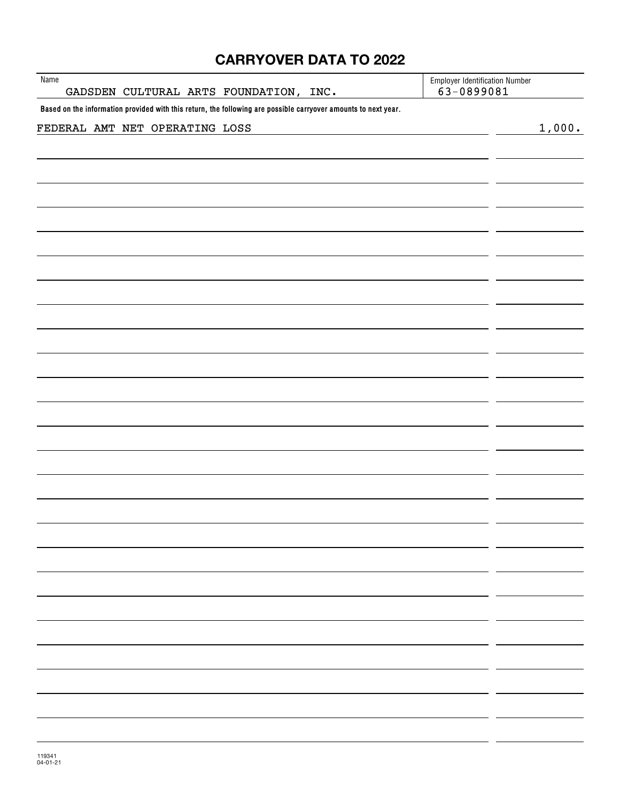# **CARRYOVER DATA TO 2022**

| Name<br>GADSDEN CULTURAL ARTS FOUNDATION, INC.                                                                 | <b>Employer Identification Number</b><br>63-0899081 |
|----------------------------------------------------------------------------------------------------------------|-----------------------------------------------------|
| Based on the information provided with this return, the following are possible carryover amounts to next year. |                                                     |
| FEDERAL AMT NET OPERATING LOSS                                                                                 | 1,000.                                              |
|                                                                                                                |                                                     |
|                                                                                                                |                                                     |
|                                                                                                                |                                                     |
|                                                                                                                |                                                     |
|                                                                                                                |                                                     |
|                                                                                                                |                                                     |
|                                                                                                                |                                                     |
|                                                                                                                |                                                     |
|                                                                                                                |                                                     |
|                                                                                                                |                                                     |
|                                                                                                                |                                                     |
|                                                                                                                |                                                     |
|                                                                                                                |                                                     |
|                                                                                                                |                                                     |
|                                                                                                                |                                                     |
|                                                                                                                |                                                     |
|                                                                                                                |                                                     |
|                                                                                                                |                                                     |
|                                                                                                                |                                                     |
|                                                                                                                |                                                     |
|                                                                                                                |                                                     |
|                                                                                                                |                                                     |
|                                                                                                                |                                                     |
|                                                                                                                |                                                     |
|                                                                                                                |                                                     |
|                                                                                                                |                                                     |
|                                                                                                                |                                                     |
|                                                                                                                |                                                     |
|                                                                                                                |                                                     |
|                                                                                                                |                                                     |
|                                                                                                                |                                                     |
|                                                                                                                |                                                     |
|                                                                                                                |                                                     |
|                                                                                                                |                                                     |
|                                                                                                                |                                                     |
|                                                                                                                |                                                     |
|                                                                                                                |                                                     |